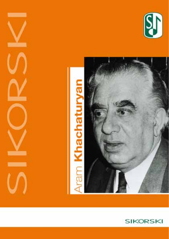



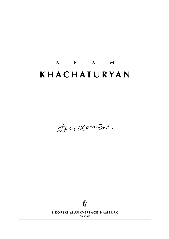# A R A M **k h a c h a t u r y a n**

Joan Larandon



SIKORSKI MUSIKVERLAGE HAMBURG

**sik 4/5618**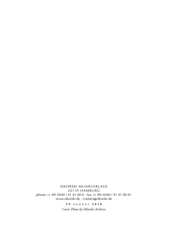sikorski Musikverlage 20139 hamburg phone: (+ 49) (0)40 / 41 41 00-0 · fax: (+ 49) (0)40 / 41 41 00-41 www.sikorski.de · contact@sikorski.de

> **2 9 a u g u s t 2 0 1 8** *Cover Photo by Sikorski Archives*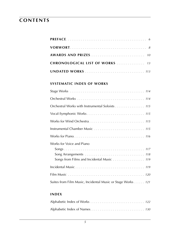### **CONTENTS**

### **systematic index of works**

| Orchestral Works with Instrumental Soloists 115                        |
|------------------------------------------------------------------------|
|                                                                        |
|                                                                        |
| Instrumental Chamber Music  115                                        |
|                                                                        |
| Works for Voice and Piano<br>Songs from Films and Incidental Music 119 |
|                                                                        |
|                                                                        |
| Suites from Film Music, Incidental Music or Stage Works 121            |

#### **index**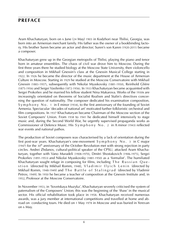### **preface**

Aram Khachaturyan, born on 6 June (24 May) 1903 in Kodzhori near Tbilisi, Georgia, was born into an Armenian merchant family. His father was the owner of a bookbinding factory. His brother Suren became an actor and director; Suren's son Karen (1920-2011) became a composer.

Khachaturyan grew up in the Georgian metropolis of Tbilisi, playing the piano and tenor horn in amateur ensembles. The chaos of civil war drove him to Moscow. During the first three years there he studied biology at the Moscow State University, then violoncello and composition in Mikhail Gnessin's class at the Gnessin Musical College starting in 1922. In 1926 he became the director of the music department at the House of Armenian Culture in Moscow. Starting in 1929 he studied at the Moscow Conservatoire with Mikhail Gnessin (1883-1957), subsequently with Nikolai Myaskovsky (1881-1950), Reinhold Glière (1875-1956) and Sergei Vasilenko (1872-1956). In 1933 Khachaturyan became acquainted with Sergei Prokofiev and he married his fellow student Nina Makarova. Works of the 1930s are increasingly orientated on theorems of Socialist Realism and Stalin's directives concerning the question of nationality. The composer dedicated his examination composition, Symphony No. 1 in Eminor (1934), to the first anniversary of the founding of Soviet Armenia. Spectacular 'decades of national art' motivated further folkloristic orchestral and film compositions. In 1937 Khachaturyan became Chairman of the Moscow section of the Soviet Composers' Union. From 1938 to 1941 he dedicated himself intensively to stage music and, during the Second World War, he urgently supervised propaganda works as Commissioner of Defence Music. His S y m p h o n y N o . 2 in A minor (1943) reflected war events and national pathos.

The production of Soviet composers was characterised by a lack of orientation during the first post-war years. Khachaturyan's one-movement S y m p h o n y N o . 3 in C major  $(1947)$  for the 30<sup>th</sup> anniversary of the October Revolution met with strong rejection in party circles. Andrei Zhdanov, cultural-political speaker of the CPSU, attacked Aram Khachaturyan, together with Vano Muradeli (1908-1970), Dmitri Shostakovich (1906-1975), Sergei Prokofiev (1891-1953) and Nikolai Myaskovsky (1881-1950) as a 'formalist'. The humiliated Khachaturyan sought refuge in composing for films, including  $\mathsf{T}$  he Russian Question (directed by Mikhail Romm, 1948), Vladimir Ilyich Lenin (directed by Mikhail Romm, 1948-1949) and The Battle of Stalingrad (directed by Vladimir Petrov, 1949). In 1950 he became a teacher of composition at the Gnessin Institute and, in 1952, Professor at the Moscow Conservatoire.

In November 1953, in 'Sovetskaya Muzyka', Khachaturyan severely criticised the system of paternalism of the Composers' Union; this was the beginning of the 'thaw' in the musical sector. His official rehabilitation took place in 1958. Khachaturyan received numerous awards, was a jury member at international competitions and travelled at home and abroad on conducting tours. He died on 1 May 1978 in Moscow and was buried in Yerevan on 6 May.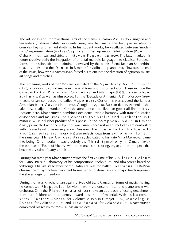The art songs and improvisational arts of the trans-Caucasian Ashugs (folk singers) and Sazandars (instrumentalists) in oriental mughams had made Khachaturyan sensitive to complex keys and refined rhythms. In his student works, he vacillated between 'modernistic' experimentation (Valse-Caprice in C-sharp minor, 1926), folklore (Poem in C-sharp minor, 1926) and strict form (S e v e n F u g u e s , 1928-1929). The latter marked his future creative path: the integration of oriental melodic language into classical European forms. Impressionistic tone painting, conveyed by the pianist Elena Bekman-Shcherbina  $(1882-1951)$ , inspired the D a n c e in B minor for violin and piano  $(1926)$ . Towards the end of the 1920s, however, Khachaturyan forced his talent into the direction of agitprop-music, art songs and marches.

The remaining works of the 1930s are orientated on the  $Symphomy No. 1$  in Eminor (1934), a folkloristic sound image in classical form and instrumentation. These include the Concerto for Piano and Orchestra in D-flat major (1936), Poem about S t a l in (1938) as well as film scores. For the 'Decade of Armenian Art' in Moscow (1939), Khachaturyan composed the ballet  $H$  appiness. Out of this was created the famous Armenian ballet G a y a n e h in 1942. Georgian lezginka, Russian dance, Armenian shalakho, Azerbaijani uzundara, Kurdish sabre dance and Ukranian gopak all find their stylisations here. Khachaturyan combines occidental triadic harmony with trans-Caucasian dissonances and melismas. The Concerto for Violin and Orchestra in D minor (1940) is a further product of this phase. In the  $Symphony No. 2 in E minor$ (1943), permeated with the subject of war, Armenian-Azerbaijani melodies are contrasted with the medieval funerary sequence 'Dies irae'. The Concerto for Violoncello and Orchestra in Eminor (1946) also reflects ideas from Symphony No. 2. In the same year Three Concert Arias, dedicated to his wife Nina Makarova, came into being. Of all works, it was precisely the Third  $Symphony$  in C major (1947), the bombastic 'Poem of Victory' with triple orchestral scoring, organ and 15 trumpets, that became a victim of party criticism.

During that same year Khachaturyan wrote the first volume of his Children's Album for Piano (1947), a 'laboratory' of his compositional techniques, and film scores based on folksongs. His last stage work of the Stalin era was the ballet Spartacus (1950-1954): chromaticism symbolises decadent Rome, whilst diatonicism and major triads represent the slaves' urge for freedom.

During the 1960s Khachaturyan again revived old trans-Caucasian forms of music-making: he composed R h a p s o d i e s for violin (1961), violoncello (1963) and piano (1968) with orchestra. Only the Piano Sonata of 1961 shows an approach reflecting detachment from pure folklore and a tendency towards distortion of material. With his last compo $s$ itions – Fantasy-Sonata for violoncello solo in C major (1974), Monologue-S on a t a for violin solo (1975) and Lied-S on a t a for viola solo (1976), Khachaturyan completed his return to trans-Caucasian melody.

*Maria Biesold in* komponisten der gegenwart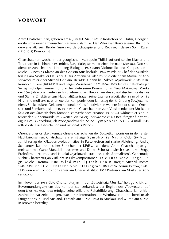### **vorwort**

Aram Chatschaturjan, geboren am 6. Juni (24. Mai) 1903 in Kodschori bei Tbilisi, Georgien, entstammte einer armenischen Kaufmannsfamilie. Der Vater war Besitzer einer Buchbinderwerkstatt. Sein Bruder Suren wurde Schauspieler und Regisseur, dessen Sohn Karen (1920-2011) Komponist.

Chatschaturjan wuchs in der georgischen Metropole Tbilisi auf und spielte Klavier und Tenorhorn in Liebhaberensembles. Bürgerkriegswirren trieben ihn nach Moskau. Dort studierte er zunächst drei Jahre lang Biologie, 1922 dann Violoncello und Komposition in Michail Gnessins Klasse an der Gnessin-Musikschule. 1926 wurde er Chef der Musikabteilung am Moskauer Haus der Kultur Armeniens. Ab 1929 studierte er am Moskauer Konservatorium erst bei Michail Gnessin (1883-1956), dann bei Nikolai Mjaskowski (1881-1950), Reinhold Glière (1875-1956) und Sergej Wassilenko (1872-1956). 1933 lernte Chatschaturjan Sergej Prokofjew kennen, und er heiratete seine Kommilitonin Nina Makarowa. Werke der 30er Jahre orientierten sich zunehmend an Theoremen des sozialistischen Realismus und Stalins Direktiven zur Nationalitätenfrage. Seine Examensarbeit, die S y m p h o n i e N r. 1 e-moll (1934), widmete der Komponist dem Jahrestag der Gründung Sowjetarmeniens. Spektakuläre ,Dekaden nationaler Kunst' motivierten weitere folkloristische Orchester- und Filmkompositionen. 1937 wurde Chatschaturjan zum Vorsitzenden der Moskauer Sektion des Sowjetischen Komponistenverbandes ernannt. 1938-1941 widmete er sich intensiv der Bühnenmusik, im Zweiten Weltkrieg überwachte er als Beauftragter für Verteidigungsmusik vordringlich Propagandawerke. Seine S y m p h o n i e N r. 2 a-moll (1943) reflektierte Kriegsgeschehen und nationales Pathos.

Orientierungslosigkeit kennzeichnete das Schaffen der Sowjetkomponisten in den ersten Nachkriegsjahren. Chatschaturians einsätzige S y m p h o n i e N r. 3 C-dur (1947) zum 30. Jahrestag der Oktoberrevolution stieß in Parteikreisen auf starke Ablehnung. Andrej Schdanow, kulturpolitischer Sprecher der KPdSU, attakierte Aram Chatschaturjan gemeinsam mit Wano Muradeli (1908-1970) und Dmitri Schostakowitsch (1906-1975), Sergej Prokofjew (1891-1953) und Nikolai Mjaskowski (1881-1950) als ,Formalisten'. Gedemütigt suchte Chatschaturian Zuflucht in Filmkompositionen: Die russische Frage (Regie: Michail Romm, 1948), W la d i mir I l jits ch Lenin (Regie: Michail Romm, 1948-1949) und Die Schlacht von Stalingrad (Regie: Wladimir Petrow, 1949). 1950 wurde er Kompositionslehrer am Gnessin-Institut, 1952 Professor am Moskauer Konservatorium.

Im November 1953 übte Chatschaturjan in der ,Sowetskaja Musyka' heftige Kritik am Bevormundungssystem des Komponistenverbandes: der Beginn des ,Tauwetters' auf dem Musiksektor. 1958 erfolgte seine offizielle Rehabilitierung. Chatschaturjan erhielt zahlreiche Auszeichnungen, war Juror internationaler Wettbewerbe und bereiste als Dirigent das In- und Ausland. Er starb am 1. Mai 1978 in Moskau und wurde am 6. Mai in Jerewan beerdigt.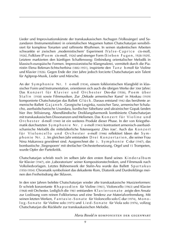Lieder und Improvisationskünste der transkaukasischen Aschugen (Volkssänger) und Sazandaren (Instrumentalisten) in orientalischen Mugamen hatten Chatschaturjan sensibilisiert für komplexe Tonarten und raffinierte Rhythmen. In seinen studentischen Arbeiten schwankte er zwischen ,modernistischem' Experiment (Valse-Caprice cis-moll, 1926), Folklore (P o e m cis-moll, 1926) und strenger Form (S i e b e n F u g e n, 1928-1929). Letztere markierten den künftigen Schaffensweg: Einbindung orientalischer Melodik in klassisch-europäische Formen. Impressionistische Klangmalerei, vermittelt durch die Pianistin Elena Bekman-Schtscherbina (1882-1951), inspirierte den Ta n z b-moll für Violine und Klavier (1926). Gegen Ende der 20er Jahre jedoch forcierte Chatschaturjan sein Talent für Agitprop-Musik, Lieder und Märsche.

An der Symphonie Nr. 1 e-moll (1934), einem folkloristischen Klangbild in klassischer Form und Instrumentation, orientieren sich auch die übrigen Werke der 30er Jahre: Das Konzert für Klavier und Orchester Des-dur (1936), Poem über Stalin (1938) sowie Filmmusiken. Zur "Dekade armenischer Kunst' in Moskau (1939) komponierte Chatschaturjan das Ballett G l ü c k . Daraus entstand 1942 das berühmte armenische Ballett G a j a n e h . Georgische Lesginka, russischer Tanz, armenischer Schalacho, aserbaidschanische Usundara, kurdischer Säbeltanz und ukrainischer Gopak fanden hier ihre Stilisierung. Abendländische Dreiklangsharmonik kombinierte Chatschaturjan mit transkaukasischen Dissonanzen und Melismen. Das Konzert für Violine und O r c h e s t e r d-moll (1940) ist ein weiteres Produkt dieser Phase. In der von Kriegsthematik durchsetzten S y m p h o n i e N r. 2 e-moll (1943) kontrastiert armenisch-aserbaidschanische Melodik die mittelalterliche Totensequenz ,Dies irae'. Auch das K o n z e r t für Violoncello und Orchester e-moll (1946) reflektiert Ideen der Symp h o n i e N r. 2. Im gleichen Jahr entstanden D r e i K o n z e r t a r i e n die seiner Frau Nina Makarowa gewidmet sind. Ausgerechnet die 3 . S y m p h o n i e C-dur (1947), das bombastische ,Siegespoem' mit dreifacher Orchesterbesetzung, Orgel und 15 Trompeten, wurde Opfer der Parteikritik.

Chatschaturian schrieb noch im selben Jahr den ersten Band seines Kinderalbum für Klavier (1947), ein ,Laboratorium' seiner Kompositionstechniken, und Filmmusik nach Volksliedvorlagen. Letztes Bühnenwerk der Stalin-Ära wurde das Ballett S p a r t a k u s (1950-1954): Chromatik symbolisiert das dekadente Rom, Diatonik und Durdreiklänge meinen den Freiheitsdrang der Sklaven.

In den 60er Jahren belebte Chatschaturjan wieder alte transkaukasische Musizierformen: Er schrieb konzertante R h a p s o d i e n für Violine (1961), Violoncello (1963) und Klavier (1968) mit Orchester. Lediglich die 1961 entstanden Klaviers on a te zeigte den Ansatz zur Loslösung vom reinen Folklorismus und eine Tendenz zur Materialverfremdung. Mit seinen letzten Werken, Fantasie-Sonate für Violoncello solo C-dur (1974), Monol og - S o n a t e für Violine solo (1975) und L i e d - S o n a t e für Viola solo (1976), vollzog Chatschaturjan die Rückkehr zur transkaukasischen Melodie.

*Maria Biesold in* komponisten der gegenwart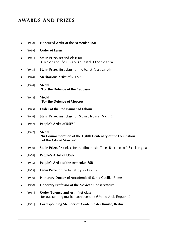### **awards and prizes**

- [1938] **Honoured Artist of the Armenian SSR**
- [1939] **Order of Lenin**
- [1941] **Stalin Prize, second class** for Concerto for Violin and Orchestra
- [1943] **Stalin Prize, first class** for the ballet G a y a n e h
- [1944] **Meritorious Artist of RSFSR**
- [1944] **Medal 'For the Defence of the Caucasus'**
- ■ [1944] **Medal 'For the Defence of Moscow'**
- [1945] **Order of the Red Banner of Labour**
- [1946] **Stalin Prize, first class** for Symphony No. 2
- ■ [1947] **People's Artist of RSFSR**
- ■ [1947] **Medal 'In Commemoration of the Eighth Centenary of the Foundation of the City of Moscow'**
- [1950] **Stalin Prize, first class** for the film music The Battle of Stalingrad
- [1954] **People's Artist of USSR**
- ■ [1955] **People's Artist of the Armenian SSR**
- ■ [1959] **Lenin Prize** for the ballet S p a r t a c u s
- ■ [1960] **Honorary Doctor of Accademia di Santa Cecilia, Rome**
- ■ [1960] **Honorary Professor of the Mexican Conservatoire**
- ■ [1961] **Order 'Science and Art', first class** for outstanding musical achievement (United Arab Republic)
- ■ [1961] **Corresponding Member of Akademie der Künste, Berlin**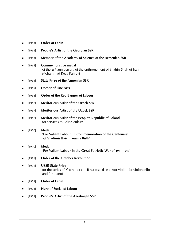- ■ [1963] **Order of Lenin**
- ■ [1963] **People's Artist of the Georgian SSR**
- ■ [1963] **Member of the Academy of Science of the Armenian SSR**
- [1965] **Commemorative medal** of the 25<sup>th</sup> anniversary of the enthronement of Shahin-Shah of Iran, Mohammad Reza Pahlevi
- [1965] **State Prize of the Armenian SSR**
- ■ [1965] **Doctor of Fine Arts**
- [1966] **Order of the Red Banner of Labour**
- ■ [1967] **Meritorious Artist of the Uzbek SSR**
- ■ [1967] **Meritorious Artist of the Uzbek SSR**
- [1967] **Meritorious Artist of the People's Republic of Poland** for services to Polish culture
- [1970] **Medal 'For Valiant Labour. In Commemoration of the Centenary of Vladimir Ilyich Lenin's Birth'**
- [1970] **Medal 'For Valiant Labour in the Great Patriotic War of 1941-1945'**
- ■ [1971] **Order of the October Revolution**
- ■ [1971] **USSR State Prize** for the series of Concerto-Rhapsodies (for violin, for violoncello and for piano)
- ■ [1973] **Order of Lenin**
- [1973] **Hero of Socialist Labour**
- ■ [1973] **People's Artist of the Azerbaijan SSR**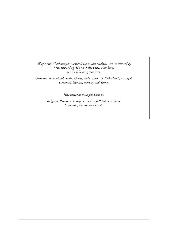*All of Aram Khachaturyan's works listed in this catalogue are represented by Musikverlag Hans Sikorski, Hamburg, for the following countries:*

*Germany, Switzerland, Spain, Greece, Italy, Israel, the Netherlands, Portugal, Denmark, Sweden, Norway and Turkey*

*Hire material is supplied also to:*

*Bulgaria, Romania, Hungary, the Czech Republic, Poland, Lithuania, Estonia and Latvia*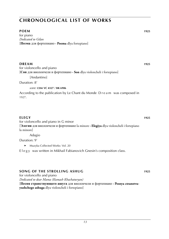#### **poem WS 1010143 Keine Noten 1925**

for piano *Dedicated to Gilan* [**Поэма** для фортепиано **· Poema** dlya fortepiano]

### **dream 1925 KEAM 1925**

for violoncello and piano [**Сон** для виолончели и фортепиано **· Son** dlya violoncheli i fortepiano]

[Andantino]

Duration: 8'

*score:* **cdm vc 4327** / **sik 6906**

According to the publication by Le Chant du Monde D r e a m was composed in 1927.

**ELEGY** 1925 for violoncello and piano in G minor [**Элегия** для виолончели и фортепиано la minore **· Elegiya** dlya violoncheli i fortepiano la minore]

Adagio

Duration: 9'

► Muzyka Collected Works: Vol. 20

Elegy was written in Mikhail Fabianovich Gnesin's composition class.

#### **song of the strolling ashug WS** 1925

for violoncello and piano

*Dedicated to dear Mama (Kumash Khachaturyan)*

[**Песня странствующего ашуга** для виолончели и фортепиано **· Pesnya ctranstvuyushchego ashuga** dlya violoncheli i fortepiano]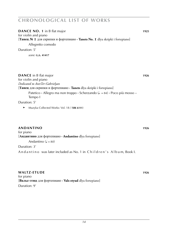| <b>DANCE NO. 1</b> in B flat major<br>for violin and piano<br><b>Танец № 1</b> для скрипки и фортепиано $\cdot$ Tanets No. I dlya skripki i fortepiano |      |
|--------------------------------------------------------------------------------------------------------------------------------------------------------|------|
| Allegretto comodo                                                                                                                                      |      |
| Duration: 5'                                                                                                                                           |      |
| score: G.S. 41417                                                                                                                                      |      |
|                                                                                                                                                        |      |
| <b>DANCE</b> in B flat major                                                                                                                           | 1926 |
| for violin and piano                                                                                                                                   |      |
| Dedicated to AvetTer-Gabrielyan<br>[Танец для скрипки и фортепиано · Tanets dlya skripki i fortepiano]                                                 |      |
| Patetico · Allegro ma non troppo · Scherzando ( $\downarrow$ = 84) · Poco più mosso –                                                                  |      |
| Tempo I                                                                                                                                                |      |
| Duration: 5'                                                                                                                                           |      |
| Muzyka Collected Works: Vol. 18 / (SIK 6111)<br>▶                                                                                                      |      |
|                                                                                                                                                        |      |
| ANDANTINO                                                                                                                                              | 1926 |
| for piano                                                                                                                                              |      |
| <b>[Андантино</b> для фортепиано • <b>Andantino</b> dlya fortepiano]                                                                                   |      |
| Andantino ( $J = 80$ )                                                                                                                                 |      |
| Duration: 3'                                                                                                                                           |      |
| Andantino was later included as No. 1 in Children's Album, Book I.                                                                                     |      |

**WALTZ-ETUDE** 1926 for piano [**Вальс-этюд** для фортепиано **· Vals-etyud** dlya fortepiano] Duration: 9'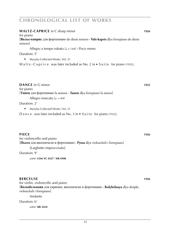| <b>WALTZ-CAPRICE</b> in C sharp minor                                                            | 1926 |
|--------------------------------------------------------------------------------------------------|------|
| for piano                                                                                        |      |
| [Вальс-каприс для фортепиано do diesis minore · Vals-kapris dlya fortepiano do diesis<br>minore] |      |
| Allegro a tempo rubato ( $J = 144$ ) $\cdot$ Poco meno                                           |      |
| Duration: 5'                                                                                     |      |
| Muzyka Collected Works: Vol. 21<br>▶                                                             |      |
| Waltz-Caprice was later included as No. 2 in $\blacktriangleright$ Suite for piano (1932).       |      |
| <b>DANCE</b> in G minor                                                                          | 1925 |
| for piano                                                                                        |      |
| [Танец для фортепиано la minore · Tanets dlya fortepiano la minor]                               |      |
| Allegro marcato ( $\sqrt{ }$ = 84)                                                               |      |
| Duration: 2'                                                                                     |      |
| Muzyka Collected Works: Vol. 21<br>▶                                                             |      |
| Dance was later included as No. 3 in $\blacktriangleright$ Suite for piano (1932).               |      |

#### **piece WS 1010255 Keine Noten 1926**

for violoncello and piano [**Пьеса** для виолончели и фортепиано **· Pyesa** dlya violoncheli i fortepiano] [Larghetto improvvisato]

Duration: 9'

*score:* **cdm vc 4327** / **sik 6906**

### **berceuse 1926**

for violin, violoncello and piano [**Колыбельнаяа** для скрипки, виолончели и фортепиано **· Kolybelnaya** dlya skripki, violoncheli i fortepiano]

Andante

Duration: 6'

*score:* **sik 2434**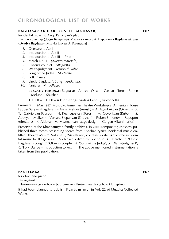### **baggazion akhpar** (**UNCLE BAGDASAR**) **WE** 1927

Incidental music to Akop Paronyan's play [**Багдасар ахпар** (**Дядя Багдасар**)**.** Музыка к пьесе А. Пароняна **· Bagdasar akhpar** (**Dyadya Bagdasar**)**.** Muzyka k pyese A. Paronyana]

- *1*. Overture to Act I
- *2*. Introduction to Act II
- *3*. Introduction to Act III *Presto*
- *4*. March No. 1 *[Allegro marciale]*
- *5*. Oksen's couplet *Allegretto*
- *6.* Waltz-Judgment
- *7*. Song of the Judge *Moderato*
- *8*. Folk Dance
- *9*. Uncle Bagdasar's Song *Andantino*
- *10*. Fanfares I-V *Allegro*

**d r a m at i s p e r s o n a e** : Bagdasar – Anush – Oksen – Gaspar – Toros – Ruben – Meluon – Shushan

1.1.1.0 – 0.1.1.0 – side dr. strings (violins I and II, violoncelli)

Première: 14 May 1927, Moscow, Armenian Theatre Workshop at Armenian House Faddei Saryan (Bagdasar) – Anna Melian (Anush) – A. Aganbekyan (Oksen) – G. Ter-Gabrielyan (Gaspar) – N. Kechegezyan (Toros) – M. Gevorkyan (Ruben) – S. Abovyan (Melkon) – Varvara Stepanyan (Shushan) – Ruben Simonov, I. Rapoport (directors) – K. Alabyan, M. Mazmanyan (stage design) – Gurgen Aikuni (lyrics)

Preserved at the Khachaturyan family archives. In 2003 Kompozitor, Moscow published three tomes presenting scores from Khachaturyan's incidental music entitled 'Theatre Music'. Volume 1, 'Miniatures', contains six items from the incidental music to B a g d a s a r A k h p a r edited by Lev Solin: *1*. 'March', *2*. 'Uncle Bagdasar's Song', *3*. 'Oksen's couplet', *4*. 'Song of the Judge', *5*. 'Waltz-Judgment', *6*. 'Folk Dance – Introduction to Act III'. The above mentioned instrumentation is taken from this publication.

*pantomime* **1927** *MS* for oboe and piano *Uncompleted* [**Пантомима** для гобоя и фортепиано **· Pantomima** dlya goboya i fortepiano] It had been planned to publish P a n t o m i m e in Vol. 22 of Muzyka Collected

Works.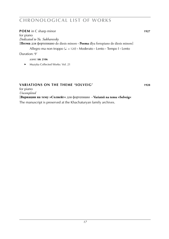### **POEM** in C sharp minor **1927**

for piano *Dedicated to Yu. Sukharevsky* [**Поэма** для фортепиано do diesis minore **· Poema** dlya fortepiano do diesis minore] Allegro ma non troppo (q k = 120) **·** Moderato **·** Lento **·** Tempo I **·** Lento

Duration: 9'

*score:* **sik 2106**

► Muzyka Collected Works: Vol. 21

### **variations on the theme 'solveig' WARIATIONS 1928**

for piano

*Uncompleted*

[**Вариации на тему »Солвейг«** для фортепиано **· Variatsii na temu »Solveig«** 

The manuscript is preserved at the Khachaturyan family archives.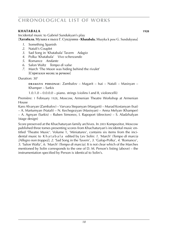### **k**HATABALA 1928

Incidental music to Gabriel Sundukyan's play [**Хатабала.** Музыка к пьесе Г. Сундукяна **· Khatabala.** Muzyka k pese G. Sundukyana]

- *1*. Something Spanish
- *2*. Natali's Couplet
- *3*. Sad Song in 'Khatabala' Tavern *Adagio*
- *4*. Polka 'Khatabala' *Vivo scherzando*
- *5*. Romance *Andante*
- *6*. Salon Waltz *Tempo di valse*
- *7*. March 'The Moon was hiding behind the rivulet' [Спрятался месяц за речкою]

Duration: 30'

**d r a m at i s p e r s o n a e** : Zambalov – Magarit – Isai – Natali – Masisyan – Khamper – Sarkis

 $1.0.1.0 - 0.0.0.0 -$  piano. strings (violins I and II, violoncelli)

Première: 1 February 1928, Moscow, Armenian Theatre Workshop at Armenian House

Karo Alvaryan (Zambalov) – Varvara Stepanyan (Margarit) – Murad Kostanyan (Isai) – A. Martumyan (Natali) – N. Kechegezyan (Masisyan) – Anna Melyan (Khamper) – A. Agnyan (Sarkis) – Ruben Simonov, I. Rapoport (directors) – S. Aladzhalyan (stage design)

Score preserved at the Khachaturyan family archives. In 2003 Kompozitor, Moscow published three tomes presenting scores from Khachaturyan's incidental music entitled 'Theatre Music'. Volume 1, 'Miniatures', contains six items from the incidental music to K h a t a b a l a edited by Lev Solin: *1*. 'March' *(Tempo di marcia [Allegro non troppo])*, *2*. 'Sad Song in the Tavern', *3*. 'Galop-Polka', *4*. 'Romance', *5*. 'Salon Waltz', *6*. 'March' *(Tempo di marcia)*. It is not clear which of the Marches mentioned by Solin corresponds to the one of D. M. Person's listing (above) – the instrumentation specified by Person is identical to Solin's.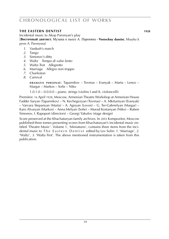### **the eastern dentist 1928 1928**

Incidental music to Akop Paronyan's play

[**Восточный дантист.** Музыка к пьесе А. Пароняна **· Vostochny dantist.** Muzyka k

pyese A. Paronyana]

- *1*. Vardush's march
- *2*. Tango
- *3*. Simonov's ditty
- *4*. Waltz *Tempo di valse lento*
- *5*. Waltz-Trot *Allegretto*
- *6*. Marriage *Allegro non troppo*
- *7*. Charleston
- *8*. Carnival

**d r a m at i s p e r s o n a e** : Taparnikov – Tovmas – Eranyak – Marta – Lenov – Margar – Markos – Sofie – Niko

 $1.0.1.0 - 0.0.0.0 -$  piano. strings (violins I and II, violoncelli)

Première: 16 April 1928, Moscow, Armenian Theatre Workshop at Armenian House Faddei Saryan (Taparnikov) – N. Kechegezyan (Tovmas) – A. Mkrtumyan (Eranyak) – Varvara Stepanyan (Marta) – A. Agnyan (Levon) – G. Ter-Gabrielyan (Margar) – Karo Alvaryan (Markos) – Anna Melyan (Sofie) – Murad Kostanyan (Niko) – Ruben Simonov, I. Rapoport (directors) – Georgi Yakulov (stage design)

Score preserved at the Khachaturyan family archives. In 2003 Kompozitor, Moscow published three tomes presenting scores from Khachaturyan's incidental music entitled 'Theatre Music'. Volume 1, 'Miniatures', contains three items from the incidental music to The Eastern Dentist edited by Lev Solin: 1. 'Marriage', 2. 'Waltz', *3*. 'Waltz-Trot'. The above mentioned instrumentation is taken from this publication.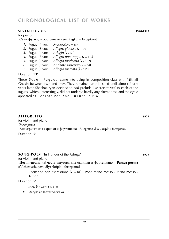### **seven fugues (WS 1002869) 1928-1929**

for piano

[**Семь фуги** для фортепиано **· Sem fugi** dlya fortepiano]

- *1.* Fugue  $[4 \text{ voci}]$  *Moderato*  $(4 88)$
- 2. Fugue  $\begin{bmatrix} 3 \ \text{vocil} \end{bmatrix}$  *Allegro giocoso* ( $\sqrt{6}$  = 76)
- *3.* Fugue  $[4 \text{ voci}]$  *Adagio*  $\sqrt{ }$  = 50)
- *4.* Fugue [3 voci] *Allegro non troppo*  $(l = 116)$
- *5*. Fugue  $[2 \text{ voci}]$  *Allegro moderato*  $(2 \text{ s.t. } 132)$
- *6.* Fugue [3 voci] *Andante sostenuto*  $(d = 54)$
- *7.* Fugue [3 voci] *Allegro marcato*  $\left( \frac{1}{2} \right)$  = 112)

Duration: 13'

These Seven Fugues came into being in composition class with Mikhail Gnesin between 1928 and 1929. They remained unpublished until almost fourty years later Khachaturyan decided to add prelude-like 'recitatives' to each of the fugues (which, interestingly, did not undergo hardly any alterations), and the cycle appeared as Recitatives and Fugues in 1966.

#### **allegretto WS 1010259 1929** for violin and piano  $Uncombined$ [**Аллегретто** для скрипки и фортепиано **· Allegretto** dlya skripki i fortepiano] Duration: 5'

**sONG-POEM** 'In Honour of the Ashugs' **WE 1029** for violin and piano

[**Песня-поэма** »В честь ашугов« для скрипки и фортепиано – **Pesnya-poema** »V chest ashugov« dlya skripki i fortepiano]

Recitando con espressione ( $\downarrow$  = 84)  $\cdot$  Poco meno mosso  $\cdot$  Meno mosso  $\cdot$ Tempo I

Duration: 5'

*score:* **sik 2274**, **sik 6111**

► Muzyka Collected Works: Vol. 18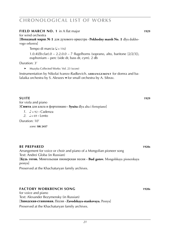#### **field MARCH NO. 1** in A flat major **WARCH 1029**

for wind orchestra

[**Походный марш № 1** для духового оркестра **· Pokhodny marsh No. 1** dlya dukhovogo orkestra]

Tempo di marcia  $(J = 116)$ 

1.0.4(*Eb* clar).0 – 2.2.0.0 – 7 flugelhorns (soprano, alto, baritone [2/2/3]), euphonium – perc (side dr, bass dr, cym). 2 db

Duration: 3'

► Muzyka Collected Works: Vol. 23 (score)

Instrumentation by Nikolai Ivanov-Radkevich. **ARRANGEMENT** for domra and balalaika orchestra by S. Alexeev ■ for small orchestra by A. Sibrav.

#### **suite kein werkstammeinter werkstammeinter werkstammeinter werkstammenten werden die staat 1929**

for viola and piano [**Сюита** для альта и фортепиано **· Syuita** dlya alta i fortepiano]

 $1. \quad \mathcal{L} = 92 \cdot \text{Cadenza}$ 

 $2 \quad -69$  **·** Lento

Duration: 10'

*score:* **sik 2437**

### **be prepared WS 1010286 1920s**

Arrangement for voice or choir and piano of a Mongolian pioneer song Text: Andrei Globa (in Russian)

[**Будь готов.** Монгольская пионерская песня **· Bud gotov.** Mongolskaya pionerskaya pesnya]

Preserved at the Khachaturyan family archives.

### **factory workbench song 1920s 1920s**

for voice and piano Text: Alexander Bezymensky (in Russian) [**Заводская-станковая.** Песня **· Zavodskaya-stankovaya.** Pesnya]

Preserved at the Khachaturyan family archives.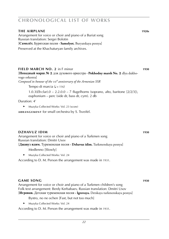| <b>THE AIRPLANE</b><br>Arrangement for voice or choir and piano of a Buriat song<br>Russian translation: Sergei Bolotin<br>[Самолёт. Бурятская песня · Samolyot. Buryatskaya pesnya] | 1920s |
|--------------------------------------------------------------------------------------------------------------------------------------------------------------------------------------|-------|
| Preserved at the Khachaturyan family archives.                                                                                                                                       |       |
|                                                                                                                                                                                      |       |
| FIELD MARCH NO. 2 in F minor<br><b>Походный марш № 2</b> для духового оркестра • <b>Pokhodny marsh No. 2</b> dlya dukho-<br>vogo orkestra                                            | 1930  |
| Composed in honour of the $10^{th}$ anniversary of the Armenian SSR<br>Tempo di marcia $(1 = 116)$                                                                                   |       |
| 1.0.3( <i>Eb</i> clar).0 – 2.2.0.0 – 7 flugelhorns (soprano, alto, baritone $[2/2/3]$ ),<br>euphonium – perc (side dr, bass dr, cym). 2 db                                           |       |
| Duration: 4'                                                                                                                                                                         |       |
| Muzyka Collected Works: Vol. 23 (score)                                                                                                                                              |       |
| $\,$ ARRANGEMENT for small orchestra by S. Tsveifel.                                                                                                                                 |       |
|                                                                                                                                                                                      |       |
|                                                                                                                                                                                      |       |

#### **dim dim 1930 1930 1930**

Arrangement for voice or choir and piano of a Turkmen song Russian translation: Dmitri Usov [**Джавуз идим.** Туркменская песня **· Dzhavuz idim.** Turkmenskaya pesnya] Medlenno [Slowly]

► Muzyka Collected Works: Vol. 24

According to D. M. Person the arrangement was made in 1931.

### **game song 1930 1930**

Arrangement for voice or choir and piano of a Turkmen children's song Folk text arrangement: Berdy Kerbabaev, Russian translation: Dmitri Usov [**Игровая.** Детская туркменская песня **· Igrovaya.** Detskaya turkmenskaya pesnya]

- Bystro, no ne ochen [Fast, but not too much]
- ► Muzyka Collected Works: Vol. 24

According to D. M. Person the arrangement was made in 1931.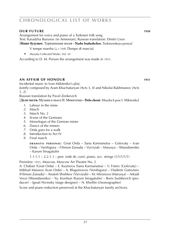### **our future WS 1010286 1930**

Arrangement for voice and piano of a Turkmen folk song Text: Karadzha Burunov (in Armenian), Russian translation: Dmitri Usov

[**Наше будущее.** Туркменская песня **· Nashe budushchee.** Turkmenskaya pesnya]

V tempe marsha  $(J = 104)$  [Tempo di marcia]

► Muzyka Collected Works: Vol. 24

According to D. M. Person the arrangement was made in 1931.

### **an affair of honour 1931**

Incidental music to Ivan Mikitenko's play Jointly composed by Aram Khachaturyan (Acts 3, 4) and Nikolai Rakhmanov (Acts 1, 2)

Russian translation by Pavel Zenkevich

[**Дело чести.** Музыка к пьесе И. Микитенко **· Delo chesti.** Muzyka k pese I. Mikitenko]

- *1*. Labour in the mine
- *2*. March
- *3*. March No. 2
- *4*. Scene of the Germans
- *5*. Monologue of the German miner
- *6*. Dance of the miners
- *7*. Orda goes for a walk
- *8*. Introduction to Act IV
- *9*. Final march

**DRAMATIS PERSONAE: Gnat Orda – Sana Karmanutsa – Golovaty – Ivan** Orda – Vershigora – Filimon Zanuda – Vyrvizub – Marusya – Shtandarenko – Karym Sinagatulin

1.1.1.1 – 2.2.1.1 – perc (side dr, cym). piano. acc. strings  $(1/1/1/1/1)$ 

Première: 1931, Moscow, Moscow Art Theatre No. 2

A. Chaban (Gnat Orda) – E. Kuztsova (Sana Karmanutsa) – V. Fotiev (Golovaty) – Mikhail Maiorov (Ivan Orda) – A. Blagonravov (Vershigora) – Vladimir Gotovtsev (Filimon Zanuda) – Anatoli Shishkov (Vyrvizub) – M. Mironova (Marusya) – Arkadi Vovsi (Shtandarenko) – Yu. Korshun (Karym Sinagatulin) – Boris Sushkevich (producer) – Ignati Nivinsky (stage designer) – N. Kholfin (choreographer)

Score and piano reduction preserved at the Khachaturyan family archives.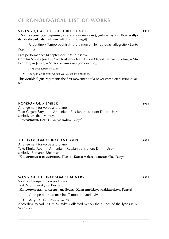#### **sTRING QUARTET** (**DOUBLE FUGUE**) **WAS 100645 100645**

[**Квартет для двух скрипок, альта и виолончели** (Двойная фуга) **· Kvartet dlya dvukh skripok, alta i violoncheli** (Dvoinaya fuga)]

Andantino **·** Tempo pochissimo più mosso **·** Tempo quasi allegretto **·** Lento

Duration: 8'

First performance: 14 September 1931, Moscow

Comitas String Quartet (Avet Ter-Gabrielyan, Levon Ogandzhanyan [violins] – Mikael Teryan [viola] – Sergei Aslamazyan [violoncello])

*score and parts:* **sik 2348**

► Muzyka Collected Works: Vol. 22 (score and parts)

This double fugue represents the first movement of a never completed string quartet.

#### **kOMSOMOL MEMBER** 1931 Arrangement for voice and piano Text: Gegam Saryan (in Armenian), Russian translation: Dmitri Usov Melody: Mikhail Mirzoyan [**Комсомолец.** Песня **· Komsomolets.** Pesnya]

### **the komsomol boy and girl <b>WS 1031 1031**

Arrangement for voice and piano Text: Khnko Aper (in Armenian), Russian translation: Dmitri Usov Melody: Romanos Melikyan [**Комсомолец и комсомолка.** Песня **· Komsomolets i komsomolka.** Pesnya]

### **song of the komsomol miners WS 1931**

Song for two-part choir and piano Text: V. Snitkovsky (in Russian)

[**Комсомольская-шахтерская.** Песня **· Komsomolskaya-shakhterskaya.** Pesnya]

- V tempe bodrogo marsha [Tempo di marcia viva]
- ► Muzyka Collected Works: Vol. 24

According to Vol. 24 of Muzyka Collected Works the author of the lyrics is A. Sitkovsky.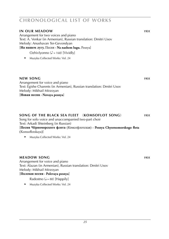| <b>IN OUR MEADOW</b><br>Arrangement for two voices and piano<br>Text: A. Venkar (in Armenian), Russian translation: Dmitri Usov<br>Melody: Anushavan Ter-Gevondyan<br>[На нашем лугу. Песня · Na nashem lugu. Pesnya]<br>Ozhivlyonno ( $\triangle$ = 168) [Vividly]<br>Muzyka Collected Works: Vol. 24<br>▶ | 1931 |
|-------------------------------------------------------------------------------------------------------------------------------------------------------------------------------------------------------------------------------------------------------------------------------------------------------------|------|
| <b>NEW SONG</b><br>Arrangement for voice and piano<br>Text: Egishe Charents (in Armenian), Russian translation: Dmitri Usov<br>Melody: Mikhail Mirzoyan<br>[Новая песня · Novaya pesnya]                                                                                                                    | 1931 |
| SONG OF THE BLACK SEA FLEET<br>(KOMSOFLOT SONG)<br>Song for solo voice and unaccompanied two-part choir<br>Text: Arkadi Shteinberg (in Russian)<br>[Песня Чёрноморского флота (Комсофлотская) · Pesnya Chyornomorskogo flota<br>(Komsoflotskaya)]<br>Muzyka Collected Works: Vol. 24<br>▶                   | 1931 |
| <b>MEADOW SONG</b><br>Arrangement for voice and piano<br>Text: Alazan (in Armenian), Russian translation: Dmitri Usov<br>Melody: Mikhail Mirzoyan<br>[Полевая песня · Polevaya pesnya]<br>Radostno ( $J = 88$ ) [Happily]<br>Muzyka Collected Works: Vol. 24<br>▶                                           | 1931 |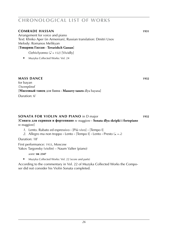#### **comrade hassan 1931**

Arrangement for voice and piano Text: Khnko Aper (in Armenian), Russian translation: Dmitri Usov Melody: Romanos Melikyan

[**Товарищ Гассан · Tovarishch Gassan**]

Ozhivlyonno ( $\triangle$  = 152) [Vividly]

► Muzyka Collected Works: Vol. 24

### **mass dance 1932**

for bayan  $Uncompleted$ [**Массовый танец** для баяна **· Massovy tanets** dlya bayana] Duration: 6'

### **sONATA FOR VIOLIN AND PIANO** in D major **1932**

#### [**Соната для скрипки и фортепиано** re maggiore **· Sonata dlya skripki i fortepiano** re maggiore]

*1*. Lento. Rubato ed espressivo **·** [Più vivo] **·** [Tempo I]

2. Allegro ma non troppo  $\cdot$  Lento  $\cdot$  [Tempo I]  $\cdot$  Lento  $\cdot$  Presto ( $J = J$ )

Duration: 18'

First performance: 1933, Moscow Yakov Targonsky (violin) – Naum Valter (piano)

*score:* **sik 2347**

► Muzyka Collected Works: Vol. 22 (score and parts)

According to the commentary in Vol. 22 of Muzyka Collected Works the Composer did not consider his Violin Sonata completed.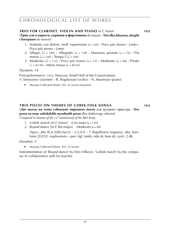#### **trio for clarinet, violin and piano** in C minor **1932**

### [**Трио для кларнета, скрипки и фортепиано** do minore **· Trio dlya klarneta, skripki i fortepiano** do minore]

- *1*. Andante con dolore, molt' espressione ( $J = 66$ )  $\cdot$  Poco più mosso  $\cdot$  Lento  $\cdot$ Poco più mosso **·** Lento
- 2. Allegro ( $\triangle$  = 184) **·** Allegretto ( $\triangle$  = 138) **·** Maestoso pesante ( $\triangle$  = 76) **·** Più mosso ( $\sqrt{=}$  = 100) **·** Tempo  $\vec{I}$  ( $\vec{I}$  = 184)
- *3.* Moderato ( $\sqrt{ }$  = 112)  $\cdot$  Poco più mosso ( $\sqrt{ }$  = 72)  $\cdot$  Moderato ( $\sqrt{ }$  = 88)  $\cdot$  Presto  $\left(\frac{1}{6}\right) = 92-96$  **·** Meno mosso  $\left(\frac{1}{6}\right) = 88-92$

Duration: 14'

First performance: 1933, Moscow, Small Hall of the Conservatoire V. Semyonov (clarinet) – R. Bogdanyan (violin) – N. Musinyan (piano)

► Muzyka Collected Works: Vol. 22 (score and parts)

### **two pieces on themes of uzbek folk songs 1932**

[**Две пьесы на темы узбекских народных песен** для духового оркестра **· Dve pesen na temy uzbekskikh narodnykh pesen** dlya dukhovogo orkestra] *Composed in honour of the*  $15<sup>th</sup>$  anniversary of the Red Army

- 1. Uzbek march  $\lim_{x \to 0}$  F minor  $\lim_{x \to 0}$  *Con moto*  $\lim_{x \to 0}$  = 120)
- 2. Round dance  $\begin{bmatrix} \text{in } E \text{ flat major} \end{bmatrix}$  *Moderato* ( $J = 80$ )

2(picc, alto fl).0.3(*Eb* clar).0 – 2.2.0.0 – 7 flugelhorns (soprano, alto, baritone [2/2/3]), euphonium – perc (tgl, tamb, side dr, bass dr, cym). 2 db

### Duration: 5'

► Muzyka Collected Works: Vol. 23 (score)

Instrumentation of 'Round dance' by Efim Vilkovir, 'Uzbek march' by the composer in collaboration with his teacher.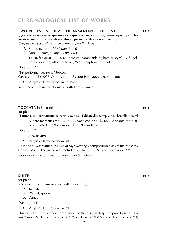#### **two pieces on themes of armenian folk songs 1932**

[**Две пьесы на темы армянских народных песен** для духового оркестра **· Dve pesen na temy armyanskikh narodnykh pesen** dlya dukhovogo orkestra] *Composed in honour of the* 15<sup>*th anniversary of the Red Army*</sup>

- *1*. Round dance *Moderato*  $\mathcal{L} = 84$
- *2.* Dance *Allegro largamente* ( $J = 132$ ) 1.0.3(*Eb* clar).0 – 2.2.0.0 – perc (tgl, tamb, side dr, bass dr, cym) – 7 flugelhorns (soprano, alto, baritone [2/2/3]). euphonium. 2 db

#### Duration: 5'

First performance: 1933, Moscow Orchestra of the KGB War Institute – Fyodor Nikolaevsky (conductor)

Muzyka Collected Works: Vol. 23 (score)

Instrumentation in collaboration with Efim Vilkovir.

#### **toccata** in E flat minor **1932**

for piano

[**Токката** для фортепиано mi bemolle minore **· Tokkata** dlya fortepiano mi bemolle minore]

Allegro marcatissimo ( $\sqrt{ }$  = 132)  $\cdot$  Vivace con brio ( $\sqrt{ }$  = 104)  $\cdot$  Andante espressivo e rubato  $(J = 80)$  **·** Tempo  $J(J = 132)$  **·** Andante

Duration: 7'

*score:* **sik 2103**

► Muzyka Collected Works: Vol. 21

To c c a t a was written in Nikolai Myaskovsky's composition class at the Moscow Conservatoire. The piece was included as No. 1 in  $\triangleright$  Suite for piano (1932). **ARRANGEMENT** for bayan by Alexander Sevastian.

#### **suite 1932 1932** for piano [**Сюита** для фортепиано **· Syuita** dlya fortepiano]

- *1*. Toccata
- *2.* Waltz-Caprice
- *3.* Dance

Duration: 14'

► Muzyka Collected Works: Vol. 21

This Suite represents a compilation of three separately composed pieces. For *details see* ► Waltz-Caprice (1926), ► Dance (1926) and ► Toccata (1932)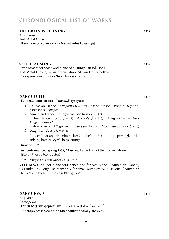### **the GRAIN IS RIPENING 1932**

Arrangement Text: Antal Gidash [**Начал колос колоситься · Nachal kolos kolositsya**]

#### **satirical song 1932**

Arrangement for voice and piano of a Hungarian folk song Text: Antal Gidash, Russian translation: Alexander Kochetkov [**Сатирическая.** Песня **· Satiricheskaya.** Pesnya]

#### **diameter in the suite 1933 1933**

#### [**Танцевальная сюита · Tantsevalnaya syuita**]

- *1*. Caucasian Dance *Allegretto* (q = 152) **·** *Meno mosso* **·** *Poco allargando, espressivo* **·** *Allegro*
- 2. Armenian Dance *Allegro ma non troppo*  $(J = 72)$
- *3.* Uzbek dance *Largo* ( $J = 42$ ) **·** *Andante* ( $J = 120$ ) **·** *Allegro* ( $J = J = 120$ ) **·** *Largo* **·** *Tempo I*
- 4. Uzbek March *Allegro ma non troppo*  $(J = 108)$  **·** *Moderato comodo*  $(J = 70)$
- *5.* Lezginka *Presto* ( $\overline{a} = 84-88$ )

 $3(pice).3(cor \text{ anglais}).3(bass \text{ clar}).2(db \text{ bn}) - 4.3.3.1 - \text{time}$ , perc (tgl, tamb, side dr, bass dr, cym). harp. strings

### Duration: 23'

First performance: spring 1933, Moscow, Large Hall of the Conservatoire Nikolai Anosov (conductor)

► Muzyka Collected Works: Vol. 3 (score)

**ARRANGEMENTS:** for piano four hands and for two pianos ('Armenian Dance', 'Lezginka') by Sergei Balasanyan ■ for small orchestra by S. Tsveifel ('Armenian Dance') and by N. Rubinstein ('Lezginka').

### **diameter no. 3 1933 1933**

for piano *Uncompleted* [**Танец № 3** для фортепиано **· Tanets No. 3** dlya fortepiano]

Autograph preserved at the Khachaturyan family archives.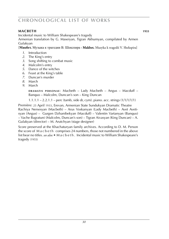### **macbeth WS 1010188 Keine Noten vorhanden 1933**

Incidental music to William Shakespeare's tragedy

Armenian translation by G. Maseiyan, Tigran Akhumyan, compilated by Armen Gulakyan

[**Макбет.** Музыка к трагедии В. Шекспира **· Makbet.** Muzyka k tragedii V. Shekspira]

- *1*. Introduction
- *2*. The King's entry
- *3*. Song shifting to combat music
- *4*. Malcolm's entry
- *5*. Dance of the witches
- *6*. Feast at the King's table
- *7*. Duncan's murder
- *8*. March
- *9*. March

**DRAMATIS PERSONAE:** Macbeth – Lady Macbeth – Angus – Macduff – Banquo – Malcolm, Duncan's son – King Duncan

1.1.1.1 – 2.2.1.1 – perc (tamb, side dr, cym). piano. acc. strings (1/1/1/1/1)

Première: 25 April 1933, Erevan, Armenian State Sundukyan Dramatic Theatre Rachiya Nersesyan (Macbeth) – Arus Voskanyan (Lady Macbeth) – Avet Avetisyan (Angus) – Gurgen Dzhanibekyan (Macduff) – Valentin Vartanyan (Banquo) – Vache Bagratuni (Malcolm, Duncan's son) – Tigran Aivasyan (King Duncan) – A. Gulakyan (director) – M. Arutchyan (stage designer)

Score preserved at the Khachaturyan family archives. According to D. M. Person the score of M a c b e t h comprises 24 numbers, those not numbered in the above list bear no titles. *see also:* ► M a c b e t h . Incidental music to William Shakespeare's tragedy (1955)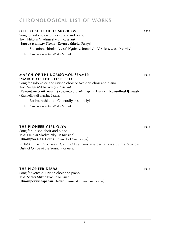#### **OFF TO SCHOOL TOMORROW 1933**

Song for solo voice, unison choir and piano Text: Nikolai Vladimirsky (in Russian)

[**Завтра в школу.** Песня **· Zavtra v shkolu.** Pesnya]

Spokoino, shiroko (J = 84) [Quietly, broadly] · Veselo (J = 96) [Merrily]

► Muzyka Collected Works: Vol. 24

### **march of the komsomol seamen 1933**

(**march of the red fleet**) Song for solo voice and unison choir or two-part choir and piano Text: Sergei Mikhalkov (in Russian) [**Комсофлотский марш** (Краснофлотский марш)**.** Песня **· Komsoflotskij marsh** (Krasnoflotskij marsh)**.** Pesnya]

Bodro, reshitelno [Cheerfully, resolutely]

► Muzyka Collected Works: Vol. 24

### **the pioneer girl olya MS 1933**

Song for unison choir and piano Text: Nikolai Vladimirsky (in Russian) [**Пионерка Оля.** Песня **· Pionerka Olya.** Pesnya]

In 1938 The Pioneer Girl Olya was awarded a prize by the Moscow District Office of the Young Pioneers.

#### **the pioneer drum 1933 1933**

Song for voice or unison choir and piano Text: Sergei Mikhalkov (in Russian) [**Пионерский барабан.** Песня **· Pionerskij baraban.** Pesnya]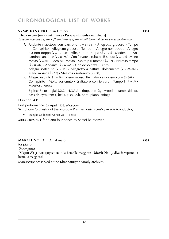### **SYMPHONY NO. 1** in E minor **1934 1934**

[**Первая симфония** mi minore **· Pervaya simfoniya** mi minore]

*In commemoration of the* 15*th anniversary of the establishment of Soviet power in Armenia*

- *1*. Andante maestoso con passione ( $\sqrt{ }$  = 54-56) **·** Allegretto giocoso · Tempo I **·** Con spirito **·** Allegretto giocoso **·** Tempo I **·** Allegro non troppo **·** Allegro ma non troppo ( $J = 96-100$ ) **·** Allegro non troppo ( $J = 120$ ) **·** Moderato **·** Andantino cantabile ( $\sqrt{ } = 88-92$ )  $\cdot$  Con fervore e rubato  $\cdot$  Risoluto ( $\sqrt{ } = 108$ )  $\cdot$  Meno mosso ( $\sqrt{ } = 80$ ) **·** Poco più mosso **·** Molto più mosso ( $\sqrt{ } = 92$ ) **·** L'istesso tempo  $\mathcal{L} = 80-84$  **·** Andante  $\mathcal{L} = 63-66$  **·** Con debolezza · Lento
- 2. Adagio sostenuto ( $\sqrt{ }$  = 52) **·** Allegretto a battuta, dolcemente ( $\sqrt{ }$  = 88-96) **·** Meno mosso ( $J = 56$ ) **·** Maestoso sostenuto ( $J = 52$ )
- 3. Allegro risoluto ( $\sqrt{ }$  = 88) **·** Meno mosso. Recitativo espressivo ( $\sqrt{ }$  = 63-66) **·** Con spirito  $\cdot$  Molto sostenuto  $\cdot$  Esaltato e con fervore  $\cdot$  Tempo  $\mid (\cdot) = \cdot$ )  $\cdot$ Maestoso feroce

 $3(picc).3(cor anglais).2.2 - 4.3.3.1 - timp. perc (tgl, wood bl, tamb, side dr,$ bass dr, cym, tam-t, bells, glsp, xyl). harp. piano. strings

Duration: 43'

First performance: 23 April 1935, Moscow Symphony Orchestra of the Moscow Philharmonic – Jenö Szenkár (conductor)

► Muzyka Collected Works: Vol. 1 (score)

**ARRANGEMENT** for piano four hands by Sergei Balasanyan.

### **march 1010274 no. 3** in A flat major **WARCH NO. 3** in A flat major

for piano *Uncompleted* **e**

[**Марш № 3** для фортепиано la bemolle maggiore **· Marsh No. 3** dlya fortepiano la bemolle maggiore]

Manuscript preserved at the Khachaturyan family archives.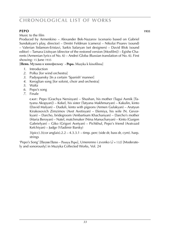### **pero 1935 Keine Noten 1935**

Music to the film

Produced by Armenkino – Alexander Bek-Nazarov (scenario based on Gabriel Sundukyan's play, director) – Dmitri Feldman (camera) – Nikolai Pisarev (sound) – Valerian Sidamon-Eristavi, Sarkis Safaryan (set designers) – David Blok (sound editor) – Tamara Lisitsyan (director of the restored version [Mosfilm]) – Egishe Charents (Armenian lyrics of No. 6) – Andrei Globa (Russian translation of No. 6). First showing: 15 June 1935

[**Пепо.** Музыка к кинофильму **· Pepo.** Muzyka k kinofilmu]

- *1*. Introduction
- *2*. Polka [for wind orchestra]
- *3*. Padyspansky [In a certain 'Spanish' manner]
- *4*. Keroglian song [for soloist, choir and orchestra]
- *5*. Waltz
- *6*. Pepo's song
- *7*. Finale

**c a s t** : Pepo (Grachya Nersisyan) – Shushan, his mother (Tagui Asmik [Tatyana Akopyan]) – Kekel, his sister (Tatyana Makhmuryan) – Kakulin, kinto (David Malyan) – Duduli, kinto with pigeons (Armen Gulakyan) – Arutyun Kirakosovich Zimzimov (Avet Avetisyan) – Efemiya, his wife (N. Gevorkyan) – Darcho, bridegroom (Ambartsum Khachanyan) – Darcho's mother (Maria Beroyan) – Natel, matchmaker (Nina Manucharyan) – Kinto (Gurgen Gabrielyan) – Giko (Grigori Avetyan) – Pichkhul, Pepo's friend (Aratvazd Kefchiyan) – Judge (Vladimir Barsky)

 $3(pice).3(cor \text{ anglais}).2.2 - 4.3.3.1 - \text{time}$ . perc (side dr, bass dr, cym). harp. strings

'Pepo's Song' [Песня Пепо – Pesnya Pepo], Umerenno i zvonko ( $\sqrt{ }$  = 132) [Moderately and sonorously] in Muzyka Collected Works, Vol. 24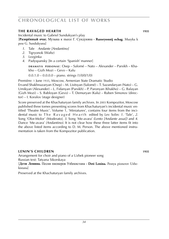### **the ravaged hearth MS** 1935

Incidental music to Gabriel Sundukyan's play [**Разорённый очаг.** Музыка к пьесе Г. Сундукяна **· Razoryonnij ochag.** Muzyka k pese G. Sundukyana]

- *1*. Tale *Andante [Andantino]*
- *2*. Tigryonok (Waltz)
- *3*. Lezginka
- *4*. Padyspansky [In a certain 'Spanish' manner]

**d r a m at i s p e r s o n a e** : Osep – Salomé – Nato – Alexander – Parsikh – Khakho – Gizh Mozi – Gevo – Kalu

 $0.0.1.0 - 0.0.0.0 -$  piano. strings  $(1/0/0/1/0)$ 

Première: 1 June 1935, Moscow, Armenian State Dramatic Studio Ervand Shakhnazaryan (Osep) – M. Lisitsyan (Salomé) – T. Sazandaryan (Nato) – G. Umikyan (Alexander) – L. Fidanyan (Parsikh) – P. Paronyan (Khakho) – G. Balayan

(Gizh Mozi) – S. Babloyan (Gevo) – T. Demuryan (Kalu) – Ruben Simonov (director) – I. Koralov (stage designer)

Score preserved at the Khachaturyan family archives. In 2003 Kompozitor, Moscow published three tomes presenting scores from Khachaturyan's incidental music entitled 'Theatre Music'. Volume 1, 'Miniatures', contains four items from the incidental music to The Ravaged Hearth edited by Lev Solin: 1. 'Tale', 2. Song 'Olor-Molor' *(Moderato)*, *3*. Song 'Me-avara' *(Lento [Andante assai])* and *4*. Dance 'Me-avara' *(Andantino)*. It is not clear how these three latter items fit into the above listed items according to D. M. Person. The above mentioned instrumentation is taken from the Kompozitor publication.

### **lenin's children 1935 1935**

Arrangement for choir and piano of a Uzbek pioneer song Russian text: Tatyana Sikorskaya

[**Дети Ленина.** Песня пионеров Узбекистана **· Deti Lenina.** Pesnya pionerov Uzbekistana]

Preserved at the Khachaturyan family archives.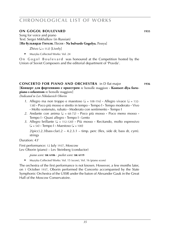### **ON GOGOL BOULEVARD** 1935

Song for voice and piano Text: Sergei Mikhalkov (in Russian)

[**На бульварде Гоголя.** Песня **· Na bulvarde Gogolya.** Pesnya]

Zhivo  $(J = 112)$  [Lively]

► Muzyka Collected Works: Vol. 24

On Gogol Boulevard was honoured at the Competition hosted by the Union of Soviet Composers and the editorial department of 'Pravda'.

### **concerto for piano and orchestra** in D flat major **1936** [**Концерт для фортепиано с оркестром** re bemolle maggiore **· Kontsert dlya fortepiano s orkestrom** re bemolle maggiore]

*Dedicated to Lev Nikolaevich Oborin*

- *1*. Allegro ma non troppo e maestoso ( $\sqrt{ }$  = 108-116) **·** Allegro vivace ( $\sqrt{ }$  = 132-138) **·** Poco più mosso e stretto in tempo **·** Tempo I **·** Tempo moderato **·** Vivo **·** Molto sostenuto, rubato **·** Moderato con sentimento **·** Tempo I
- 2. Andante con anima  $(J = 68-72)$  **·** Poco più mosso **·** Poco meno mosso **·** Tempo I **·** Quasi allegro **·** Tempo I **·** Lento
- 3. Allegro brillante (J = 112-120) · Più mosso · Recitando, molto espressivo  $(\sqrt{2} = 54)$  **·** Tempo I **·** Maestoso  $(\sqrt{2} = 100)$

 $2(pice).2.3(bass clar).2 - 4.2.3.1 - timp. perc (flex, side dr, bass dr, cym).$ strings

Duration: 43'

First performance: 12 July 1937, Moscow Lev Oborin (piano) – Lev Steinberg (conductor)

*piano score:* **sik 6106** · *pocket score:* **sik 6119**

► Muzyka Collected Works: Vol. 15 (score), Vol. 16 (piano score)

The orchestra of the first performance is not known. However, a few months later, on 1 October 1937, Oborin performed the Concerto accompanied by the State Symphonic Orchestra of the USSR under the baton of Alexander Gauk in the Great Hall of the Moscow Conservatoire.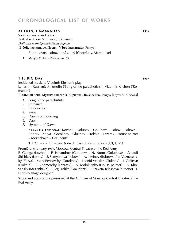### **action, camaradas 1936 1936**

Song for voice and piano Text: Alexander Smolyan (in Russian) *Dedicated to the Spainish Frente Popular*

#### [**В бой, камарадос.** Песня **· V boi, kamarados.** Pesnya]

Bodro. Marsheobrazno ( $\sqrt{ }$  = 132) [Cheerfully. March-like]

► Muzyka Collected Works: Vol. 24

### **the big day MS 1937 Keine Noten von Hollanden 1937**

Incidental music to Vladimir Kirshon's play Lyrics (in Russian): A. Smolin ('Song of the parachutists'), Vladimir Kirshon ('Romance')

[**Большой день.** Музыка к пьесе В. Киршона **· Bolshoi den.** Muzyka k pyese V. Kirshona]

- *1*. Song of the parachutists
- *2*. Romance
- *3*. Introduction
- *4*. Svina
- *5*. Dawns of mourning
- *6*. Dawn
- *7*. 'Symphony' Dawn

**d r a m at i s p e r s o n a e** : Kozhni – Golubev – Golubeva – Lobov – Lobova – Bobrov – Zorya – Gorokhov – Glukhov – Erokhin – Lazarev – House painter – Mezenbakh – Graudents

1.1.2.1 – 2.2.1.1 – perc (side dr, bass dr, cym). strings (1/1/1/1/1)

Première: 6 January 1937, Moscow, Central Theatre of the Red Army

P. Geraga (Kozhni) – P. Nikandrov (Golubev) – N. Nurm (Golubeva) – Anatoli Shishkov (Lobov) – S. Semyonova (Lobova) – A. Litvinov (Bobrov) – Yu. Voznesensky (Zorya) – Mark Pertsovsky (Gorokhov) – Leonid Veitsler (Glukhov) – I. Golitsyn (Erokhin) – S. Znamensky (Lazarev) – A. Molokienko (House painter) – A. Khovansky (Mezenbakh) – Oleg Frelikh (Graudents) – Elizaveta Telesheva (director) – I. Fedotov (stage designer)

Score and vocal score preserved at the Archives of Moscow Central Theatre of the Red Army.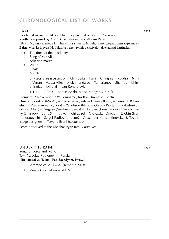### **baku WS 1010191 Keine Noten vorhanden 1937**

Incidental music to Nikolai Nikitin's play in 4 acts and 12 scenes Jointly composed by Aram Khachaturyan and Abram Peisin [**Баку.** Музыка к пьесе Н. Никитина в четырёх действиях, двенадцати картинах **·**

**Baku.** Muzyka k pyese N. Nikitina v chetyryokh deistviyakh, dvenadtsati kartinakh]

- *1*. The dock of the black city
- *2*. Song of Mir Ali
- *3*. Askerian march
- *4*. Waltz
- *5*. Finale
- *6*. March

**DRAMATIS PERSONAE:** Mir Ali – Leila – Fami – Chinghiz – Kyudra – Nina – Vartan – Mussa Aliev – Mekhmandarov – Tamerlanov – Sharifov – Chinchiradze – Official – Ivan Kondratevich

 $1.1.1.1 - 2.0.0.0 -$  perc (side dr). piano. strings  $(1/1/1/1/1)$ 

Première: 2 November 1937, Leningrad, Radlov Dramatic Theatre Dmitri Dudnikov (Mir Ali) – Rostovtseva (Leila) – Evteeva (Fami) – Gurevich (Chinghiz) – Vladimirova (Kyudra) – Yakobson (Nina) – Glebov (Vartan) – Kalashnikov (Mussa Aliev) – Dergaev (Mekhmandarov) – Glagolev (Tamerlanov) – Vsevolozhsky (Sharifov) – Boris Smirnov (Chinchiradze) – Glovatsky (Official) – Zlobin (Ivan Kondratevich) – Sergei Radlov (director) – Alexander Konstantinovsky, S. Tovbin (stage designers) – Tatyana Bruni (costumes)

Score preserved at the Khachaturyan family archives.

### **under the rain 1037 1037**

Song for voice and piano Text: Yaroslav Rodionov (in Russian) [**Под дождём.** Песня **· Pod dozhdyom.** Pesnya]

V tempe valsa  $(l = 58)$  [Tempo di valse]

► Muzyka Collected Works: Vol. 24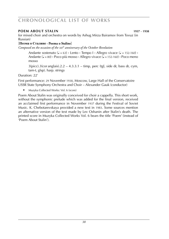### **poem about stalin WS 1010144 1937** – **1938**

for mixed choir and orchestra on words by Ashug Mirza Bairamov from Tovuz (in Russian)

### [**Поэма о Сталине · Poema o Staline**]

*Composed on the occasion of the* 20*th anniversary of the October Revolution*

Andante sostenuto  $(J = 63)$  **·** Lento **·** Tempo  $I \cdot$  Allegro vivace  $(J = 152-160)$  **·** Andante ( $\sqrt{ }$  = 80) **·** Poco più mosso **·** Allegro vivace ( $\sqrt{ }$  = 152-160) **·** Poco meno mosso

 $3(pice).3(cor \text{anglais}).2.2 - 4.3.3.1 - timp$ , perc (tgl, side dr, bass dr, cym, tam-t, glsp). harp. strings

Duration: 22'

First performance: 29 November 1938, Moscow, Large Hall of the Conservatoire USSR State Symphony Orchestra and Choir – Alexander Gauk (conductor)

► Muzyka Collected Works: Vol. 6 (score)

Poem About Stalin was originally conceived for choir a cappella. This short work, without the symphonic prelude which was added for the final version, received an acclaimed first performance in November 1937 during the Festival of Soviet Music. K. Chebotarevskaya provided a new text in 1983. Some sources mention an alternative version of the text made by Lev Oshanin after Stalin's death. The printed score in Muzyka Collected Works Vol. 6 bears the title 'Poem' (instead of 'Poem About Stalin').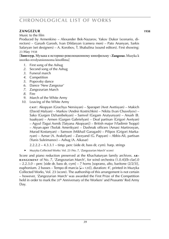### **zangezur WS 1010208 Keine Noten vorhanden 1938**

Music to the film

Produced by Armenkino – Alexander Bek-Nazarov, Yakov Dukor (scenario, directors) – Garush Garosh, Ivan Dildaryan (camera men) – Pato Ananyan, Sarkis Safaryan (set designers) – A. Korobov, T. Shabalina (sound editors). First showing: 23 May 1938

[**Зангезур.** Музыка к историко-революционному кинофильму **· Zangezur.** Muzyka k istoriko-revolyutsionnomu kinofilmu]

- *1*. First song of the Ashug
- *2*. Second song of the Ashug
- *3*. Funeral march
- *4*. Competition
- *5*. Popovsky dance
- *6*. Dance 'New Zangezur'
- *7*. Zangezurian March
- *8*. Fire
- *9*. March of the White Army
- *10*. Leaving of the White Army

**c a s t** : Akopyan (Grachya Nersisyan) – Sparapet (Avet Avetisyan) – Makich (David Malyan) – Markov (Andrei Kostrichkin) – Nikita (Ivan Chuvelyov) – Sako (Gurgen Dzhanibekyan) – Samvel (Gegam Arutyunyan) – Anush (B. Isaakyan) – Armen (Gurgen Gabrielyan) – Deaf partisan (Grigori Avetyan) – Agyul (Tagui Asmik [Tatyana Akopyan]) – British major (Vladimir Tsoppi) – Atyun-aper (Tsolak Amerikyan) – Dashnak officers (Amasi Martirosyan, Murad Kostanyan) – Samson (Mikhail Garagash) – Pilipos (Grigori Markaryan) – Aznar (A. Arakelyan) – Zarzyand (G. Papyan) – Abbis-Ali, partisan (Yunis Suleimanov) – Ashug (A. Aikasar)

 $2.2.2.2 - 4.3.3.1 - \text{time}$ , perc (side dr, bass dr, cym). harp. strings

► Muzyka Collected Works: Vol. 23 (No. 7, 'Zangezurian March' score)

Score and piano reduction preserved at the Khachaturyan family archives. AR**r a n g e m e n t** of No. 7, 'Zangezurian March', for wind orchestra (1.0.4[*Eb* clar].0  $-2.2.3.0$  – perc [side dr, bass dr, cym] – 7 horns [soprano, alto, baritone  $(2/2/3)$ ], euphonium. 2 basses – Tempo di marcia  $\left[\rule{0pt}{13pt}\right]$  = 120]), duration: 4', printed in Muzyka Collected Works, Vol. 23 (score). The authorship of this arrangement is not certain – however, 'Zangezurian March' was awarded the First Prize of the Competition held in order to mark the 20<sup>th</sup> Anniversary of the Workers' and Peasants' Red Army Day.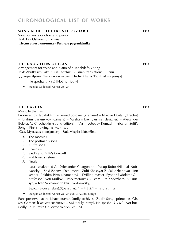#### **song about the frontier guard MS 1938 1938**

Song for voice or choir and piano Text: Lev Oshanin (in Russian) [**Песня о пограничнике · Pesnya o pogranichnike**]

#### **the DAUGHTERS OF IRAN 1938**

Arrangement for voice and piano of a Tadzhik folk song Text: Abulkasim Lakhuti (in Tadzhik), Russian translation: T. Banu [**Дочери Ирана.** Таджикская песня **· Docheri Irana.** Tadzhikskaya pesnya]

- Ne spesha ( $\sqrt{u} = 69$ ) [Not hurriedly]
- ► Muzyka Collected Works: Vol. 24

#### **the GARDEN 1939**

Music to the film

Produced by Tadzhikfilm – Leonid Solovev (scenario) – Nikolai Dostal (director) – Ibrahim Baramykov (camera) – Varsham Eremyan (set designer) – Alexander Bekker, V. Chechetkin (sound editors) – Vasili Lebedev-Kumach (lyrics of 'Sulfi's Song'). First showing: 15 May 1939

[**Сад.** Музыка к кинофильму **· Sad.** Muzyka k kinofilmu]

- *1*. The morning
- *2*. The postman's song
- *3*. Zulfi's song
- *4*. Overture
- *5*. Said's and Zulfi's farewell
- *6*. Makhmed's return
- *7*. Finale

**c a s t** : Makhmed-Ali (Alexander Chargonin) – Yusup-Bobo (Nikolai Noblyansky) – Said (Shamsi Dzhuraev) – Zulfi Khasnyat (S. Sakidzhanova) – Inn keeper (Rakhim Pirmukhamedov) – Drilling master (Fyodor Evdokimov) – professor (Pyotr Kirillov) – Two tractorists (Rustam Tura-Khodzhaev, A. Sinitsyn) – Ivan Sakharovich (Yu. Fyodorovsky)

 $3(picc).3(cor anglais).3(bass clar).1 - 4.3.2.1 - harp. strings$ 

► Muzyka Collected Works: Vol. 24 (No. 3, 'Zulfi's Song')

Parts preserved at the Khachaturyan family archives. 'Zulfi's Song', printed as 'Oh, Му Garden' [Сад мой любимый – Sad moi lyubimy], Ne spesha ( $l = 66$ ) [Not hurriedly] in Muzyka Collected Works, Vol. 24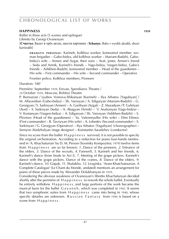#### **HAPPINESS** 1939

Ballet in three acts (5 scenes and epilogue) Libretto by Georgi Ovanesyan

[**Счастье.** Балет в трёх актах, шести картинах **· Schastye.** Balet v tryokh aktakh, shesti kartinakh]

**d r a m at i s p e r s o n a e** : Karineh, kolkhoz worker, komsomol member, woman brigadier – Gabo-bidza, old kolkhoz worker – Mariam-Badzhi, Gabobidza's wife – Armen and Azgat, their sons – Avet, jester, Armen's friend – Seda and Armik, Karineh's friends – Vago-bidza, Vasgen-bidza, Gabo's friends – Ashkhen-Badzhi, komsomol member – Head of the guardsmen – His wife – First commander – His wife – Second commander – Operative

Frontier police, Kolkhoz members, Pioneers

Duration: 180'

Première: September 1939, Erevan, Spendiarov Theatre /

24 October 1939, Moscow, Bolshoi Theatre

P. Burnazian / Lyubov Voinova-Shikanyan (Karineh) – Ilya Arbatov [Yagubyan] / M. Allaverdian (Gabo-bidza) – Sh. Varosyan / A. Edigaryan (Mariam-Badzhi) – G. Georgyan / S. Sarkisyan (Armen) – A. Garibyan (Azgat) – Z. Muradyan / P. Galetyan (Avet) – S. Sarkisyan (Seda) – A. Abagyan (Armik) – V. Arutiunyan (Vago-bidza) – V. Kostanyan (Vasgen-bidza) – A. Edigaryan / Sh. Varosyan (Ashkhen-Badzhi) – S. Plovtsov (Head of the guardsmen) – Yu. Valenmyuller (His wife) – Efim Efimov (First commander) – R. Tavrizyan (His wife) – A. Lebedev (Second commander) – S. Sarkinyan / G. Georgyan (Operative) – Ilya Arbatov [Yagubyan] (choreographer) – Semyon Aladzhalyan (stage designer) – Konstantin Saradzhev (conductor)

Since no score from the ballet H a p p i n e s s survived, it is not possible to specify the original orchestration. According to a reduction for piano four-hands mentioned in 'A. Khachaturian' by D. M. Person (Sovetsky Kompozitor, 1979) twelve items from H a p p i n e s s are so far known: *1*. Dance of the pioneers, 2. Entrance of the elders*, 3*. Dance of the recruits, *4*. Farewell, *5*. Karineh and her friends, *6*. Karineh's dance (from finale to Act I), *7*. Meeting of the grape pickers. Karineh's dance with the grape pickers. Dance of the cranes, *8*. Dance of the elders, *9*. Karineh's dance, *10*. Gopak, *11*. Shalakho, *12*. Lezginka. 'Aram Khatchatourian. A Complete Catalogue' (Le Chant du Monde, undated) mentions an arrangement for piano of these pieces made by Alexander Dolukhanyan in 1939.

Considering the obvious weakness of Ovanesyan's libretto Khachaturyan decided shortly after the permière of H a p p i n e s s to rework the whole ballet. Eventually he entirely withdrew Happiness, and large portions of the work became the musical basis for the ballet G a y a n e h , which was completed in 1942. It seems that two symphonic suites from Happiness came into being in 1940, whose specific detailes are unknown. Russian Fantasy from 1944 is based on a scene from Happiness.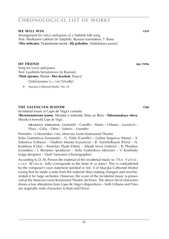# *42*

# **chronological list of works**

### **we will win WS 1010286 1939**

Arrangement for voice and piano of a Tadzhik folk song Text: Abulkasim Lakhuti (in Tadzhik), Russian translation: T. Banu [**Мы победим.** Таджикская песня **· My pobedim.** Tadzhikskaya pesnya]

**my friend WS 1010286 late 1930s**

Song for voice and piano Text: Lyudmila Serostanova (in Russian) [**Мой дружок.** Песня **· Moi druzhok.** Pesnya]

Ozhivlyonno  $(J = 144)$  [Vividly]

► Muzyka Collected Works: Vol. 24

### **the valencian widow 1940**

Incidental music to Lope de Vega's comedy [**Валенсианская вдова.** Музыка к комедии Лопе де Вега **· Valensianskaya vdova.** Muzyka k komedii Lope de Vega]

**d r a m at i s p e r s o n a e** : Leonarda – Camillo – Marta – Urbana – Lucencio – Flora – Celia – Otón – Valerio – Lisandro

Première: 14 November 1940, Moscow, Lenin Komsomol Theatre Sofia Giatsintova (Leonarda) – G. Palin (Camillo) – Galina Sergeeva (Marta) – S. Sokolova (Urbana) – Vladimir Maruta (Lucencio) – B. Vainshelbaum (Flora) – N. Koshkina (Celia) – Rostislav Plyatt (Otón) – Arkadi Vovsi (Valerio) – B. Plonikov (Lisandro) – I. Bersenev (producer) – Sofia Giatsintova (director) – V. Kozlinsky (stage designer) – Vasili Vainonen (choreographer)

According to D. M. Person the material of the incidental music to  $The  $Valen$$ c i a n W i d o w fully corresponds to the Suite (► *see below*). This is contradicted by the composer's own statement (printed in Vol. 4 of Muzyka Collected Works) saying that he made a suite from the material (thus making changes) and reorchestrated it for large orchestra. However, the score of the incidental music is preserved at the Moscow Lenin Komsomol Theatre Archives. The above list of characters shows a few alterations from Lope de Vega's dispositions – both Urbana and Flora are originally male characters (Urbán and Floro).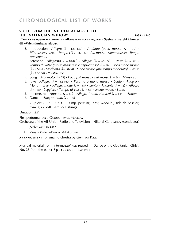### **Suite from the incidental music to 'the valencian widow' WS 1000381 1939** – **1940**

#### [**Сюита из музыки к комедии »Валенсианская вдова« · Syuita iz muzyki k komedii »Valensianskaya vdoba«**]

- *1*. Introduction *Allegro* ( $\sqrt{ }$  = 126-132) **·** *Andante [poco mosso]* ( $\sqrt{ }$  = 72) **·**  $P$ iù mosso ( $\downarrow$  = 96)  $\cdot$  *Tempo I* ( $\downarrow$  = 126-132)  $\cdot$  *Più mosso*  $\cdot$  *Meno mosso*  $\cdot$  *Tempo precedente)*
- *2.* Serenade *Allegretto* ( $J = 84-88$ ) **·** *Allegro* ( $J = 66-69$ ) **·** *Presto* ( $J = 92$ ) **·** *Tempo di valse [molto moderato e capriccioso]* (h k = 56) **·** *Poco meno mosso* (q = 92-96) **·** *Moderato* (q = 80-84) **·** *Meno mosso [ma tempo moderato]* **·** *Presto* (h = 96-100) **·** *Prestissimo*
- 3. Song *Moderato*  $(l = 72)$  **·** *Poco più mosso* **·** *Più mosso*  $(l = 84)$  **·** *Maestoso*
- *4.* Joke *Allegro*  $\mathcal{L} = 152-160$  **·** *Pesante e meno mosso* · *Lento* · *Allegro* · *Meno mosso* **•** *Allegro molto* ( $J = 168$ ) **•** *Lento* **·** *Andante* ( $J = 72$ ) **·** *Allegro*  $(L = 168)$  **·** *Leggiero* **·** *Tempo di valse*  $(L = 66)$  **·** *Meno mosso* · *Lento*
- *5.* Intermezzo *Andante* ( $\sqrt{ } = 66$ ) **·** *Allegro [molto ritmico]* ( $\sqrt{ } = 144$ ) · *Andante*
- *6.* Dance *Allegro molto*  $(l = 160)$

 $2(2picc).2.2.2 - 4.3.3.1 - timp. perc (tgl, cast, wood bl, side dr, bass dr,$ cym, glsp, xyl). harp. cel. strings

### Duration: 25'

First performance: 3 October 1943, Moscow

Orchestra of the All-Union Radio and Television – Nikolai Golovanov (conductor)

#### *pocket score:* **sik 6917**

► Muzyka Collected Works: Vol. 4 (score)

**ARRANGEMENT** for small orchestra by Gennadi Kats.

Musical material from 'Intermezzo' was reused in 'Dance of the Gaditanian Girls', No. 28 from the ballet S p a r t a c u s (1950-1954).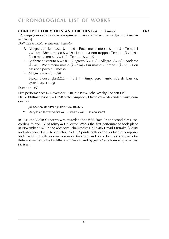#### **cONCERTO FOR VIOLIN AND ORCHESTRA** in D minor **1940**

### [**Концерт для скрипки с оркестром** re minore **· Kontsert dlya skripki s orkestrom** re minore]

*Dedicated to David Fyodorovich Oistrakh*

- *1*. Allegro con fermezza ( $\sqrt{ }$  = 132) **·** Poco meno mosso ( $\sqrt{ }$  = 116) **·** Tempo I  $(L = 132)$  **•** Meno mosso  $(L = 92)$  **·** Lento ma non troppo **·** Tempo  $\lvert L \rvert = 132$  **·** Poco meno mosso ( $J = 116$ )  $\cdot$  Tempo I ( $J = 132$ )
- 2. Andante sostenuto ( $J = 63$ ) **·** Allegretto ( $J = 132$ ) **·** Allegro ( $J = 72$ ) **·** Andante  $\left(\frac{1}{2} = 69\right)$  **•** Poco meno mosso  $\left(\frac{1}{2} = 126\right)$  **·** Più mosso **·** Tempo I  $\left(\frac{1}{2} = 63\right)$  **·** Con passione poco più mosso
- 3. Allegro vivace  $(J = 88)$  $3(pice).3(cor analysis).2.2 - 4.3.3.1 - timp. perc (tamb, side dr, bass dr,$ cym). harp. strings

Duration: 35'

First performance: 16 November 1940, Moscow, Tchaikovsky Concert Hall David Oistrakh (violin) – USSR State Symphony Orchestra – Alexander Gauk (conductor)

#### *piano score:* **sik 6108** · *pocket score:* **sik 2212**

► Muzyka Collected Works: Vol. 17 (score), Vol. 18 (piano score)

In 1941 the Violin Concerto was awarded the USSR State Prize second class. According to Vol. 17 of Muzyka Collected Works the first performance took place in November 1940 in the Moscow Tchaikovsky Hall with David Oistrakh (violin) and Alexander Gauk (conductor). Vol. 17 prints both cadenzas by the composer and David Oistrakh. **ARRANGEMENTS:** for violin and piano by the composer ■ for flute and orchestra by Karl-Bernhard Sebon and by Jean-Pierre Rampal (*piano score:* **sik 6903**).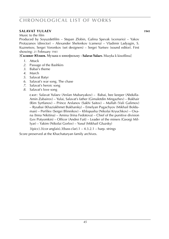### **SALAVAT YULAEV** 1941

Music to the film

Produced by Soyuzdetfilm – Stepan Zlobin, Galina Spevak (scenario) – Yakov Protazanov (director) – Alexander Shelenkov (camera) – Vladimir Ladyagin, S. Kuznetsov, Sergei Voronkov (set designers) – Sergei Yurtsev (sound editor). First showing: 21 February 1941

[**Салават Юлаев.** Музыка к кинофильму **· Salavat Yulaev.** Muzyka k kinofilmu]

- *1*. Attack
- *2*. Passage of the Bashkirs
- *3*. Babai's theme
- *4*. March
- *5*. Salavat Batyr
- *6*. Salavat's war song. The chase
- *7*. Salavat's heroic song
- *8*. Salavat's love song

**c a s t** : Salavat Yulaev (Arslan Mubaryakov) – Babai, bee keeper (Abdulla-Amin Zubairov) – Yulai, Salavat's father (Gimaletdin Mingazhev) – Bukhair (Rim Syrtlanov) – Prince Arslanov (Sakhi Saitov) – Mullah (Vali Galimov) – Rysabai (Khaziakhmet Bukharsky) – Emelyan Pugachyov (Mikhail Bolduman) – Perfilev (Sergei Blinnikov) – Khlopusha (Nikolai Kryuchkov) – Oxana (Inna Nikitina) – Amina (Irina Fedotova) – Chief of the punitive division (Lev Potyomkin) – Officer (Andrei Fait) – Leader of the miners (Georgi Millyar) – Yakim (Nikolai Gorlov) – Yusuf (Mikhail Gluzsky)

 $3$ (picc). $3$ (cor anglais). $3$ (bass clar). $1 - 4.3.2.1 -$ harp. strings

Score preserved at the Khachaturyan family archives.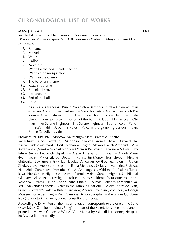#### **masquerade** 1941

Incidental music to Mikhail Lermontov's drama in four acts

[**Маскарад.** Музыка к драме М. Ю. Лермонтова **· Maskarad.** Muzyka k drame M. Yu. Lermontova]

- *1*. Romance
- *2*. Mazurka
- *3*. Waltz
- *4*. Gallop
- *5*. Nocturne
- *6*. Waltz for the bed chamber scene
- *7*. Waltz at the masquerade
- *8*. Waltz in the casino
- *9*. The barones's theme
- *10*. Kazarin's theme
- *11*. Bracelet theme
- *12*. Introduction
- *13*. End of the ball
- *14*. Choral

**d r a m at i s p e r s o n a e** : Prince Zvezdich – Baroness Shtral – Unknown man – Evgeni Alexandrovich Arbenin – Nina, his wife – Afanasi Pavlovich Kazarin – Adam Petrovich Shprikh – Official Ivan Ilyich – Doctor – Trushchyov – Four gamblers – Hostess of the ball – A lady – Her nieces – Old man – Her Serene Highness – His Serene Highness – Four officers – Petrov – Nina's maid – Arbenin's valet – Valet in the gambling parlour – Ivan, Prince Zvezdich's valet

Première: 21 June 1941, Moscow, Vakhtangov State Dramatic Theatre

Vasili Kuza (Prince Zvezdich) – Maria Sinelnikova (Baroness Shtral) – Osvald Glazunov (Unknown man) – Iosif Tolchanov (Evgeni Alexandrovich Arbenin) – Alla Kazanskaya (Nina) – Mikhail Sidorkin (Afanasi Pavlovich Kazarin) – Nikolai Pazhitnov (Adam Petrovich Shprikh) – Alexei Emelyanov (Official) – Arkadi Marin (Ivan Ilyich) – Viktor Eikhov (Doctor) – Konstantin Monov (Trushchyov) – Nikolai Gritsenko, Lev Snezhnitsky, Igor Lipsky, D. Karaushev (Four gamblers) – Garen Zhukovskaya (Hostess of the ball) – Elena Menshova (A lady) – Valentina Ershova, Nadezhda Generalova (Her nieces) – A. Arkhangelsky (Old man) – Valeria Tumskaya (Her Serene Highness) – Alexei Panteleev (His Serene Highness) – Nikolai Gladkov, Arkadi Nemerovsky, Anatoli Nal, Boris Shukhmin (Four officers) – Boris Korolyov (Petrov) – Nina Zorina (Nina's maid) – Nikolai Lebedev (Arbenin's valet) – Alexander Lebedev (Valet in the gambling parlour) – Alexei Kotrelev (Ivan, Prince Zvezdich's valet) – Ruben Simonov, Andrei Tutyshkin (producers) – Georgi Moiseev (stage designer) – Vasili Vainonen (choreographer) – Alexander Golubentsev (conductor) – K. Semyonova (consultant for lyrics)

According to D. M. Person the instrumentation corresponds to the one of the Suite (► *see below*). One item, 'Nina's Song' (not part of the Suite), for voice and piano is printed in Muzyka Collected Works, Vol. 24, text by Mikhail Lermontov, Ne spesha ( $J = 76$ ) [Not hurriedly].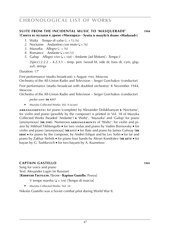### **Suite from the incidental music to 'masquerade' 1944** [**Сюита из музыки к драме »Маскарад« · Syuita iz muzyki k drame »Maskarad«**]**4456**

- *1.* Waltz *Tempo di valse* ( $\sqrt{a} = 72-76$ )
- 2. Nocturne *Andantino con moto*  $(l = 76)$
- *3.* Mazurka *Allegro* (*d.* = 76)
- *4.* Romance *Andante* ( $J = 69-72$ )
- *5.* Galop *Allegro vivo* (q = 168) **·** *Andante [ad libitum]* **·** *Tempo I*  $2(picc).2.2.2 - 4.2.3.1 - timp. perc (wood bl, side dr, bass dr, cym, glsp,$ xyl). strings

Duration: 17'

First performance (studio broadcast): 6 August 1944, Moscow

Orchestra of the All-Union Radio and Television – Sergei Gorchakov (conductor)

First performance (studio broadcast with doubled orchestra): 8 November 1944, Moscow

Orchestra of the All-Union Radio and Television – Sergei Gorchakov (conductor)

#### *pocket score:* **sik 6117**

► Muzyka Collected Works: Vol. 4 (score)

**ARRANGEMENTS:** for piano (complete) by Alexander Dolukhanyan ■ 'Nocturne', for violin and piano (possibly by the composer) is printed in Vol. 18 of Muzyka Collected Works (headed 'Andante') ■ 'Waltz', 'Mazurka' and 'Galop' for piano [anonymous] (SIK 2105). Numerous ARRANGEMENTS of 'Waltz': for violin and piano by Mikhail Fikhtengolts  $\bullet$  for two violas and piano by Vadim Borisovsky  $\bullet$  for violin and piano [anonymous] (**sik 6111**) ■ for flute and piano by James Galway (**sik 6844**) ■ for piano by the composer, by Andrei Eshpai and by Lev Solin ■ for tar and piano by Zakhar Stelnik ■ for piano four hands by Alexei Kondratev (**sik 6874**) ■ for bayan by G. Tushkevich ■ for two bayans by A. Kuznetsov

#### **captain gastello WS 1010286 1941**

Song for voice and piano Text: Alexander Lugin (in Russian) [**Капитан Гастелло.** Песня **· Kapitan Gastello.** Pesnya]

V tempe marsha ( $\sqrt{ }$  = 104) [Tempo di marcia]

► Muzyka Collected Works: Vol. 24

Nikolai Gastello was a Soviet combat pilot during World War II.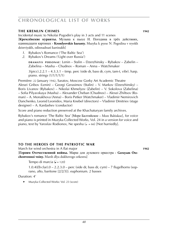#### **the kremlin chimes 1942**

Incidental music to Nikolai Pogodin's play in 3 acts and 11 scenes [**Кремлёвские куранты.** Музыка к пьесе Н. Погодина в трёх действиях, одиннадцати картинах **· Kremlyovskie kuranty.** Muzyka k pyese N. Pogodina v tryokh deistviyakh, odinnadtsati kartinakh]

- *1*. Rybakov's Romance ('The Baltic Sea')
- *2*. Rybakov's Dreams ('Light over Russia')

**d r a m at i s p e r s o n a e** : Lenin – Stalin – Dzerzhinsky – Rybakov – Zabelin – Zabelina – Masha – Chudnov – Roman – Anna – Watchmaker

 $3(pice)$ .2.2.1 – 4.3.3.1 – timp. perc (side dr, bass dr, cym, tam-t, vibr). harp. piano. strings (1/1/1/1/1)

Première: 22 January 1942, Saratov, Moscow Gorky Art Academic Theatre Alexei Gribov (Lenin) – Georgi Gerasimov (Stalin) – V. Markov (Dzerzhinsky) – Boris Livanov (Rybakov) – Nikolai Khmelyov (Zabelin) – V. Sokolova (Zabelina) – Sofia Pilyavskaya (Masha) – Alexander Cheban (Chudnov) – Alexei Zhiltsov (Roman) – A. Monakhova (Anna) – Boris Petker (Watchmaker) – Vladimir Nemirovich Danchenko, Leonid Leonidov, Maria Knebel (directors) – Vladimir Dmitriev (stage designer) – A. Kardashev (conductor)

Score and piano reduction preserved at the Khachaturyan family archives.

Rybakov's romance 'The Baltic Sea' [Море Балтийское – More Baltiskoe], for voice and piano is printed in Muzyka Collected Works, Vol. 24 in a version for voice and piano, text by Yaroslav Rodionov, Ne spesha  $(J = 66)$  [Not hurriedly].

#### **TO THE HEROES OF THE PATRIOTIC WAR**

March for wind orchestra in A flat major **1942**

[**Героям Отечественной войны.** Марш для духового оркестра **· Geroyam Otechestvennoi voiny.** Marsh dlya dukhovogo orkestra]

Tempo di marcia  $\left(\frac{1}{2}\right) = 120$ 

1.0.4(*Eb* clar).0 – 2.2.3.0 – perc (side dr, bass dr, cym) – 7 flugelhorns (soprano, alto, baritone [2/2/3]). euphonium. 2 basses

Duration: 4'

► Muzyka Collected Works: Vol. 23 (score)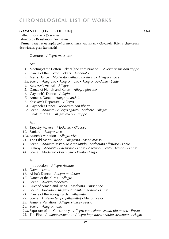### **GAYANEH** [FIRST VERSION] **1942**

Ballet in four acts (5 scenes)

Libretto by Konstantin Derzhavin

[**Гаянэ.** Балет в четырёх действиях, пяти картинах **· Gayaneh.** Balet v chetyryoch deistviyakh, pyati kartinakh]

#### Overture *Allegro maestoso*

#### Act I

- *1*. Meeting of the Cotton Pickers (and continuation) *Allegretto ma non troppo*
- *2*. Dance of the Cotton Pickers *Moderato*
- *3*. Men's Dance *Moderato* **·** *Allegro moderato* **·** *Allegro vivace*
- *3a*. Scene *Allegretto* **·** *Allegro molto* **·** *Allegro* **·** *Andante* **·** *Lento*
- *4.* Kasakov's Arrival *Allegro*
- *5.* Dance of Nuneh and Karen *Allegro giocoso*
- *6*. Gayaneh's Dance *Adagio*
- *7*. Armen's Dance *Allegro marciale*
- *8*. Kasakov's Departure *Allegro*
- *8a*. Gayaneh's Dance *Moderato con libertà*
- *8b*. Scene *Andante* **·** *Allegro agitato* **·** *Andante* **·** *Allegro* Finale of Act I *Allegro ma non troppo*

#### Act II

- *9*. Tapestry Makers *Moderato* **·** *Giocoso*
- *10*. Fanfare *Allegro vivo*
- *10a*. Nuneh's Variation *Allegro vivo*
- *11*. The Old Man's Dance *Allegretto* **·** *Meno mosso*
- *12*. Scene *Andante sostenuto e recitando* **·** *Andantino affetuoso* **·** *Lento*
- *13*. Lullaby *Andante* **·** *Più mosso* **·** *Lento* **·** *A tempo* **·** *Lento* **·** *Tempo I* **·** *Lento*
- *14*. Scene *Moderato* **·** *Più mosso* **·** *Presto* **·** *Largo*

#### Act III

Introduction *Allegro risoluto*

- *15*. Dawn *Lento*
- *16*. Aisha's Dance *Allegro moderato*
- *17*. Dance of the Kurds *Allegro*
- *18*. Scene *Allegro moderato*
- *19*. Duet of Armen and Aisha *Moderato* **·** *Andantino*
- *20*. Scene *Risoluto* **·** *Allegro* **·** *Andante maestoso* **·** *Lento*
- *21*. Dance of the Young Kurds *Allegretto*
- *22*. Scene *L'istesso tempo [allegretto]* **·** *Meno mosso*
- *23*. Armen's Variation *Allegro vivace* **·** *Presto*
- *24*. Scene *Allegro molto*
- *24a*. Exposure of the Conspiracy *Allegro con calore* **·** *Molto più mosso* **·** *Presto*
- *25.* The Fire *Andante sostenuto* **·** *Allegro impetuoso* **·** *Molto sostenuto* **·** *Adagio*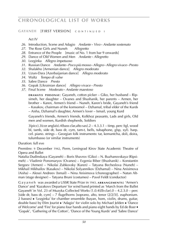### **GAYANEH [FIRST VERSION] CONTINUED I**

#### Act IV

- *26*. Introduction, Scene and Adagio *Andante* **·** *Vivo* **·** *Andante sostenuto*
- *27*. The Rose Girls and Nuneh *Allegretto*
- *28*. Entrance of the People [music of No. 1 from bar 9 onwards]
- *29.* Dance of Old Women and Men *Andante* **·** *Allegretto*
- *30*. Lezginka *Allegro impetuoso*
- *31*. Russian Dance *Andante* **·** *Poco più mosso* **·** *Allegro* **·** *Allegro vivace* **·** *Presto*
- *32*. Shalakho [Armenian dance] *Allegro moderato*
- *33*. Uzun-Dara [Azerbaijanian dance] *Allegro moderato*
- *34*. Waltz *Tempo di valse*
- *35*. Sabre Dance *Presto*
- *36*. Gopak [Ukrainian dance] *Allegro vivace* **·** *Presto*
- *37*. Final Scene *Moderato* **·** *Andante maestoso*

**DRAMATIS PERSONAE:** Gayaneh, cotton picker – Giko, her husband – Ripsimeh, her daughter – Ovanes and Shushanik, her parents – Armen, her brother – Karen, Armen's friend – Nuneh, Karen's bride, Gayaneh's friend – Kasakov, chairman of the komsomol – Dzhamal, tribal elder of the Kurds – Aisha, Dzhamal's daughter, Armen's lover – Ismail, young Kurd

Gayaneh's friends, Armen's friends, Kolkhoz peasants, Lads and girls, Old men and women, Kurdish shepherds, Soldiers

 $3(pice).3(cor anglais).4(bass clar,alto sax).2 - 4.3.3.1 - timp, perc (te, wood)$ bl, tamb, side dr, bass dr, cym, tam-t, bells, tubaphone, glsp, xyl). harp. cel. piano. strings – Georgian folk instruments: tar, kemantcha, doli, doira, tulumbasso (or similar instruments)

Duration: full eve

Première: 9 December 1942, Perm, Leningrad Kirov State Academic Theatre of Opera and Ballet

Natalia Dudinskaya (Gayaneh) – Boris Shavrov (Giko) – N. Buzhanovskaya (Ripsimeh) – Vladimir Ponomaryov (Ovanes) – Evgenia Biber (Shushanik) – Konstantin Sergeev (Armen) – Nikolai Zubkovsky (Karen) – Tatyana Becheslova (Nuneh) – Mikhail Mikhailov (Kasakov) – Nikolai Solyannikov (Dzhamal) – Nina Anisimova (Aisha) – Alexei Andreev (Ismail) – Nina Anisimova (choreographer) – Natan Altman (stage designer) – Tatyana Bruni (costumes) – Pavel Feldt (conductor)

G a y a n e h was awarded a USSR State Prize in 1943. ARRANGEMENTS: 'Armen's Dance' and 'Kazakovs Departure' for wind band printed as 'March from the Ballet Gayaneh' in Vol. 23 of Muzyka Collected Works (1.0.4(*Eb* clar).0 – 4.2.3.0 – perc [side dr, bass dr, cym] – 7 flugelhorns [soprano, alto, tenor  $(2/2/3)$ ]. euphonium. 2 basses) ■ 'Lezginka' for chamber ensemble (bayan, horn, violin, drums, guitar, double bass) by Efim Jourist ■ 'Adagio' for violin solo by Michael Jelden ■ 'Dance of Welcome' and 'Fire' for piano four hands and piano eight hands by Ed de Boer ■ 'Gopak', 'Gathering of the Cotton', 'Dance of the Young Kurds' and 'Sabre Dance'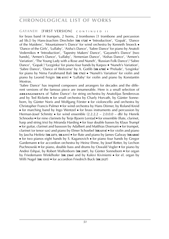#### **GAYANEH [FIRST VERSION]** CONTINUED II

for brass band (4 trumpets, 2 horns, 2 trombones [1 trombone and percussion ad lib.]) by Hans-Joachim Drechsler (**sik 1728**) ■ 'Introduction', 'Gopak', 'Dance of the Maidens', 'Mountaineer's Dance' for wind orchestra by Kenneth Snoeck ■ 'Dance of the Girls', 'Lullaby', 'Aisha's Dance', 'Sabre Dance' for piano by Anatoli Vedernikov ■ 'Introduction', 'Tapestry Makers' Dance', 'Gayaneh's Dance' [two hands], 'Armen's Dance', 'Lullaby', 'Armenian Dance', 'Aishas Dance', 'Armen's Variation', 'The Young Lady with a Rose and Nuneh', 'Russian Folk Dance'/ 'Sabre Dance', 'Gopak'/ 'Lezginka' for piano four hands by Karpov ■ 'Nuneh's Variation', 'Sabre Dance', 'Dance of Welcome' by A. Gotlib (**sik 6788**) ■ 'Prelude', 'Lesginka' for piano by Nima Farahmand Bafi (**sik 1763**) ■ 'Nuneh's Variation' for violin and piano by Leonid Feigin (**sik 6111**) ■ 'Lullaby' for violin and piano by Konstantin Mostras.

'Sabre Dance' has inspired composers and arrangers for decades and the different versions of the famous piece are innumerable. Here is a small selection of ARRANGEMENTS of 'Sabre Dance': for string orchestra by Anatolijus Šenderovas and by Ted Ricketts ■ for small orchestra by Charly Horvath, by Günter Sonneborn, by Günter Noris and Wolfgang Förster ■ for violoncello and orchestra by Christopher Francis Palmer ■ for wind orchestra by Hans Dörner, by Roland Kreid ■ for marching band by Ingo Wentzel ■ for brass instruments and percussion by Herman-Josef Schmitz  $\blacksquare$  for wind ensemble (2.2.2.2 – 2.0.0.0 – db) by Henrik Schnoeke ■ for nine clarinets by Terje Bjoern Lerstad ■ for ensemble (flute, clarinet, harp and string trio) by Miranda Harding ■ for four double basses by Klaus Trumpf ■ for guitar, clarinet and bassoon by Adalbert and Matthias Doersam ■ for trumpet, clarinet (or tenor sax) and piano by Elmer Schoebel (**sik 6114**) ■ for violin and piano by Jascha Heifetz (**sik 2273**, **sik 6111**) ■ for flute and piano by James Galway (**sik 6844**) ■ for two pianos eight hands by S. Kaganovich ■ for piano four hands by Gregor Gardemann ■ for accordion orchestra by Heinz Ehme, by Josef Retter, by Lechon Puchnowski ■ for piano, double bass and drums by Oswald Vogler ■ for piano by Andrei Eshpai, by Robert Wallenborn (**sik 2107**), by Günter Sonneborn ■ for organ by Friedemann Winklhofer (**sik 2364**) and by Kalevi Kiviniemi ■ for el. organ by Willi Nagel (**sik 1313**) ■ for accordion Friedrich Buck (**sik 2127**)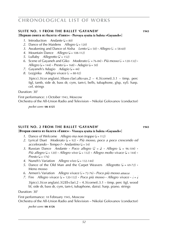#### **SUITE NO. 1 FROM THE BALLET 'GAYANEH' WAS 1943**

[**Первая сюита из балета »Гаянэ« · Pervaya syuita iz baleta »Gayaneh«**]

- *1.* Introduction *Andante*  $(d = 80)$
- *2.* Dance of the Maidens *Allegro* ( $J = 120$ )
- *3.* Awakening and Dance of Aisha *Lento*  $(l = 50)$  **·** *Allegro*  $(l = 58-60)$
- *4.* Mountain Dance *Allegro* ( $= 108-112$ )
- *5.* Lullaby *Allegretto* ( $\sqrt{ }$  = 152)
- *6.* Scene of Gayaneh and Giko *Moderato*  $(l = 76-84)$  **·** *Più mosso*  $(l = 120-132)$  **·**  $\Delta$ *Allegro* ( $\Delta$  = 144) **·** *Presto* ( $\Delta$  = 168) **·**  $\Delta$ *dagio* ( $\Delta$  = 50)
- *7.* Gayaneh's Adagio *Adagio* ( $= 44$ )
- *8.* Lezginka *Allegro vivace* ( $= 88-92$ )

 $3(pice).3(cor\, analysis).3(bass clar).alto sax.2 - 4.3(cornet).3.1 - timp. perc$ (tgl, tamb, side dr, bass dr, cym, tam-t, bells, tubaphone, glsp, xyl). harp. cel. strings

Duration: 30'

First performance: 3 October 1943, Moscow Orchestra of the All-Union Radio and Television – Nikolai Golovanov (conductor)

*pocket score:* **sik 6125**

#### **SUITE NO. 2 FROM THE BALLET 'GAYANEH' WAS 1943**

#### [**Вторая сюита из балета »Гаянэ« · Vtoraya syuita iz baleta »Gayaneh«**]

- *1.* Dance of Welcome *Allegro ma non troppo*  $(J = 112)$
- *2.* Lyrical Duet *Moderato* (q = 92) **·** *Più mosso, poco a poco crescendo ed*  $accelerando \cdot Tempo 1 \cdot Andantino (J = 54)$
- *3.* Russian Dance *Andante Poco allegro*  $(\Box) = \Box)$  *Allegro*  $(\Box) = 96-104$  *Più allegro* ( $J = 120$ ) **·** *Allegro vivo* ( $J = 132$ ) **·** *Allegro molto vivace* ( $J = 144$ ) **·**  $Presto (d = 176)$
- *4.* Nuneh's Variation *Allegro vivo* ( $=$  132-144)
- *5.* Dance of the Old Man and the Carpet Weavers *Allegretto* ( $J = 69-72$ ) **·** Meno mosso
- *6.* Armen's Variation *Allegro vivace* (h = 72-76) **·** *Poco più mosso attacca*
- *7.* Fire *Allegro vivace* ( $J = 120-132$ ) **·** *Poco più mosso* · *Allegro vivace* ·  $J = J$

3(picc).3(cor anglais).3(2*Eb* clar).2 – 4.3(cornet).3.1 – timp. perc (tgl, wood bl, side dr, bass dr, cym, tam-t, tubaphone, daira). harp. piano. strings

Duration: 30'

First performance: 18 February 1945, Moscow Orchestra of the All-Union Radio and Television – Nikolai Golovanov (conductor)

*pocket score:* **sik 6126**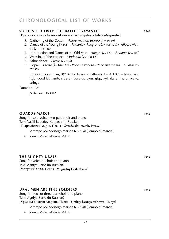#### **SUITE NO. 3 FROM THE BALLET 'GAYANEH' WAS 1943**

[**Третья сюита из балета »Гаянэ« · Tretya syuita iz baleta »Gayaneh«**]

- *1.* Gathering of the Cotton *Allero ma non troppo*  $(l = 66-69)$
- *2.* Dance of the Young Kurds *Andante* **·** *Allegretto* (q = 108-120) **·** *Allegro viva*  $ce$  ( $d = 132 - 138$ )
- *3.* Introduction and Dance of the Old Men *Allegro*  $(J = 120) \cdot$  *Andante*  $(J = 108)$
- *4.* Weaving of the carpets *Moderato* ( $J = 108-120$ )
- *5.* Sabre dance *Presto* ( $J = 184$ )
- *6.* Gopak *Presto* (q = 144-160) **·** *Poco sostenuto* **·** *Poco più mosso* **·** *Più mosso* **·**  *Presto*

3(picc).3(cor anglais).3(2*Eb* clar,bass clar).alto sax.2 – 4.3.3.1 – timp. perc (tgl, wood bl, tamb, side dr, bass dr, cym, glsp, xyl, daira). harp. piano. strings

Duration: 28'

*pocket score:* **sik 6127**

#### **guards march WS 1010286 1942**

Song for solo voice, two-part choir and piano Text: Vasili Lebedev-Kumach (in Russian)

[**Гвардейский марш.** Песня **· Gvardeiskij marsh.** Pesnya]

V tempe pokhodnogo marsha  $\left(\frac{1}{2}\right)$  = 104) [Tempo di marcia]

► Muzyka Collected Works: Vol. 24

#### **the mighty urals 1942**

Song for voice or choir and piano Text: Agniya Barto (in Russian) [**Могучий Урал.** Песня **· Moguchij Ural.** Pesnya]

#### **ural men are fine soldiers 1942**

Song for two- or three-part choir and piano Text: Agniya Barto (in Russian)

[**Уралцы бьются здорово.** Песня **· Uraltsy byutsya zdorovo.** Pesnya]

V tempe pokhodnogo marsha ( $\sqrt{ }$  = 120) [Tempo di marcia]

► Muzyka Collected Works: Vol. 24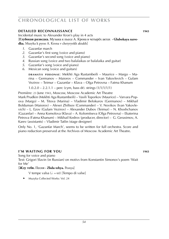#### **detailed reconnaissance MS** 1943

Incidental music to Alexander Kron's play in 4 acts [**Глубокая разведка.** Музыка к пьесе А. Крона в четырёх актах **· Glubokaya razvedka.** Muzyka k pyese A. Krona v chetyryokh aktakh]

- *1*. Gazanfar march
- *2*. Gazanfar's first song (voice and piano)
- *3*. Gazanfar's second song (voice and piano)
- *4*. Russian song (voice and two balalaikas or balalaika and guitar)
- *5*. Gazanfar's song (voice and piano)
- *6*. Mexican song (voice and guitars)

**d r a m at i s p e r s o n a e** : Mekhti Aga Rustambeili – Maurice – Margo – Marina – Germanov – Maiorov – Commander – Ivan Yakovlevich – Gulam Vezirov – Teimur – Gazanfar – Klava – Olga Petrovna – Fatma Khanum

1.0.2.0 – 2.2.1.1 – perc (cym, bass dr). strings  $(1/1/1/1/1)$ 

Première: 23 June 1943, Moscow, Moscow Academic Art Theatre

Mark Prudkin (Mekhti Aga Rustambeili) – Vasili Toporkov (Maurice) – Varvara Popova (Margo) – M. Titova (Marina) – Vladimir Belokurov (Germanov) – Mikhail Bolduman (Maiorov) – Alexei Zhiltsov (Commander) – V. Novikov (Ivan Yakovlevich) – L. Ezov (Gulam Vezirov) – Alexander Dubov (Teimur) – N. Khoshchanov (Gazanfar) – Anna Komolova (Klava) – A. Kolomitseva (Olga Petrovna) – Ekaterina Petrova (Fatma Khanum) – Mikhail Kedrov (producer, director) – G. Gerasimov, A. Karev (assistants) – Vladimir Tatlin (stage designer)

Only No. 1, 'Gazanfar March', seems to be written for full orchestra. Score and piano reduction preserved at the Archives of Moscow Academic Art Theatre.

#### **i'm waiting for you WS 1010286 1943**

Song for voice and piano Text: Grigori Slavin (in Russian) on motivs from Konstantin Simonov's poem 'Wait for Me'

[**Жду тебя.** Песня **· Zhdu tebya.** Pesnya]

- V tempe valsa ( $d = 60$ ) [Tempo di valse]
- ► Muzyka Collected Works: Vol. 24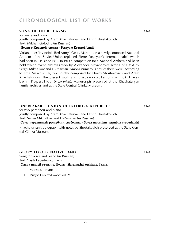### **song of the red army**  1943

for voice and piano Jointly composed by Aram Khachaturyan and Dmitri Shostakovich Text: Mikhail Golodny (in Russian)

#### [**Песня о Красной Армии · Pesnya o Krasnoi Armii**]

Variant title: 'Invincible Red Army'. On 15 March 1944 a newly composed National Anthem of the Soviet Union replaced Pierre Degeyter's 'Internationale', which had been in use since 1917. In 1943 a competition for a National Anthem had been held which eventually was won by Alexander Alexandroy's setting of a text by Sergei Mikhalkov and El-Registan. Among numerous entries there were, according to Erna Meskhishvili, two jointly composed by Dmitri Shostakovich and Aram Khachaturyan: The present work and  $\cup$ nbreakable  $\cup$ nion of Freeb o r n R e p u b li c s (► *see below*). Manuscripts preserved at the Khachaturyan family archives and at the State Central Glinka Museum.

#### **unbreakable union of freeborn republics 1943**

for two-part choir and piano

Jointly composed by Aram Khachaturyan and Dmitri Shostakovich

Text: Sergei Mikhalkov and El-Registan (in Russian)

[**Союз нерушимый республик свободних · Soyuz nerushimy respublik svobodnikh**]

Khachaturyan's autograph with notes by Shostakovich preserved at the State Central Glinka Museum.

### **GLORY TO OUR NATIVE LAND 1943**

Song for voice and piano (in Russian) Text: Vasili Lebedev-Kumach [**Слава нашей отчизне.** Песня **· Slava nashei otchizne.** Pesnya]

Maestoso, marcato

► Muzyka Collected Works: Vol. 24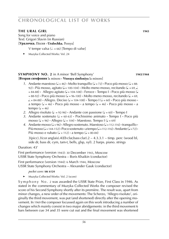### **the ural girl WS 1010286 1943**

Song for voice and piano Text: Grigori Slavin (in Russian)

[**Уралочка.** Песня **· Uralochka.** Pesnya]

V tempe valsa ( $d = 66$ ) [Tempo di valse]

► Muzyka Collected Works: Vol. 24

#### **SYMPHONY NO. 2** in A minor 'Bell Symphony' **WAS 1943**/1944 [**Вторая симфония** la minore **· Vtoraya simfoniya** la minore]

- *1*. Andante maestoso ( $\sqrt{ } = 46$ ) **·** Molto tranguillo ( $\sqrt{ } = 72$ ) **·** Poco più mosso ( $\sqrt{ } = 88$ -92) **·** Più mosso, agitato ( $J = 100-104$ ) · Molto meno mosso, recitando ( $J = 69$ ,  $J$ .  $= 84-88$ ) **·** Allegro agitato ( $= 104-108$ ) **·** Feroce · Tempo I · Poco più mosso (  $= 88-92$ ) **·** Poco più mosso ( $= 96-100$ ) · Molto meno mosso, recitando ( $= 69$ ,  $\downarrow$  = 84-88) **·** Allegro. Deciso ( $\downarrow$  = 104-108) **·** Tempo I ( $\downarrow$  = 60) **·** Poco più mosso **·** a tempo (q = 46) **·** Poco più mosso **·** a tempo (q = 46) **·** Poco più mosso **·** a tempo  $\overline{a} = 46$
- 2. Allegro risoluto ( $\downarrow$  = 92-96)  $\cdot$  Andante con passione ( $\downarrow$  = 60)  $\cdot$  Tempo I
- 3. Andante sostenuto  $\left(\frac{1}{2} = 60.63\right)$  Pochissimo animato Tempo I Poco più mosso ( $J = 96$ ) **·** Allegro ( $J = 104$ ) **·** Maestoso. Tempo I ( $J = 69$ )
- 4. Andante mosso ( $\sqrt{ } = 96$ ) **·** Allegro sostenuto. Maestoso ( $\sqrt{ } = 112-116$ ) **·** tranquillo **·**  $P$ iù mosso ( $\sqrt{=}$  144-152) **·** Poco sostenuto **·** a tempo ( $\sqrt{}=$  112-116) **·** Andante ( $\sqrt{}=$  72) **·** Più mosso e rubato ( $\sqrt{ }$  = 112) **·** a tempo ( $\sqrt{ }$  = 80-84)

3(picc).3(cor anglais).4(*Eb* clar,bass clar).2 – 4.3.3.1 – timp. perc (wood bl, side dr, bass dr, cym, tam-t, bells, glsp, xyl). 2 harps. piano. strings

Duration: 43'

First performance (version 1943): 30 December 1943, Moscow USSR State Symphony Orchestra – Boris Khaikin (conductor)

First performance (version 1944): 6 March 1944, Moscow USSR State Symphony Orchestra – Alexander Gauk (conductor)

*pocket score:* **sik 6124**

► Muzyka Collected Works: Vol. 2 (score)

Symphony No. 2 was awarded the USSR State Prize, First Class in 1946. As stated in the commentary of Muzyka Collected Works the composer revised the score of his Second Symphony shortly after its première. The result was, apart from minor changes, a new order of the movements: The Scherzo, 'Allegro risoluto', originally the third movement, was put (and shortened) directly after the opening movement. In 1969 the composer focussed again on this work introducing a number of changes which mainly consist in two major abridgements: in the third movement 6 bars between cue 34 and 35 were cut out and the final movement was shortened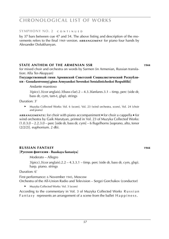#### **symphony no. 2** c o n t i n u e d

by 37 bars between cue 47 and 54. The above listing and description of the movements refers to the final 1969 version. **ARRANGEMENT** for piano four hands by Alexander Dolukhanyan.

#### **sTATE ANTHEM OF THE ARMENIAN SSR WISSON 30144**

for mixed choir and orchestra on words by Sarmen (in Armenian, Russian translation: Alla Ter-Akopyan)

**Государственный гимн Армянской Советской Социалистической Республики · Gosudarstvennyj gimn Armyanskoi Sovetskoi Sotsialisticheskoi Respubliki**]

#### Andante maestoso

 $3(picc).3(cor anglais).3(bass clar).2 - 4.3.3fanfares.3.1 - timp, perc (side dr,$ bass dr, cym, tam-t, glsp). strings

Duration: 3'

► Muzyka Collected Works: Vol. 6 (score), Vol. 23 (wind orchestra, score), Vol. 24 (choir and piano)

**ARRANGEMENTS:** for choir with piano accompaniment ■ for choir a cappella ■ for wind orchestra by Gaik Marutyan, printed in Vol. 23 of Muzyka Collected Works:  $(1.0.3.0 - 2.2.3.0 -$  perc [side dr, bass dr, cym] – 6 flugelhorns [soprano, alto, tenor (2/2/2)]. euphonium. 2 db).

### **russian fantasy WS 1010227 1944**

#### [**Русская фантазия · Russkaya fantaziya**]

Moderato – Allegro

 $3(pice).3(cor \text{ anglais}).2.2 - 4.3.3.1 - \text{time}$ , perc (side dr, bass dr, cym, glsp). harp. piano. strings

Duration: 6'

First performance: 6 November 1945, Moscow Orchestra of the All-Union Radio and Television – Sergei Gorchakov (conductor)

Muzyka Collected Works: Vol. 3 (score)

According to the commentary in Vol. 3 of Muzyka Collected Works R u s s i a n F a n t a s  $y$  represents an arrangement of a scene from the ballet  $H$  a p  $p$  in e s s.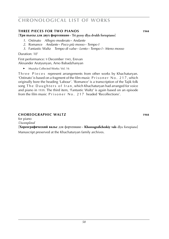#### **three pieces for two pianos MS 1944**

[**Три пьесы для двух фортепиано · Tri pyesy dlya dvukh fortepiano**]

- *1*. Ostinato *Allegro moderato* **·** *Andante*
- *2.* Romance *Andante* **·** *Poco più mosso* **·** *Tempo I*
- *3.* Fantastic Waltz *Tempo di valse* **·** *Lento* **·** *Tempo I* **·** *Meno mosso*

Duration: 10'

First performance: 9 December 1945, Erevan Alexander Arutyunyan, Arno Babadzhanyan

► Muzyka Collected Works: Vol. 16

Th ree Pieces represent arrangements from other works by Khachaturyan. 'Ostinato' is based on a fragment of the film music  $P$ r i s o n e r N o . 2 1 7, which originally bore the heading 'Labour'. 'Romance' is a transcription of the Tajik folk song The Daughters of Iran, which Khachaturyan had arranged for voice and piano in 1939. The third item, 'Fantastic Waltz' is again based on an episode from the film music Prisoner No. 217 headed 'Recollections'.

### **Choreographic waltz WS 1010276 Keine Noten 1944**

for piano

*Uncompleted* **e**

[**Хореографический вальс** для фортепиано **· Khoreograficheskiy vals** dlya fortepiano]

Manuscript preserved at the Khachaturyan family archives.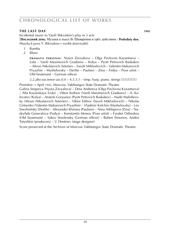### **the last day MS** 1945

Incidental music to Vasili Shkvarkin's play in 3 acts [**Последний день.** Музыка к пьесе В. Шкваркина в трёх действиях **· Posledniy den.** Muzyka k pyese V. Shkvarkina v tryokh deistviyakh]

- *1*. Rumba
- *2*. Blues

**DRAMATIS PERSONAE: Nyura Zavyalova – Olga Pavlovna Kazantseva –** Lida – Vasili Maximovich Gradusov – Kolya – Pyotr Petrovich Baskakov – Alexei Nikolaevich Artemev – Saveli Mikhailovich – Valentin Makarovich Pryazhin – Myshelovsky – Derlits – Paulsen – Zina – Fedya – Poor artist – Old lieutenant – German officer

2.2.alto sax.tenor sax. $0.0 - 4.3.3.1 -$  timp. harp. piano. strings  $(1/1/1/1/1)$ 

Première: 5 April 1945, Moscow, Vakhtangov State Dramatic Theatre

Galina Sergeeva (Nyura Zavyalova) – Dina Andreeva (Olga Pavlovna Kazantseva) – Alla Kazanskaya (Lida) – Viktor Koltsov (Vasili Maximovich Gradusov) – A. Kalevatov (Kolya) – Anatoli Goryunov (Pyotr Petrovich Baskakov) – Nadir Malishevsky (Alexei Nikolaevich Artemev) – Viktor Eikhov (Saveli Mikhailovich) – Nikolai Gritsenko (Valentin Makarovich Pryazhin) – Vladimir Kolchin (Myshelovsky) – Lev Snezhnitsky (Derlits) – Alexander Khmara (Paulsen) – Nina Arkhipova (Zina) – Nadezhda Generalova (Fedya) – Konstantin Monov (Poor artist) – Fyodor Odinokov (Old lieutenant) – Yakov Smolensky (German officer) – Ruben Simonov, Andrei Tutyshkin (producers) – V. Dmitriev (stage designer)

Score preserved at the Archives of Moscow Vakhtangov State Dramatic Theatre.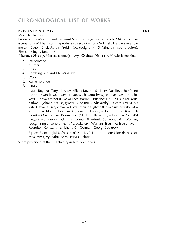### **prisoner NO. 217 1945**

Music to the film

Produced by Mosfilm and Tashkent Studio – Evgeni Gabrilovich, Mikhail Romm (scenario) – Mikhail Romm (producer-director) – Boris Volchek, Era Saveleva (camera) – Evgeni Enei, Abram Freidin (set designers) – S. Minervin (sound editor). First showing: 9 June 1945

[**Человек № 217.** Музыка к кинофильму **· Chelovek No. 217.** Muzyka k kinofilmu]

- *1*. Introduction
- *2*. Murder
- *3*. Prison
- *4*. Bombing raid and Klava's death
- *5*. Work
- *6*. Remembrance
- *7*. Finale

**c a s t** : Tatyana [Tanya] Krylova (Elena Kuzmina) – Klava Vasilieva, her friend (Anna Lisyanskaya) – Sergei Ivanovich Kartashyov, scholar (Vasili Zaichikov) – Tanya's father (Nikolai Komissarov) – Prisoner No. 224 (Grigori Mikhailov) – Johann Krauss, grocer (Vladimir Vladislavsky) – Greta Krauss, his wife (Tatyana Barysheva) – Lotta, their daughter (Lidya Sukharevskaya) – Rudolf Peschke, Lotta's fiancé (Pavel Sukhanov) – Taciturn Kurt (Genrikh Graif) – Max, officer, Krauss' son (Vladimir Balashov) – Prisoner No. 204 (Evgeni Morgunov) – German woman (Lyudmila Semyonova) – Woman, recognizing prisoners (Maria Yarotskaya) – Woman (Tsetsiliya Tsutsunava) – Recruiter (Konstantin Mikhailov) – German (Georgi Budarov)

 $3(pice).3(cor \text{anglais}).3(bass \text{ clar}).2 - 4.3.3.1 - \text{timp. perc}$  (side dr, bass dr, cym, tam-t, xyl, vibr). harp. strings – choir

Score preserved at the Khachaturyan family archives.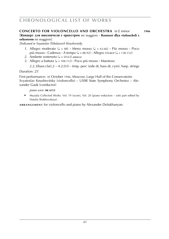### **concerto for violoncello and orchestra** in E minor **1946**

[**Концерт для виолончели с оркестром** mi maggiore **· Kontsert dlya violoncheli s**   $orkestrom$  mi maggiore]

*Dedicated to Svyatoslav Nikolaevich Knushevitsky*

- *1*. Allegro moderato ( $\sqrt{ } = 88$ ) **·** Meno mosso ( $\sqrt{ } = 63-66$ ) **·** Più mosso · Poco più mosso  $\cdot$  Cadenza  $\cdot$  A tempo ( $\sqrt{ }$  = 88-92)  $\cdot$  Allegro vivace ( $\sqrt{ }$  = 138-152)
- 2. Andante sostenuto (J = 50-63) *attacca*
- *3.* Allegro a battuta (q = 108-112) **·** Poco più mosso **·** Maestoso

 $2.2.3$ (bass clar). $2 - 4.2.0.0 -$  timp. perc (side dr, bass dr, cym). harp. strings

Duration: 25'

First performance: 30 October 1946, Moscow, Large Hall of the Conservatoire Svyatoslav Knushevitsky (violoncello) – USSR State Symphony Orchestra – Alexander Gauk (conductor)

*piano score:* **sik 6112**

► Muzyka Collected Works: Vol. 19 (score), Vol. 20 (piano reduction – solo part edited by Natalia Shakhovskaya)

**ARRANGEMENT** for violoncello and piano by Alexander Dolukhanyan.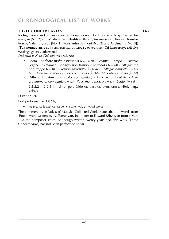### **three concert arias 1946 1946**

for high voice and orchestra on traditional words (No. 1), on words by Ovanes Tumanyan (No. 2) and Mkrtich Peshiktashlyan (No. 3) (in Armenian, Russian translation by Valeri Bryusov [No. 1], Konstantin Balmont [No. 2] and A. Umants [No. 3]) [**Три концертные арии** для высокого голоса с оркестром **· Tri kontsertnye arii** dlya vysokogo golosa s orkestrom]

*Dedicated to Nina Vladimirovna Makarova*

- *1*. Poem *Andante molto espressivo* (q = 63-69) **·** *Pesante* **·** *Tempo I* **·** *Agitato*
- *2.* Legend (Akhtamar) *Adagio non troppo e sostenuto* (q = 44) **·** *Allegro ma*  $non$  *troppo* ( $J = 100$ ) **·** *Tempo sostenuto* ( $J = 60-63$ ) **·** *Allegro comodo* ( $J = 80-63$ ) 84) **·** *Poco meno mosso* **·** *Poco più mosso* (q = 104-108) **·** *Meno mosso* (q = 80)
- 3. Dithyramb *Allegro animato, con agilità*  $(J = 92)$  **·** *Lento*  $(J = 63-66)$  · *Allegro animato, con agilità* ( $J = 92$ ) **·** *Poco meno mosso* ( $J = 63$ ) **·** *Lento* ( $J = 58$ )

 $2.2.2.2 - 2.2.3.1 - \text{time}$ , perc (side dr, bass dr, cym, tam-t, vibr). harp. strings

Duration: 20'

First performance: 1967 (?)

► Muzyka Collected Works: Vol. 6 (score), Vol. 24 (vocal score)

The commentary in Vol. 6 of Muzyka Collected Works states that the words from 'Poem' were written by A. Tumanyan. In a letter to Edward Mirzoyan from 6 May 1966 the composer states: "Although written twenty years ago, this work [Three Concert Arias] has not been performed so far."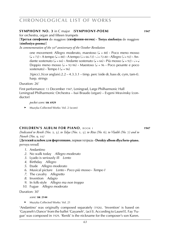#### **sYMPHONY NO. 3** in C major (**SYMPHONY-POEM**) **1947**

for orchestra, organ and fifteen trumpets

#### [**Третья симфония** do maggiore (**симфония-поэма**) **· Tretya simfoniya** do maggiore (**simfoniya-poema**)]

*In commemoration of the* 30*th anniversary of the October Revolution*

one movement: Allegro moderato, maestoso (J = 88) **·** Poco meno mosso  $(J = 72)$  **•** A tempo  $(J = 88)$  **•** A tempo  $(J = 66-72)$  **·**  $J = 72-80$  **·** Allegro  $(J = 92)$  **·** Andante sostenuto ( $J = 66$ ) **·** Andante sostenuto ( $J = 66$ ) **·** Più mosso ( $J = 92$ ) **·**  $J = J$ Doppio meno mosso ( $\sqrt{ }$  = 92-96) **·** Maestoso ( $\sqrt{ }$  = 96 **·** Poco pesante e poco  $s$ ostenuto)  $\cdot$  Tempo  $\left| \right|$  ( $\right|$  = 96)

 $3(pice).3(cor \text{ anglais}).2.2 - 4.3.3.1 - \text{time}$ , perc (side dr, bass dr, cym, tam-t). harp. strings

Duration: 26'

First performance: 13 December 1947, Leningrad, Large Philharmonic Hall Leningrad Philharmonic Orchestra – Isai Braudo (organ) – Evgeni Mravinsky (conductor)

*pocket score:* **sik 6929**

► Muzyka Collected Works: Vol. 2 (score)

#### **children's album for piano**, book i **1947**

*Dedicated to Renik (Nos.* 2*,* 3*), to Talya (Nos.* 1*,* 5*), to Rita (No.* 6*), to Vladik (No.* 7*) and to Nuneh (Nos.* 9*,* 10*)*

[**Детский альбом для фортепиано**, первая тетрадь **· Detskiy albom dlya forte-piano**, pervaya tetrad]

- *1*. Andantino
- *2.* No walk today *Allegro moderato*
- *3.* Lyado is seriously ill *Lento*
- *4*. Birthday *Allegro*
- *5*. Etude *Allegro moderato*
- *6*. Musical picture *Lento* **·** *Poco più mosso* **·** *Tempo I*
- *7*. The cavalry *Allegretto*
- *8*. Invention *Adagio*
- *9*. In folk-style *Allegro ma non troppo*
- *10*. Fugue *Allegro moderato*

Duration: 30'

#### *score:* **sik 2144**

► Muzyka Collected Works: Vol. 21

'Andantino' was originally composed separately (1926). 'Invention' is based on 'Gayaneh's Dance' from the ballet 'Gayaneh', (act I). According to Laurel E. Fay 'Fugue' was composed in 1929. 'Renik' is the nickname for the composer's son Karen.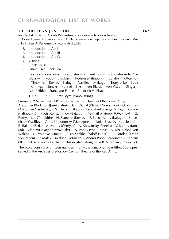#### **the southern junction WS 1947**

Incidental music to Arkadi Perventsev's play in 4 acts for orchestra [**Южный узел.** Музыка к пьесе А. Первенцева в четырёх актах **· Yuzhny uzel.** Muzyka k pyese A. Perventseva chetyryokh aktakh]

- *1*. Introduction to Act I
- *2*. Introduction to Act III
- *3*. Introduction to Act IV
- *4*. Visions
- *5*. Block house
- *6*. Finale 'Free Black Sea'

**DRAMATIS PERSONAE:** Josef Stalin – Kliment Voroshilov – Alexander Vasilevsky – Fyodor Tolbukhin – Rodion Malinovsky – Batalov – Obukhov – Timokhin – Kovrov – Kalugin – Vasiliev – Makogon – Kopylenko – Beda – Chmyga – Enneks – Konrad – Sikst – von Biarda – von Walen – Singer – Adolf Hitler – Franz von Papen – Friedrich Hoßbach

1.1.2.1 – 3.3.1.1 – timp. cym. piano. strings

Première: 7 November 1947, Moscow, Central Theatre of the Soviet Army

Alexander Khokhlov (Josef Stalin) – Daniil Sagal (Kliment Voroshilov) – G. Vasiliev (Alexander Vasilevsky) – N. Neronov (Fyodor Tolbukhin) – Sergei Kulagin (Rodion Malinovsky) – Pyotr Konstantinov (Batalov) – Mikhail Maiorov (Obukhov) – G. Rumyantsev (Timokhin) – N. Starostin (Kovrov) – F. Savostyanov (Kalugin) – B. Nechaev (Vasiliev) – Antoni Khodursky (Makogon) – Nikolai Elizarov (Kopylenko) – R. Rakitin (Beda) – A. Ivanov (Chmyga) – A. Khovansky (Enneks) – V. Somov (Konrad) – Vladimir Blagoobrazov (Sikst) – A. Popov (von Biarda) – N. Khrustalev (von Walen) – N. Volodko (Singer) – Osip Shakhet (Adolf Hitler) – G. Sorokin (Franz von Papen) – P. Malek (Friedrich Hoßbach) – Andrei Popov (producer) – Aabram Okunchikov (director) – Nisson Shifrin (stage designer) – B. Sherman (conductor)

The score consists of thirteen numbers – only the a.m. ones bear titles. Score preserved at the Archives of Moscow Central Theatre of the Red Army.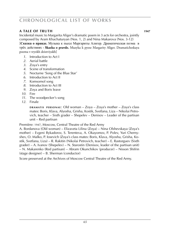### **a tale of truth WS 1010195 Keine Noten 1947**

Incidental music to Margarita Aliger's dramatic poem in 3 acts for orchestra, jointly composed by Aram Khachaturyan (Nos. 1, 2) and Nina Makarova (Nos. 3-12) [**Сказка о правде.** Музыка к пьесе Маргариты Алигер. Драматическая поэма в трёх действиях **· Skazka o pravde.** Muzyka k pyese Margarity Aliger. Dramaticheskaya poema v tryokh deistviyakh]

- *1*. Introduction to Act I
- *2*. Aerial battle
- *3*. Zoya's entry
- *4*. Scene of transformation
- *5*. Nocturne 'Song of the Blue Star'
- *6*. Introduction to Act II
- *7*. Komsomol song
- *8*. Introduction to Act III
- *9*. Zoya and Boris leave
- *10*. Fire
- *11*. The woodpecker's song
- *12*. Finale

**DRAMATIS PERSONAE:** Old woman – Zoya – Zoya's mother – Zoya's class mates: Boris, Klava, Alyosha, Grisha, Kostik, Svetlana, Liza – Nikolai Petrovich, teacher – Sixth grader – Shepelev – Denisov – Leader of the partisan unit – Red partisan

Première: 1947, Moscow, Central Theatre of the Red Army

A. Bordanova (Old woman) – Elizaveta Lilina (Zoya) – Nina Olshevskaya (Zoya's mother) – Evgeni Bykadorov, S. Terenteva, A. Okayomov, P. Polev, Yuri Chernyshev, O. Malko, P. Iosevich (Zoya's class mates: Boris, Klava, Alyosha, Grisha, Kostik, Svetlana, Liza) – R. Rakitin (Nikolai Petrovich, teacher) – E. Rastorguev (Sixth  $grader$ ) – A. Ivanov (Shepelev) – N. Starostin (Denisov, leader of the partisan unit) – N. Makarenko (Red partisan) – Abram Okunchikov (producer) – Nisson Shifrin (stage designer) – B. Sherman (conductor)

Score preserved at the Archives of Moscow Central Theatre of the Red Army.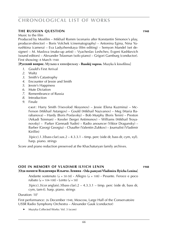### **the russian question 1948**

Music to the film

Produced by Mosfilm – Mikhail Romm (scenario after Konstantin Simonov's play, producer-director) – Boris Volchek (cinematography) – Antonina Egina, Nina Yurushkina (camera) – Eva Ladyzhenskaya (film editing) – Semyon Mandel (set designer) – M. Maslova (make-up artist) – Vyacheslav Leshchev, Evgeni Kashkevich (sound editors) – Alexander Tsfasman (solo piano) – Grigori Gamburg (conductor). First showing: 8 March 1948

[**Русский вопрос.** Музыка к кинофильму **· Russkij vopros.** Muzyka k kinofilmu]

- *1*. Gould's First Arrival
- *2*. Waltz
- *3*. Smith's Catastrophy
- *4*. Encounter of Jessie and Smith
- *5*. Jessie's Happiness
- *6*. Mute Dictation
- *7*. Remembrance of Russia
- *8*. Introduction
- *9*. Finale

**c a s t** : Harry Smith (Vsevolod Aksyonov) – Jessie (Elena Kuzmina) – Mc-Ferson (Mikhail Astangov) – Gould (Mikhail Nazvanov) – Meg (Maria Barabanova) – Hardy (Boris Poslavsky) – Bob Murphy (Boris Tenin) – Preston (Arkadi Tsinman) – Kessler (Sergei Antimonov) – Williams (Mikhail Troyanovsky) – Parker (Gennadi Yudin) – Radio anouncer (Viktor Dragunsky) – Barber (Georgi Georgiu) – Chauffer (Valentin Zubkov) – Journalist (Vladimir Kirillin)

 $3(pice)$ .1.3(bass clar).sax.2 – 4.3.3.1 – timp. perc (side dr, bass dr, cym, xyl). harp. piano. strings

Score and piano reduction preserved at the Khachaturyan family archives.

#### **ODE IN MEMORY OF VLADIMIR ILYICH LENIN WAS 1948**

### [**Ода памяти Владимира Ильича Ленина · Oda pamyati Vladimira Ilyicha Lenina**]

Andante sostenuto ( $\sqrt{ }$  = 50-58) **·** Allegro ( $\sqrt{ }$  = 108) **·** Pesante. Feroce e poco rubato ( $\sqrt{ } = 104 - 108$ ) **·** Lento ( $\sqrt{ } = 58$ )

 $3(picc).3(cor anglais).3(bass clar).2 - 4.3.3.1 - timp. perc (side dr, bass dr,$ cym, tam-t). harp. piano. strings

Duration: 10'

First performance: 26 December 1948, Moscow, Large Hall of the Conservatoire USSR Radio Symphony Orchestra – Alexander Gauk (conductor)

► Muzyka Collected Works: Vol. 3 (score)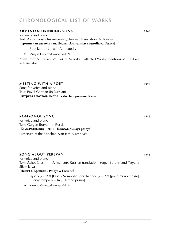#### **armenian drinking song 1948 1948** for voice and piano

Text: Ashot Grashi (in Armenian), Russian translation: A. Tonsky [**Армянская застольная.** Песня **· Armyanskaya zastolhaya.** Pesnya]

- Podvizhno  $\left( \bullet \right)$  = 88) [Animatedly]
- ► Muzyka Collected Works: Vol. 24

Apart from A. Tonsky Vol. 24 of Muzyka Collected Works mentions M. Pavlova as translator.

#### *meeting with a poet* **WS 1948**

Song for voice and piano Text: Pavel German (in Russian) [**Встреча с поэтом.** Песня **· Vstrecha s poetom.** Pesnya]

### **komsomol song WS 1010286 1948**

for voice and piano Text: Gurgen Boryan (in Russian) [**Комсомольская песня · Komsomolskaya pesnya**]

Preserved at the Khachaturyan family archives.

### **song about yerevan WS 1948 1948**

for voice and piano Text: Ashot Grashi (in Armenian), Russian translation: Sergei Bolotin and Tatyana Sikorskaya [**Песня о Ереване · Pesnya o Erevane**]

Bystro ( $l = 168$ ) [Fast] **·** Nemnogo sderzhannee ( $l = 160$ ) [poco meno mosso]  $\cdot$  Pervy tempo ( $J = 168$ ) [Tempo primo]

► Muzyka Collected Works: Vol. 24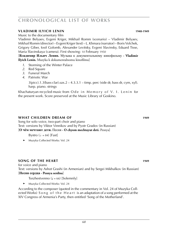### **vladimir ilyich lenin WS 1948-1949**

Music to the documentary film

Vladimir Belyaev, Evgeni Kriger, Mikhail Romm (scenario) – Vladimir Belyaev, Mikhail Romm (director) – Evgeni Kriger (text) – L. Khmara (narrator) – Boris Volchek, Grigory Giber, Iosif Golomb, Alexander Levitsky, Evgeni Slavinsky, Eduard Tisse, Maria Slavinskaya (camera). First showing: 10 February 1950

[**Владимир Ильич Ленин.** Музыка к документальному кинофильму **· Vladimir Ilyich Lenin.** Muzyka k dokumentalnomu kinofilmu]

- *1*. Storming of the Winter Palace
- 2. Red Square
- *3*. Funeral March
- *4*. Patriotic War

 $3(picc).1.3(bass clar).sax.2 - 4.3.3.1 - timp. perc (side dr, bass dr, cym, xyl).$ harp. piano. strings

Khachaturyan recycled music from O de in Memory of V. I. Lenin for the present work. Score preserved at the Music Library of Goskino.

### **WHAT CHILDREN DREAM OF 1949**

Song for solo voice, two-part choir and piano Text: versions by Viktor Vinnikov and by Pyotr Gradov (in Russian) [**О чём мечтают дети.** Песня **· O chyom mechtayut deti.** Pesnya]

Bystro  $(s = 84)$  [Fast]

► Muzyka Collected Works: Vol. 24

### **song of the heart WS 1949 1949**

for voice and piano Text: versions by Ashot Grashi (in Armenian) and by Sergei Mikhalkov (in Russian) [**Песня сердца · Pesnya serdtsa**]

- Torzhestvenno ( $J = 66$ ) [Solemnly]
- ► Muzyka Collected Works: Vol. 24

According to the composer (quoted in the commentary in Vol. 24 of Muzyka Collected Works) S o n g o f the H e a r t is an adaptation of a song performed at the XIV Congress of Armenia's Party, then entitled 'Song of the Motherland'.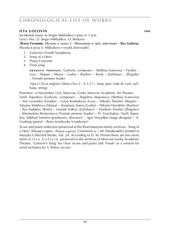#### **ilya Golovin 1949**

Incidental music to Sergei Mikhalkov's play in 3 acts Lyrics (No. 2): Sergei Mikhalkov, O. Bedyrov

[**Илья Головин.** Музыка к пьесе С. Михалкова в трёх действиях **· Ilya Golovin.** Muzyka k pyese S. Mikhalkova v tryokh deistviyakh]

- *1*. Golovin's Fourth Symphony
- *2*. Song of a Hero
- *3*. Piano Concerto
- *4*. Final song

**DRAMATIS PERSONAE:** Golovin, composer – Aleftina Ivanovna – Fyodor – Liza – Stepan – Maiya – Lusha – Bazhov – Rosly – Zalishaev – Zhigulev – Female pioneer leader

 $3(pice).3(cor \text{ anglais}).3(bass \text{ clar}).2 - 4.3.3.1 - \text{time}$ , perc (side dr, cym, xyl). harp. strings

Première: 10 November 1949, Moscow, Gorky Moscow Academic Art Theatre Vasili Toporkov (Golovin, composer) – Angelina Stepanova (Aleftina Ivanovna) – Yuri Leonidov (Fyodor) – Luiza Koshukova (Liza) – Nikolai Titushin (Stepan) – Tatyana Makhova (Maiya) – Anastasia Zueva (Lusha) – Nikolai Dorokhin (Bazhov) – Ilya Sudakov (Rosly) – Leonid Volkov (Zalishaev) – Vladimir Troshin (Zhigulev) – Klementina Rostovtseva (Female pioneer leader) – N. Gorchakov, Vasili Toporkov, Mikhail Yanshin (producers, directors) – Igor Vesyolkin (stage designer) – A. Gosberg (piano) – Boris Izrailevsky (conductor)

Score and piano reduction preserved at the Khachaturyan family archives. 'Song of а Него' [Песня о герое – Pesnya o geroe], Umerenno ( $\downarrow$  = 88) [Moderately] printed in Muzyka Collected Works, Vol. 24. According to D. M. Person there are two more items of I ly a G o l o v in preserved in the archives of Moscow Gorky Academic Theatre: 'Golovin's Song' for choir (score and parts) and 'Finale' in a version for wind orchestra by V. Petrov (score).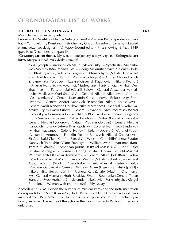### **the battle of stalingrad WS 1949**

Music to the film in two parts

Produced by Mosfilm – Nikolai Virta (scenario) – Vladimir Petrov (producer-director) – Yuri Ekelchik, Konstantin Petrichenko, Grigori Aizenberg (camera) – Leonid Mamaladze (set designer) – V. Popov (sound editor). First showing: 9 May 1949 (part I), 18 December 1949 (part II)

[**Сталинградская битва.** Музыка к кинофильму в двух сериях **· Stalingradskaya bitva.** Muzyka k kinofilmu v dvukh seriyakh]

**c a s t** : Joseph Vissarionovich Stalin (Alexei Diky) – Vyacheslav Mikhailovich Molotov (Maxim Shtraukh) – Georgi Maximilianovich Malenkov (Viktor Khokhryachov) – Nikita Sergeevich Khrushchyov (Nikolai Dorokhin) – Mikhail Ivanovich Kalinin (Vladimir Solovyov) – Andrei Alexandrovich Zhdanov (Yuri Tolubeev) – Lazar Moiseevich Kaganovich (Nikolai Ryzhov) – Anastas Ivanovich Mikoyan (G. Mushegyan) – Party official (Mikhail Derzhavin sen.) – Party official (Gavriil Belov) – General Alexander Mikhailovich Vasilevsky (Yuri Shumsky) – General Nikolai Nikolaevich Voronov (Vasili Merkurev) – General Konstantin Konstantinovich Rokossovsky (Boris Livanov) – General Andrei Ivanovich Eryomenko (Nikolai Kolesnikov) – General Vasili Ivanovich Chuikov (Nikolai Simonov) – General Nikolai Ivanovich Krylov (Vasili Orlov) – General Alexander Ilyich Rodimtsev (Sergei Brzhevsky) – Commissar Gurov (Nikolai Plotnikov) – Lieutenant Kaleganov (Boris Smirnov) – Sergeant Yakov Fedotovich Pavlov (Leonid Knyazev) – General Nikolai Fyodorovich Vatutin (Vladimir Golovin) – General Nikolai Ivanovich Trufanov (Alexei Krasnopolsky) – Colonel Ivan Ilyich Lyudnikov (Mikhail Nazvanov) – Colonel Ivanov (Nikolai Kryuchkov) – Colonel Popov (Alexander Antonov) – Franklin Delano Roosevelt (Nikolai Cherkasov) – Sir Archibald Clark Kerr (N. Raevsky) – Winston Churchill/General Fyodor Ivanovich Tolbukhin (Viktor Stanitsyn) – William Averell Harriman (Konstantin Mikhailov) – American journalist (Pavel Massalsky) – Adolf Hitler (Mikhail Astangov) – Hermann Göring (Mikhail Garkavi) – Field Marshal Wilhelm Keitel (Nikolai Komissarov) – General Alfred Jodl (Boris Svoboda) – Field Marshal Maximilian von Weichs (Nikolai Rybnikov) – General Arthur Schmidt (Vladimir Vsevolodov) – Field Marshal Friedrich Paulus (Vladimir Gaidarov) – General Willhelm Adam (Evgeni Kaluzhski [part I] / Nikolai Nikolaievski [part II]) – General Kurt Zeitzler (Vladimir Chernyavsky) – General Hermann Hoth (Rostislav Plyatt) – Roumanian General Traian Stanesku (Pyotr Arzhanov) – Alexander Nikolaevich Poskryobyshev (Sergei Blinnikov) – Woman with children (Sofia Pilyavskaya)

According to D. M. Person the number of musical items and the instrumentation corresponds to the Suite (► *see below*). In 1950 the Battle of Stalingrad was awarded the USSR State Prize, first class. Score preserved at the Khachaturyan family archives. The name of the actor in the role of Lavrenty Pavlovich Beriya is unknown.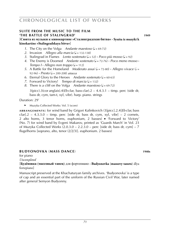### **SUITE FROM THE MUSIC TO THE FILM 'the battle of stalingrad' 1949**

- [**Сюита из музыки к кинокартине »Сталинградская битва« · Syuita iz muzyki k kinokartine »Stalingradskaya bitva«**]
	- *1.* The City on the Volga *Andante maestoso*  $(d = 69-72)$
	- 2. Invasion *Allegro alla marcia* ( $\sqrt{ }$  = 132-138)
	- *3.* Stalingrad in Flames *Lento sostenuto*  $(J = 52)$  **·** *Poco più mosso*  $(J = 92)$
	- *4.* The Enemy is Doomed *Andante sostenuto*  $(J = 72-76)$  **·** *Poco meno mosso* **·** *Tempo I*  $\cdot$  *Allegro non troppo* ( $\sqrt{ }$  = 112)
	- *5.* A Battle for the Homeland *Moderato assai*  $(l = 72-80)$  **·** *Allegro vivace*  $(l =$ 92-96) **·** *Presto* (q = 200-208) *attacca*
	- *6.* Eternal Glory to the Heroes *Andante sostenuto* ( $J = 60-63$ )
	- *7.* Forward to Victory! *Tempo di marcia* ( $J = 132$ )
	- *8.* There is a cliff on the Volga *Andante maestoso* ( $J = 69-72$ ) 3(picc).3(cor anglais).4(*Eb* clar, bass clar).2 – 4.4.3.1 – timp. perc (side dr, bass dr, cym, tam-t, xyl, vibr). harp. piano. strings

Duration: 29'

► Muzyka Collected Works: Vol. 5 (score)

**ARRANGEMENTS:** for wind band by Grigori Kalinkovich (3[picc].2.4[*Eb* clar, bass  $clar$ ].2 – 4.3.3.0 – timp. perc [side dr, bass dr, cym, xyl, vibr] – 2 cornets, 2 alto horns, 3 tenor horns, euphonium, 2 basses) ■ 'Forward to Victory' (No. 7) for wind band by Evgeni Makarov, printed as 'Guards March' in Vol. 23 of Muzyka Collected Works  $(2.0.3.0 - 2.2.3.0 -$  perc [side dr, bass dr, cym] - 7 flugelhorns [soprano, alto, tenor (2/2/3)]. euphonium. 2 basses)

#### **budyonovka** (**mass dance**) **WS** 1940s

for piano *Uncompleted*

#### [**Будёновка** (**массовый танец**) для фортепиано **· Budyonovka** (**massovy tanets**) dlya fortepiano]

Manuscript preserved at the Khachaturyan family archives. 'Budyonovka' is a type of cap and an essential part of the uniform of the Russian Civil War, later named after general Semyon Budyonny.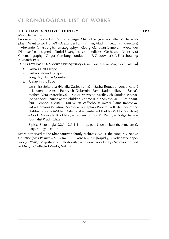### **they have a native country WS 1010217 Key 1010217 MS**

Music to the film

Produced by Gorky Film Studio – Sergei Mikhalkov (scenario after Mikhalkov's play 'I Want to Go Home') – Alexander Faintsimmer, Vladimir Legoshin (directors) – Alexander Gintsburg (cinematography) – Georgi Garibyan (camera) – Alexander Dikhtyar (set designer) – Dmitri Flyangolts (sound editor) – Orchestra of Minstry of Cinematography – Grigori Gamburg (conductor) – P. Gradov (lyrics). First showing: 20 March 1950

[**У них есть Родина.** Музыка к кинофильму **· U nikh est Rodina.** Muzyka k kinofilmu]

- *1*. Sasha's First Escape
- *2*. Sasha's Second Escape
- *3*. Song 'My Native Country'
- *4*. A Slap in the Face

**c a s t** : Ira Sokolova (Natalia Zashchipina) – Sasha Butuzov (Lenya Kotov) – Lieutenant Alexei Petrovich Dobrynin (Pavel Kadochnikov) – Sasha's mother (Vera Maretskaya) – Major Vsevolod Vasilievich Sorokin (Vsevolod Sanaev) – Nurse at the children's home (Lidia Smirnova) – Kurt, chauffeur (Gennadi Yudin) – Frau Wurst, caffeehouse owner (Faina Ranevskaya) – Upmanis (Vladimir Solovyov) – Captain Robert Skott, director of the children's home (Mikhail Astangov) – Lieutenant Barkley (Viktor Stanitsyn) – Cook (Alexander Khokhlov) – Captain Johnson (V. Renin) – Dodge, female journalist (Yudif Glizer)

 $3(pice).3(cor \text{ anglais}).2.1 - 2.1.1.1 - timp. perc (side dr, bass dr, cym, tam-t).$ harp. strings – choir

Score preserved at the Khachaturyan family archives. No. 3, the song 'My Native Country' [Моя Родина – Moya Rodina], Skoro ( $= 132$ ) [Rapidly] – Velichavo, nape- $\rho$  ( $J = 76-80$ ) [Majestically, melodiously] with new lyrics by Ilya Sadofiev printed in Muzyka Collected Works, Vol. 24.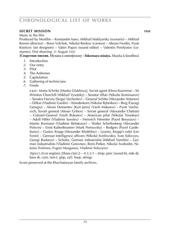### **secret mission 1950**

Music to the film

Produced by Mosfilm – Konstantin Isaev, Mikhail Maklyarsky (scenario) – Mikhail Romm (director) – Boris Volchek, Nikolai Renkov (camera) – Abram Freidin, Pyotr Kiselyov (set designers) – Valeri Popov (sound editor) – Valentin Perelyotov (costumes). First showing: 21 August 1950

[**Секретная миссия.** Музыка к кинофильму **· Sekretnaya missiya.** Muzyka k kinofilmu]

- *1*. Introduction
- *2*. Our entry
- *3*. Pilot
- *4*. The Ardennes
- *5*. Capitulation
- *6*. Gathering of technicians
- *7*. Finale

**c a s t** : Marta Schirke [Masha Glukhova], Soviet agent (Elena Kuzmina) – Sir Winston Churchill (Mikhail Vysotsky) – Senator Allan (Nikolai Komissarov) – Senator Harvey (Sergei Vecheslov) – General Schitte (Alexander Antonov) – Dillon (Vladimir Gardin) – Wanderkorn (Nikolai Rybnikov) – Berg (Georgi Georgiu) – Alexei Dementev [Kurt Junis] (Vasili Makarov) – Pyotr Vasilievich, Soviet general (Alexei Gribov) – Soviet general (Alexander Cheban) – Colonel-General (Vasili Bokarev) – American pilot (Nikolai Timofeev) – Adolf Hitler (Vladimir Savelev) – Heinrich Himmler (Pavel Beryozov) – Martin Bormann (Vladimir Belokurov) – Walter Schellenberg (Alexander Pelevin) – Ernst Kaltenbrunner (Mark Pertsovsky) – Rodgers (Pavel Gaideburov) – Gustav Krupp (Alexander Khokhlov) – Lyunes, Krupp's valet (Lev Fenin) – German intelligence officers (Nikolai Svetlovidov, Ivan Solovyov, Georgi Budarov) – Schultz, German industrialist (Mikhail Yanshin) – German industrialists (Vladimir Gotovtsev, Boris Petker, Nikolai Svobodin, Nikolai Trofimov, Evgeni Morgunov, Vladimir Solovyov)

 $3(pice).3(cor \text{ anglais}).3(bass \text{ clar}).2 - 4.3.3.1 - \text{timp. } perc (wood bl, side dr,$ bass dr, cym, tam-t, glsp, xyl). harp. strings

Score preserved at the Khachaturyan family archives.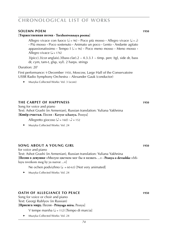### **solemn poem 1950**

#### [**Торжественная поэма · Torzhestvennaya poema**]

Allegro vivace con fuoco ( $d = 96$ ) **·** Poco più mosso **·** Allegro vivace ( $d = d$ ) **·** Più mosso **·** Poco sostenuto **·** Animato un poco **·** Lento **·** Andante agitato  $a$ ppassionatissimo  $\cdot$  Tempo  $| \left( \frac{1}{2} = 96 \right) \cdot$  Poco meno mosso  $\cdot$  Meno mosso  $\cdot$ Allegro vivace  $(J = 176)$ 

 $3(pice).3(cor \text{ anglais}).3(bass \text{ clar}).2 - 4.3.3.1 - \text{timp. perc (tgt). side dr, bass.}$ dr, cym, tam-t, glsp, xyl). 2 harps. strings

Duration: 20'

First performance: 9 December 1950, Moscow, Large Hall of the Conservatoire USSR Radio Symphony Orchestra – Alexander Gauk (conductor)

► Muzyka Collected Works: Vol. 3 (score)

### **the carpet of happiness 1950 1950**

Song for voice and piano Text: Ashot Grashi (in Armenian), Russian translation: Yuliana Yakhnina [**Ковёр счастья.** Песня **· Kavyor schastya.** Pesnya]

Allegretto giocoso ( $\triangle$  = 160)  $\cdot \triangle$  = 152

► Muzyka Collected Works: Vol. 24

## **song about a young girl WS 1950**

for voice and piano Text: Ashot Grashi (in Armenian), Russian translation: Yuliana Yakhnina [**Песня о девушке** »Милую цветком мог бы я назвать ...« **· Pesnya o devushke** »Miluyu tsvetkom mog by ya nazvat ...«]

Ne ochen podvizhno ( $\downarrow$  = 60-63) [Not very animated]

► Muzyka Collected Works: Vol. 24

## **OATH OF ALLEGIANCE TO PEACE WAS 1950**

Song for voice or choir and piano Text: Georgi Rublyov (in Russian)

[**Присяга миру.** Песня **· Prisyaga miru.** Pesnya]

V tempe marsha  $(J = 112)$  [Tempo di marcia]

► Muzyka Collected Works: Vol. 24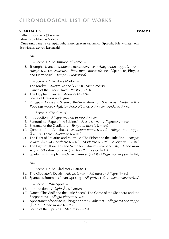### **spartacus 1950-1954 1950-1954**

Ballet in four acts (9 scenes) Libretto by Nikolai Volkov

[**Спартак.** Балет в четырёх действиях, девяти картинах **· Spartak.** Balet v chetyryokh deistviyakh, devyati kartinakh]

Act I

– Scene 1 'The Triumph of Rome' *–*

*1*. Triumphal March *Moderato maestoso* ( $J = 84$ ) **·** *Allegro non troppo* ( $J = 104$ ) **·** *Allegro* (q = 112) **·** *Maestoso* **·** *Poco meno mosso* (Scene of Spartacus, Phrygia and Harmodius) **·** *Tempo I* **·** *Maestoso)*

– Scene 2 'The Slave Market' –

- 2. The Market *Allegro vivace*  $(J = 163) \cdot$ *Meno mosso*
- 3. Dance of the Greek Slave *Presto* ( $= 168$ )
- *4.* The Egyptian Dancer *Andante* ( $\sqrt{ }$  = 108)
- *5.* Scene of Crassus and Egina
- 6. Phrygia's Dance and Scene of the Separation from Spartacus *Lento*  $(l = 48)$  **·**  $Poco$  più mosso  $\cdot$  *Agitato*  $\cdot$  *Poco più mosso* ( $J = 100$ )  $\cdot$  *Andante* ( $J = 69$ )

– Scene 3 'The Circus' –

- *7.* Introduction *Allegro ma non troppo*  $(J = 100)$
- *8.* Pantomime 'Rape of the Sabines' *Presto*  $(\sqrt{a} = 92) \cdot$  *Allegretto*  $(\sqrt{a} = 100)$
- *9.* Entrance of the Gladiators *Tempo di marcia* ( $\sqrt{ }$  = 108)
- *10.* Combat of the Andabates *Moderato feroce*  $(J = 72) \cdot$ *Allegro non troppo*  $\left(\frac{\partial}{\partial t}\right) = 100$  **·** *Lento* · *Allegretto* ( $\left(\frac{\partial}{\partial t}\right) = 100$ )
- *11.* The Fight of Retiarius and Murmillo 'The Fisher and the Little Fish' *Allegro vivace* ( $\sqrt{ }$  = 196) **·** *Andante* ( $\sqrt{ }$  = 60) **·** *Moderato* ( $\sqrt{ }$  = 76) **·** *Allegretto* ( $\sqrt{ }$  = 100)
- *12.* The Fight of Thracians and Samnites *Allegro vivace*  $(l = 84)$  **·** Meno mos $so (J = 160)$  **·** Allegro molto  $(J = 114)$  · Più mosso  $(J = 92)$
- 13. Spartacus' Triumph *Andante maestoso*  $(J = 84) \cdot$  *Allegro non troppo*  $(J = 104)$

Act II

– Scene 4 'The Gladiators' Barracks' –

- *14.* The Gladiator's Death *Adagio* ( $J = 54$ ) **·** *Più mosso* · *Allegro* ( $J = 80$ )
- 15. Spartacus Summons for an Uprising *Allegro* ( $\downarrow$  = 144) **·** *Andante maestoso* ( $\downarrow$  =  $\downarrow$ )

– Scene 5 'Via Appia' –

- *16.* Introduction *Adagio* (q = 60) *attacca*
- *17.* Dance 'The Wolf and the Little Sheep'. The Game of the Shepherd and the Shepherdess *Allegro giocoso* ( $\sqrt{a} = 84$ )
- *18.* Appearance of Spartacus, Phrygia and the Gladiators *Allegro ma non troppo*  $(l = 112) \cdot \text{Meno mosso} (l = 92)$
- *19.* Scene of the Uprising *Maestoso* ( $= 66$ )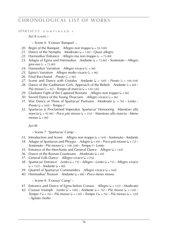SPARTACUS CONTINUED I

Act II (cont.)

– Scene 6 'Crassus' Banquet' –

- 20. Begin of the Banquet *Allegro non troppo*  $\mathcal{L} = 92-100$
- 21. Dance of the Nymphs *Moderato* ( $J = 126$ ) **·** *Quasi allegro*
- 22. Harmodius' Entrance *Allegro ma non troppo* ( $\ell$  = 72-80)
- 23. Adagio of Egina and Harmodius *Andante* ( $J = 72-80$ ) **·** *Sostenuto* · *Allegro giocoso* ( $\sqrt{d}$  = 72-80)
- 24. Harmodius' Variation *Allegro vivace* ( $\sqrt{s} = 84$ )
- 25. Egina's Variation *Allegro molto vivace* ( $\ell = 96$ )
- $26.$  Final Bacchanal *Presto* ( $\lambda = 96$ )
- 27. Scene and Dance with Crotales *Andante* ( $J = 100$ ) **·** *Presto* ( $J = 100-104$ )
- 28. Dance of the Gaditanian Girls. Approach of the Rebels *Andante* ( $\sqrt{2} = 60$ ) **·** *Più mosso* ( $= 92$ )  $\cdot$  *Tempo di marcia* ( $= 120-126$ )
- 29. Gladiator Fight of the Captured Romans *Allegro non troppo* ( $J = 96$ )
- *30.* Sword Dance of the Young Thracians *Allegro vivace* ( $= 96$ )
- *31.* War Dance of Three of Spartacus' Partisans *Moderato* ( $\sqrt{ }$  = 76) **·** *Lento* **·**  $Presto (J = 160) \cdot Tempo I$
- *32.* Spartacus is Proclaimed Imperator. Spartacus' Honouring *Maestoso alla marcia* (q = 92-96) **·** *Poco più mosso* (q = 116) **·** *Maestoso alla marcia* **·** *Meno*   $mosso (d = 84)$

Act III

– Scene 7 'Spartacus' Camp' –

- *33.* Introduction and Scene *Allegro non troppo*  $(J = 144) \cdot$ *Sostenuto Andante*
- *34.* Adagio of Spartacus and Phrygia *Adagio* ( $J = 69$ ) **·** *Poco più mosso* ( $J = 72$ ) **·**  $S$ *ostenuto*  $\cdot$  *Più mosso* ( $\downarrow$  = 100-104)  $\cdot$  *Tempo I*  $\cdot$  *Lento*
- *35.* Entrance of the Merchants and General Dance *Allegro* ( $J = 144$ )
- *36.* Dance of the Roman Courtesans *Moderato* ( $J = 84$ )
- *37.* General Folk Dance *Allegro vivace* ( $J = 176$ )
- *38.* Spartacus' Entrance *Lento* (q = 72) **·** *Allegro* **·** *Lento* (q = 72) **·** *Allegro vivace*  $(l = 152)$  **·** *Andante*  $(l = 80)$
- *39.* Quarrel of Spartacus' Commanders *Allegro vivace* ( $J = 160$ )
- *40.* Hormodius' Treason *Andante* (q = 88) **·** *Poco meno mosso*

– Scene 8 'Crassus' Camp' –

- *41.* Entrance and Dance of Egina before Crassus *Allegro* (q = 152) **·** *Moderato*
- *42.* Crassus' triumph *Lento*  $\overline{A} = 100$  **·** Andante  $\overline{A} = 76$  · Più mosso  $\overline{A} = 120$  · *Tempo I* ( $J = 76$ ) **·** *Più mosso* ( $J = 120$ ) **·** *Tempo I* ( $J = 76$ ) **·** *Più mosso* ( $J = 120$ ) **·** *Agitato molto*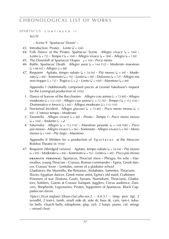**SPARTACUS** CONTINUED II

Act IV

– Scene 9 'Spartacus' Doom' –

- 43. Introduction. Pirates *Lento*  $(\lambda = 104)$
- 44. Folk Dance of the Pirates. Spartacus' Scene *Allegro vivace*  $(1 = 184)$  **·** *Lento*  $(\sqrt{a} = 72)$  **·** *Tempo I* ( $\sqrt{a} = 104$ ) **·** *Allegro vivace* ( $\sqrt{a} = 184$ ) **·** *Allegro* ( $\sqrt{a} = 120$ )
- *45.* The Downfall of Spartacus' Hopes q = 104 **·** *Poco meno*
- *46.* Battle. Spartacus' Death *Allegro assai* (q = 144-152) **·** *Moderato maestoso*  $\left( \right) = 88 - 92$ ) **·** *Allegro* ( $\left( \right) = 88$ )
- *47.* Requiem *Agitato, tempo rubato* ( $J = 54-56$ ) **·** *Più mosso* ( $J = 69$ ) **·** *Moderato* (q = 84) **·** *Sostenuto* (q = 76) **·** *Lento* (q = 48) **·** *Doloroso* (q = 72) **·** *Allegro ma non troppo*  $(d = 72)$  **·** *Tragico*  $(d = 1)$  **·** *Lento*  $(d = 100)$  · *Maestoso*  $(d = 88)$

 Appendix I (Additionally composed pieces at Leonid Yakobson's request for the Leningrad production of 1956)

- *1.* Dance of Sorrow of the Bacchantes *Allegro con anima* ( $\lambda = 72-80$ ) **·** *Allegro*  $moderato$  ( $\downarrow$  = 112-116) **·** *Allegro con anima* ( $\downarrow$  = 72-76) **·** *Tempo I* ( $\downarrow$  = 112-116) **·** *Drammatico e feroce*  $(J = 66)$  **·** *Allegro moderato*  $(J = 112-116)$
- 2. Nocturnal Incident *Allegro giocoso*  $(l = 72-80)$  **·** *Poco meno mosso*  $(l =$ 69) **·** *L*'*istesso tempo* **·** *Moderato*
- *3.* Tarantella *Allegro vivace* (h = 88) **·** *Presto* **·** *Tempo I* **·** *Poco meno mosso*  $\mathcal{L} = 104 \cdot \text{Andante}$   $\mathcal{L} = \mathcal{L}$
- *4.* Saturnalia *Allegro* (q = 112-116) **·** *Maestoso pesante* (q = 104-108) **·** *Poco più mosso* **·** *Allegro vivace* (h = 96) **·** *Sostenuto* **·** *Allegro vivace* (h = 96) **·** *Meno mosso* (q = 104) **·** *Più largo* **·** *Maestoso*

Appendix II (Written for a production of Spartacus at the Moscow Bolshoi Theatre in 1958)

*47.* Requiem (Abridged version) *Agitato, tempo rubato* (q = 54-56) **·** *Più mosso*  $(L = 69)$  **·** Moderato  $(L = 84)$  · Sostenuto  $(L = 76)$  · Lento  $(L = 48)$  · Poco più mosso

**DRAMATIS PERSONAE:** Spartacus, Thracian slave – Phrygia, his wife – Harmodius, young Thracian – Crassus, Roman commander – Egina, Greek dancer, Crassus' lover – Lentulus, owner of a gladiator school

Gladiators: the Murmillo, the Retiarius, Andabates, Samnites, Thracians Slaves: Egyptian dancer, Greek mime artist, Egina's old maid, Craftsmen Prisoners of war (Teutons, Gauls, Syrians, Numidians, Thracians), Gladiators, Soldiers, Guests at Crassus' banquet, Jugglers, Circus audience, Dancers, Shepherds, Legionaries, Pirates, Supporters of Spartacus, Black Cappadocian slaves

 $3(pice).3(cor \text{ anglais}).3(bass \text{ clar}).alto \text{ sax}.2 - 4.4.3.1 - \text{timp. perc (tgl., 2)}$ woodbl, 2 tom-t, tamb, small side dr, side dr, bass dr, cym, tam-t, tubular bells, church bells, tubaphone, glsp, xyl). 2 harps. piano. cel. strings – mixed choir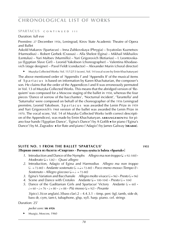### SPARTACUS CONTINUED III

#### Duration: full eve

Première: 27 December 1956, Leningrad, Kirov State Academic Theatre of Opera and Ballet

Askold Makarov (Spartacus) – Inna Zubkovskaya (Phrygia) – Svyatoslav Kuznetsov (Harmodius) – Robert Gerbek (Crassus) – Alla Shelest (Egina) – Mikhail Mikhailov (Lentulus) – Yuri Maltsev (Murmillo) – Yuri Grigorovich (Retiarius) – I. Leontovskaya (Egyptian Slave Girl) – Leonid Yakobson (choreographer) – Valentina Khodasevich (stage designer) – Pavel Feldt (conductor) – Alexander Murin (choral director)

► Muzyka Collected Works: Vol. 11/12/13 (score), Vol. 14 (vocal score by Emin Khachaturyan)

The above mentioned order of 'Appendix I' and 'Appendix II' of the musical items of Spartacus is based on information by Karen Khachaturian, the composer's son. He claims that the order of the Appendices I and II was erroneously permuted in Vol. 13 of Muzyka Collected Works. This means that the abridged version of 'Requiem' was composed for a Moscow staging of the ballet in 1958, whereas the four pieces 'Dance of sorrow of the bacchantes', 'Nocturnal incident', 'Tarantella' and 'Saturnalia' were composed on behalf of the choreographer of the 1956 Leningrad première, Leonid Yakobson. S p a r t a c u s was awarded the Lenin Prize in 1959 and Yuri Grigorovich's 1968 version of the ballet was awarded the Lenin Prize in 1970. The vocal score, Vol. 14 of Muzyka Collected Works (with correct description of the Appendices), was made by Emin Khachaturyan. **ARRANGEMENTS:** for piano four hands ('Egyptian Dance', 'Egina's Dance') by A Gotlib ■ for piano ('Egina's Dance') by M. Zagradov ■ for flute and piano ('Adagio') by James Galway (**sik 6844**).

### **SUITE NO. 1 FROM THE BALLET 'SPARTACUS' WAS 1955** [**Первая сюита из балета »Спартак« · Pervaya syuita iz baleta »Spartak«**]

- *1*. Introduction and Dance of the Nymphs *Allegro ma non troppo*  $(L = 92-100)$  **·** *Moderato* (q = 126) **·** *Quasi allegro*
- *2.* Introduction, Adagio of Egina and Harmodius *Allegro ma non troppo*  $(k = 72-80)$  **·** Andante sostenuto  $(k = 72-80)$  · Poco meno mosso (Tempo I) **·**  $Sostenuto \cdot$  *Allegro giocoso* ( $J = J = 72-80$ )
- *3.* Egina's Variation and Bacchanale *Allegro molto vivace* ( $= 96$ ) **·** *Presto* ( $= 96$ )
- *4.* Scene and Dance with Crotales *Andante* ( $J = 100-104$ ) **·** *Presto* ( $J = 104$ )
- *5.* Dance of the Gaditanian Girls and Spartacus' Victory *Andante* ( $\sqrt{ } = 60$ ) **·**  $\mathbf{r} = 60 \cdot \mathbf{r} = 76 \cdot \mathbf{r} = 80 \cdot \mathbf{r} = 88 \cdot \text{Pi} \text{ mosso}$  ( $\mathbf{r} = 92$ )  $\cdot \text{ Pesante}$

 $3(picc).3(cor anglais).3(bass clar).2 - 4.4.3.1 - timp. perc (tgl, tamb, side dr,$ bass dr, cym, tam-t, tubaphone, glsp, xyl). harp. piano. cel. strings

Duration: 25'

*pocket score:* **sik 6926**

► Muzgiz, Moscow, 1960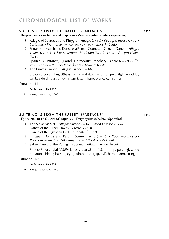### **SUITE NO. 2 FROM THE BALLET 'SPARTACUS' WAS 1955**

[**Вторая сюита из балета »Спартак« · Vtoraya syuita iz baleta »Spartak«**]

- *1.* Adagio of Spartacus and Phrygia *Adagio* ( $J = 69$ ) **·** *Poco più mosso* ( $J = 72$ ) **·**  $S$ ostenuto  $\cdot$  Più mosso ( $\downarrow$  = 100-104)  $\cdot$   $\downarrow$  = 160  $\cdot$  *Tempo I*  $\cdot$  *Lento*
- *2.* Entrance of Merchants, Dance of a Roman Courtesan, General Dance *Allegro vivace* (q = 160) **·** *L*'*istesso tempo* **·** *Moderato* (q = 76) **·** *Lento* **·** *Allegro vivace*   $($  $= 168)$
- 3. Spartacus' Entrance, Quarrel, Harmodius' Treachery *Lento* ( $J = 72$ ) **·** *Alle* $q$ *gro* **·** *Lento*  $(q = 72)$  **·** *Andante*  $(q = 80)$  **·** *Andante*  $(q = 88)$
- *4.* The Pirates' Dance *Allegro vivace* ( $= 184$ )

 $3(pice).3(cor$  anglais).  $3(bass clar).2 - 4.4.3.1 - timp.$  perc (tgl, wood bl, tamb, side dr, bass dr, cym, tam-t, xyl). harp. piano. cel. strings

Duration: 21'

- *pocket score:* **sik 6927**
- ► Muzgiz, Moscow, 1960

#### **SUITE NO. 3 FROM THE BALLET 'SPARTACUS' MICH 1955** [**Третя сюита из балета »Спартак« · Tretya syuita iz baleta »Spartak«**]

- *1*. The Slave Market *Allegro vivace* (q = 168) **·** *Meno mosso attacca*
- 2. Dance of the Greek Slaves *Presto* ( $= 168$ )
- *3.* Dance of the Egyptian Girl *Andante*  $(l) = 108$
- 4. Phrygia's Dance and Parting Scene *Lento*  $(d = 40)$  **·** *Poco più mosso* **·** *Poco più mosso*  $(d = 100)$  **·** *Allegro*  $(d = 120)$  **·** *Andante*  $(d = 69)$
- *5.* Sabre Dance of the Young Thracians *Allegro vivace* ( $= 96$ )

3(picc).3(cor anglais).3(*Eb* clar,bass clar).2 – 4.4.3.1 – timp. perc (tgl, wood bl, tamb, side dr, bass dr, cym, tubaphone, glsp, xyl). harp. piano. strings

Duration: 18'

*pocket score:* **sik 6928**

► Muzgiz, Moscow, 1960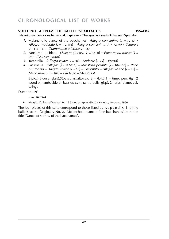### **SUITE NO. 4 FROM THE BALLET 'SPARTACUS'** 1956-1966

[**Четвёртая сюита из балета »Спартак« · Chetvyortaya syuita iz baleta »Spartak«**]

- *1*. Melancholic dance of the bacchantes *Allegro con anima*  $(l = 72-80)$  **·** *Allegro moderato* (q = 112-116) **·** *Allegro con anima* (h k = 72-76) **·** *Tempo I*  $\mathcal{L} = 112 - 116$  **·** *Drammatico e feroce*  $\mathcal{L} = 66$
- 2. Nocturnal incident *(Allegro giocoso* [J. = 72-80] *Poco meno mosso* [J. = 69] – *L*'*istesso tempo)*
- *3.* Tarantella *(Allegro vivace* [h = 88] *Andante* [h. = q] *Presto)*
- *4.* Saturnalia *(Allegro* [q = 112-116] *Maestoso pesante* [q = 104-108] *Poco più mosso – Allegro vivace* [h = 96] – *Sostenuto – Allegro vivace* [h = 96] – *Meno mosso* [q = 104] – *Più largo – Maestoso)*

 $3(pice).3(cor\,alis).3(bass clar).alto sax. 2 - 4.4.3.1 - timp. perc (tel, 2)$ wood bl, tamb, side dr, bass dr, cym, tam-t, bells, glsp). 2 harps. piano. cel. strings

Duration: 19'

*score:* **sik 2441**

► Muzyka Collected Works: Vol. 13 (listed as Appendix II) / Muzyka, Moscow, 1966

The four pieces of this suite correspond to those listed as  $A$ ppendix  $\bot$  of the ballet's score. Originally No. 2, 'Melancholic dance of the bacchantes', bore the title 'Dance of sorrow of the bacchantes'.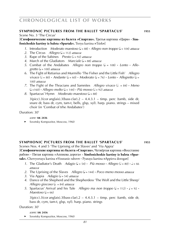### **Symphonic pictures from the ballet 'spartacus' 1955**

Scene No. 3 'The Circus'

[**Симфонические картины из балета »Спартак«.** Третья картина »Цирк« **· Simfonicheskie kartiny iz baleta »Spartak«.** Tretya kartina **»**Tsirk**«**]

- *1*. Introduction *Moderato maestoso* (q = 88) **·** *Allegro non troppo* (q = 104) *attacca*
- *2.* The Circus *Allegro* ( $J = 112$ ) *attacca*
- *3.* Rape of the Sabines *Presto* ( $\epsilon$  = 92) *attacca*
- *4.* March of the Gladiators *Marciale* ( $\sqrt{ }$  = 88) *attacca*
- *5.* Combat of the Andabates *Allegro non troppo*  $(J = 108)$  **·** *Lento* **·** *Alle gretto* (q = 100) *attacca*
- *6.* The Fight of Retiarius and Murmillo 'The Fisher and the Little Fish' *Allegro vivace*  $(\frac{1}{6} = 80)$  **·** *Andante*  $(\frac{1}{6} = 60)$  **·** *Moderato*  $(\frac{1}{6} = 76)$  **·** *Lento* · *Allegretto*  $(\frac{1}{6} = 76)$ 100) *attacca*
- *7.* The Fight of the Thracians and Samnites *Allegro vivace*  $(k = 84)$  **·** *Meno*  $(d = 160)$  **·** *Allegro molto*  $(d = 144)$  · *Più mosso*  $(d = 92)$  *attacca*
- *8.* Spartacus' Hymn *Moderato maestoso* ( $= 88$ )

 $3(pice).3(cor \text{anglais}).3(bass \text{ clar}).2 - 4.4.3.1 - \text{time}$ , perc (tamb, side dr, snare dr, bass dr, cym, tam-t, bells, glsp, xyl). harp. piano. strings – mixed choir (in 'Combat of trhe Andabates')

#### Duration: 30'

#### *score:* **sik 2436**

► Sovetsky Kompozitor, Moscow, 1960

### **Symphonic pictures from the ballet 'spartacus' 1955**

Scenes Nos. 4 and 5 'The Uprising of the Slaves' and 'Via Appia' [**Симфонические картины из балета »Спартак«.** Четвёртая картина »Восстание рабов« **·** Пятая картина »Аппиева дорога« **· Simfonicheskie kartiny iz baleta »Spartak«.** Chetvyortaya kartina **»**Vosstanie rabov**« ·** Pyataya kartina **»**Appieva doroga**«**]

- *1*. The Gladiator's Death *Adagio*  $(l = 54)$  **·** *Più mosso* **·** *Allegro*  $(l = 80)$  **·**  $l = 66$  *attacca*
- *2.* The Uprising of the Slaves *Allegro* (q = 144) **·** *Poco meno mosso attacca*
- *3.* Via Appia *Adagio* ( $=$  54) *attacca*
- *4.* Dance of the Shepherd and the Shepherdess 'The Wolf and the Little Sheep' *Allegro giocoso* ( $\sqrt{ }$  = 84) *attacca*
- *5.* Spartacus' Arrival and his Tale *Allegro ma non troppo*  $(d = 112) \cdot d = 92 \cdot$  $Maestoso (J = 66)$

 $3(pice).3(cor \text{anglais}).3(bass \text{ clar}).2 - 4.4.3.1 - \text{timp. } perc \text{ (tamb, side dr, }$ bass dr, cym, tam-t, glsp, xyl). harp. piano. strings

Duration: 30'

#### *score:* **sik 2436**

Sovetsky Kompozitor, Moscow, 1960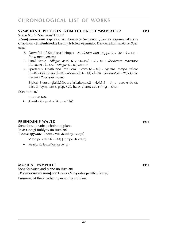### **Symphonic pictures from the ballet 'spartacus' 1955**

Scene No. 9 'Spartacus' Doom'

[**Симфонические картины из балета »Спартак«.** Девятая картина »Гибель Спартака« **· Simfonicheskie kartiny iz baleta »Spartak«.** Devyataya kartina **»**Gibel Spartaka**«**]

- *1*. Downfall of Spartacus' Hopes *Moderato non troppo*  $(J = 96) \cdot J = 104 \cdot$ *Poco meno attacca*
- 2. Final Battle Allegro assai  $\left( \right)$  = 144-152) **·**  $\left( \right)$  = 88 **·** *Moderato maestoso*  $(l = 88.92) \cdot l = 104 \cdot$  *Allegro*  $(l = 88)$  *attacca*
- *3.* Spartacus' Death and Requiem *Lento*  $(h = 80)$  **·** *Agitato, tempo rubato*  $(L = 48) \cdot \text{Pi}$  *mosso*  $(L = 69) \cdot \text{Modern}$   $(L = 84) \cdot L = 80 \cdot \text{Sostenuto}$   $(L = 76) \cdot \text{Lento}$ (q = 48) **·** *Poco più mosso*

 $3(pice).3(cor \text{ anglais}).3(bass \text{ clar}).alto \text{tax}.2 - 4.4.3.1 - \text{time}$ . perc (side dr, bass dr, cym, tam-t, glsp, xyl). harp. piano. cel. strings – choir

Duration: 30'

*score:* **sik 2436**

► Sovetsky Kompozitor, Moscow, 1960

### **friendship waltz 1951 1951**

Song for solo voice, choir and piano Text: Georgi Rublyov (in Russian) [**Вальс дружбы.** Песня **· Vals druzhby.** Pesnya]

V tempe valsa ( $\sqrt{ }$  = 84) [Tempo di valse]

► Muzyka Collected Works: Vol. 24

### **musical pamphlet WS 1051**

Song for voice and piano (in Russian) [**Музыкальный памфлет.** Песня **· Muzykalny pamflet.** Pesnya] Preserved at the Khachaturyan family archives.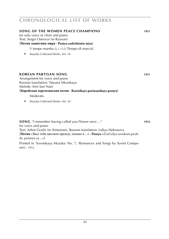| SONG OF THE WOMEN PEACE CHAMPIONS<br>for solo voice or choir and piano<br>Text: Sergei Ostrovoi (in Russian)<br>[Песня защитниц мира · Pesnya zashchitnits mira]<br>V tempe marsha ( $J = 112$ ) [Tempo di marcia]<br>Muzyka Collected Works: Vol. 24 | 1951 |
|-------------------------------------------------------------------------------------------------------------------------------------------------------------------------------------------------------------------------------------------------------|------|
| KOREAN PARTISAN SONG<br>Arrangement for voice and piano<br>Russian translation: Tatyana Sikorskaya<br>Melody: Kim Sun Nam<br>[Корейская партизанская песня · Koreiskaya partizanskaya pesnya]<br>Moderato                                             | 1951 |
| Muzyka Collected Works: Vol. 24                                                                                                                                                                                                                       |      |
| <b>SONG</b> "I remember having called you Flower once "                                                                                                                                                                                               | 1952 |

for voice and piano

Text: Ashot Grashi (in Armenian), Russian translation: Lidiya Nekrasova

[**Песня** »Звал тебя цветком прежде, помню я ...« **· Pesnya** »Zval tebya tsvetkom prezhde, pomnyu ya ...«]

Printed in 'Sovetskaya Muzyka' No. 7, 'Romances and Songs by Soviet Composers', 1952.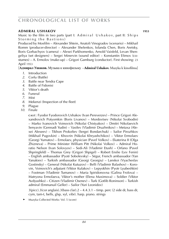### **admiral ushakov 1953**

Music to the film in two parts (part I:  $Admiral$  Ushakov, part II: Ships Storming the Bastions)

Produced by Mosfilm – Alexander Shtein, Anatoli Vinogradov (scenario) – Mikhail Romm (producer-director) – Alexander Shelenkov, Iolanda Chen, Boris Aretsky, Boris Gorbachyov (camera) – Alexei Parkhomenko, Arnold Vaisfeld, Levan Shengeliya (set designers) – Sergei Minervin (sound editor) – Konstantin Efimov (costumes) – A. Ermolov (make-up) – Grigori Gamburg (conductor). First showing: 23 April 1953

[**Адмирал Ушаков.** Музыка к кинофильму **· Admiral Ushakov.** Muzyka k kinofilmu]

- *1*. Introduction
- *2*. Corfu (Battle)
- *3*. Battle near Tendra Cape
- *4*. Battle of Fidonisi
- *5*. Viktor's death
- *6*. Funeral
- *7*. Mist
- *8*. Mekenzi (Inspection of the fleet)
- *9*. Plague
- *10*. Finale

**c a s t** : Fyodor Fyodorovich Ushakov (Ivan Pereverzev) – Prince Grigori Alexandrovich Potyomkin (Boris Livanov) – Mordovtsev (Nikolai Svobodin) – Marko Ivanovich Voinovich (Nikolai Chistyakov) – Dmitri Nikolaevich Senyavin (Gennadi Yudin) – Vasilev (Vladimir Druzhnikov) – Metaxa (Alexei Alexeev) – Tikhon Prokofiev (Sergei Bondarchuk) – Sailor Pirozhkov (Mikhail Pugovkin) – Khovrin (Nikolai Khryashchikov) – Viktor Ermolaev (Georgi Yumatov) – Ermolaev, physician (Pavel Volkov) – Ekaterina II (Olga Zhizneva) – Prime Minister William Pitt (Nikolai Volkov) – Admiral Horatio Nelson (Ivan Solovyov) – Sedi-Ali (Vladimir Etush) – Orfano (Pavel Shpringfeld) – Thomas Grey (Grigori Shpigel) – Robert Enslie (Lev Fenin) – English ambassador (Pyotr Sobolevsky) – Ségur, French ambassador (Yan Yanakiev) – Turkish ambassador (Georgi Georgiu) – Lanskoi (Vyacheslav Gostinsky) – General (Nikolai Kutuzov) – Belli (Vladimir Balashov) – Korovin, Voinovich's adjutant (Viktor Kulakov) – Lepyokhin (Pyotr Lyubeshkin) – Footman (Vladimir Tumanov) – Maria Spiridonovna (Galina Frolova) – Matryona Ermolaeva, Viktor's mother (Elena Maximova) – Soldier (Viktor Avdyushko) – Citizen (Vladimir Osenev) – Turk (Gotlib Roninson) – Turkish admiral (Emmanuil Geller) – Sailor (Yuri Leonidov)

 $3(picc).3(cor anglais).3(bass clar).2 - 4.4.3.1 - timp. perc (2 side dr, bass dr,$ cym, tam-t, bells, glsp, xyl, vibr). harp. piano. strings

► Muzyka Collected Works: Vol. 5 (score)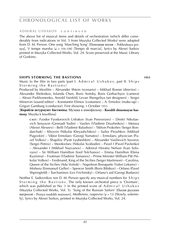### **admiral ushakov** c o n t i n u e d

The above list of musical items and details of orchestration (which differ considerably from indications in Vol. 5 from Muzyka Collected Works) were adopted from D. M. Person. One song 'Marching Song' [Походная песня – Pokhodnaya pesnyal, V tempe marsha ( $\sqrt{q}$  = 104-108) [Tempo di marcial, lyrics by Alexei Surkov printed in Muzyka Collected Works, Vol. 24. Score preserved at the Music Library of Goskino.

### **SHIPS STORMING THE BASTIONS WAS 1953**

Music to the film in two parts (part I: Admiral Ushakov, part II: Ships Storming the Bastions)

Produced by Mosfilm – Alexander Shtein (scenario) – Mikhail Romm (director) – Alexander Shelenkov, Iolanda Chen, Boris Aretsky, Boris Gorbachyov (camera) – Alexei Parkhomenko, Arnold Vaisfeld, Levan Shengeliya (set designers) – Sergei Minervin (sound editor) – Konstantin Efimov (costumes) – A. Ermolov (make-up) – Grigori Gamburg (conductor). First showing: 5 October 1953

[**Корабли штурмуют бастионы.** Музыка к кинофильму **· Korabli shturmuyut bastiony.** Muzyka k kinofilmu]

**c a s t** : Fyodor Fyodorovich Ushakov (Ivan Pereverzev) – Dmitri Nikolaevich Senyavin (Gennadi Yudin) – Vasilev (Vladimir Druzhnikov) – Metaxa (Alexei Alexeev) – Belli (Vladimir Balashov) – Tikhon Prokofiev (Sergei Bondarchuk) – Khovrin (Nikolai Khryashchikov) – Sailor Pirozhkov (Mikhail Pugovkin) – Viktor Ermolaev (Georgi Yumatov) – Ermolaev, physician (Pavel Volkov) – Shapilov (Pyotr Lyubeshkin) – Alexander Vasilievich Suvorov (Sergei Petrov) – Mordovtsev (Nikolai Svobodin) – Pavel I (Pavel Pavlenko) – Alexander I (Mikhail Nazvanov) – Admiral Horatio Nelson (Ivan Solovyov) – Sir William Hamilton (Iosif Tolchanov) – Emma Hamilton (Elena Kuzmina) – Footman (Vladimir Tumanov) – Prime Minister William Pitt (Nikolai Volkov) – Ferdinand, King of the Sicilies (Sergei Martinson) – Carolina, Queen of the Sicilies (Ada Voitsik) – Napoleon Bonaparte (Valeri Lekarev) – Misheru (Emmanuil Geller) – Spencer Smith (Boris Bibikov) – Orfano (Pavel Shpringfeld) – Turchaninov (Lev Frichinsky) – Orfano's aid (Georgi Budarov)

Neither E. Sadovnikov nor D. M. Person specify any musical numbers for S h i p s Storming the Bastions. The only known orchestral piece is 'Overture', which was published as No. 1 in the printed score of  $Admiral$  Ushakov (Muzyka Collected Works, Vol. 5). 'Song of the Russian Sailors' [Песня русских матросов – Pesnya russkikh matrosov], Medlenno, raspevno ( $\sqrt{=}$  = 72) [Slowly, solemnly], lyrics by Alexei Surkov, printed in Muzyka Collected Works, Vol. 24.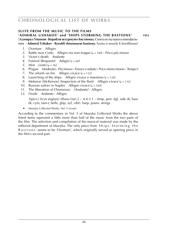#### **SUITE FROM THE MUSIC TO THE FILMS 'admiral ushakov' and 'ships storming the bastions' 1953** [**Адмирал Ушаков . Корабли штурмуют бастионы.** Сюита из музыки к кинофильмам **· Admiral Ushakov · Korabli shturmuyut bastiony.** Syuita is muzyki k kinofilmam]

- *1*. Overture *Allegro*
- *2*. Battle near Corfu *Allegro ma non troppo* (q = 100) **·** *Poco più mosso*
- *3*. Victor's death *Andante*
- 4. Funeral (Requiem) *Adagio* ( $= 60$ )
- *5.* Mist *Lento*  $\mathcal{L} = 56$
- *6*. Plague *Moderato* **·** *Più mosso* **·** *Feroce e rubato* **·** *Poco meno mosso* **·** *Tempo I*
- *7.* The wharfs on fire *Allegro vivace*  $(J = 132)$ <br>*8.* Launching of the ships *Allegro vivace e m*
- Launching of the ships *Allegro vivace e maestoso*  $\mathcal{L} = 126$
- *9.* Mekenzi [McKenzie] (Inspection of the fleet) *Allegro vivace* ( $J = 132$ )
- *10.* Russian sailors in Naples *Allegro vivace* ( $= 160$ )
- *11*. The liberation of Chimorozo *[Andante]* **·** *Allegro*
- *12*. Finale *Andante* **·** *Allegro*
	- $3(pice).3(cor \text{ anglais}).3(bass \text{ clar}).2 4.4.3.1 \text{timp. perc (tgt), side dr, bass.}$ dr, cym, tam-t, bells, glsp, xyl, vibr). harp. piano. strings
	- Muzyka Collected Works: Vol. 5 (score)

According to the commentary in Vol. 5 of Muzyka Collected Works the above listed items represent a little more than half of the music from the two parts of the film. The selection and compilation of the musical material was made by the editorial department of Muzyka. The only piece from Ships Storming the B a stions seems to be 'Overture', which originally served as opening piece in the film's second part.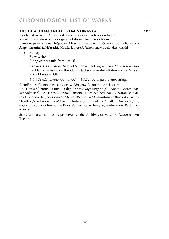## **the GUARDIAN ANGEL FROM NEBRASKA 1953**

Incidental music to August Yakobson's play in 3 acts for orchestra Russian translation of the originally Estonian text: Leon Toom

[**Ангел-хранитель из Небраски.** Музыка к пьесе А. Якобсона в трёх действиях **· Angel-khranitel iz Nebraski.** Muzyka k pyese A. Yakobsona v tryokh deistviyakh]

- *1*. Menagerie
- *2*. Slow waltz
- *3*. [Song without title from Act III]

**d r a m at i s p e r s o n a e** : Samuel Sunne – Ingeborg – Anker Ankersen – Gunnar Hansen – Astrida – Theodor N. Jackson – Smiles – Katrin – Miss Paulsen – Knut Bente – Ola

1.0.1.3sax(alto/tenor/baritone).1 – 4.3.3.1 perc. guit. piano. strings

Première: 28 October 1953, Moscow, Moscow Academic Art Theatre

Boris Petker (Samuel Sunne) – Olga Androvskaya (Ingeborg) – Anatoli Ktorov (Anker Ankersen) – V. Ershov (Gunnar Hansen) – L. Valzer (Astrida) – Vladimir Belokurov (Theodore N. Jackson) – V. Markov (Smiles) – M. Anastasieva (Katrin) – Galina Shostko (Miss Paulsen) – Mikhail Batashov (Knut Bente) – Vladlen Davydov (Ola) – Grigori Konsky (director) – Boris Volkov (stage designer) – Alexander Radunsky (dancer)

Score and orchestral parts preserved at the Archives of Moscow Academic Art Theatre.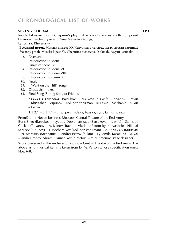### **SPRING STREAM** 1953

Incidental music to Yuli Chepurin's play in 4 acts and 9 scenes jointly composed by Aram Khachaturyan and Nina Makarova (songs)

Lyrics: Ya. Khelemsky

[**Весенний поток.** Музыка к пьесе Ю. Чепурина в четырёх актах, девяти картинах **· Vesenny potok.** Muzyka k pese Yu. Chepurina v chetyryokh aktakh, devyati kartinakh]

- *1*. Overture
- *2*. Introduction to scene II
- *3*. Finale of scene IV
- *4*. Introduction to scene VI
- *5*. Introduction to scene VIII
- *9*. Introduction to scene IX
- *10*. Finale
- *11*. 'I Went on the Hill' (Song)
- *12*. Chastushki [Jokes]
- *13*. Final Song 'Spring Song of Friends'

**DRAMATIS PERSONAE: Barsukov – Barsukova, his wife – Talyanov – Travin** – Khryashch – Zipunov – Kolkhoz chairman – Kuritsyn – Mechanic – Silkin – Galya

1.1.2.1 – 3.3.1.1 – timp. perc (side dr, bass dr, cym, tam-t). strings

Première: 18 November 1953, Moscow, Central Theatre of the Red Army Boris Sitko (Barsukov) – Lyubov Dobrzhanskaya (Barsukova, his wife) – Stanislav Chekan (Talyanov) – A. Ivanov (Travin) – Vladimir Ratomsky (Khryashch) – Nikolai Sergeev (Zipunov) – T. Bocharnikov (Kolkhoz chairman) – V. Belyavsky (Kuritsyn) – N. Starostin (Mechanic) – Andrei Petrov (Silkin) – Lyudmila Kasatkina (Galya) – Andrei Popov, Abram Okunchikov (directors) – Yuri Pimenov (stage designer)

Score preserved at the Archives of Moscow Central Theatre of the Red Army. The above list of musical items is taken from D. M. Person whose specification omits Nos. 6-8.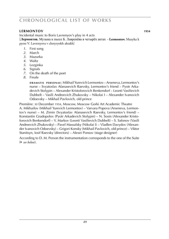### **lermontov 1954**

Incidental music to Boris Lavrenyov's play in 4 acts

[**Лермонтов.** Музыка к пьесе Б. Лавренёва в четырёх актах **· Lermontov.** Muzyka k pyese V. Lavrenyova v chetyryokh aktakh]

- *1*. First song
- *2*. March
- *3*. Mazurka
- *4*. Waltz
- *5*. Lezginka
- *6*. Signals
- *7*. On the death of the poet
- *8*. Finale

**d r a m at i s p e r s o n a e** : Mikhail Yurevich Lermontov – Arseneva, Lermontov's nurse – Svyatoslav Afanasevich Raevsky, Lermontov's friend – Pyotr Arkadevich Stolypin – Alexander Kristoforovich Benkendorf – Leonti Vasilievich Dubbelt – Vasili Andreevich Zhukovsky – Nikolai I – Alexander Ivanovich Odoevsky – Mikhail Pavlovich, old prince

Première: 30 December 1954, Moscow, Moscow Gorki Art Academic Theatre A. Mikhailov (Mikhail Yurevich Lermontov) – Varvara Popova (Arseneva, Lermontov's nurse) – M. Zimin (Svyatoslav Afanasevich Raevsky, Lermontov's friend) – Konstantin Gradopolov (Pyotr Arkadevich Stolypin) – N. Sosin (Alexander Kristoforovich Benkendorf) – V. Markov (Leonti Vasilievich Dubbelt) – S. Safonov (Vasili Andreevich Zhukovsky) – Pavel Massalsky (Nikolai I) – Vladlen Davydov (Alexander Ivanovich Odoevsky) – Grigori Konsky (Mikhail Pavlovich, old prince) – Viktor Stanitsyn, Iosif Raevsky (directors) – Alexei Ponsov (stage designer)

According to D. M. Person the instrumentation corresponds to the one of the Suite (► *see below*).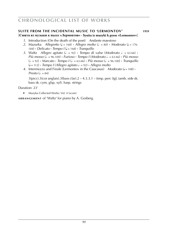### **Suite from the incidental music to 'lermontov' 1959**

[**Сюита из музыки к пьесе »Лермонтов« · Syuita iz muzyki k pyese »Lermontov«**] **WS**

- **10** *1*. Introduction (On the death of the poet) *Andante maestoso*
- 2. Mazurka *Allegretto* ( $l = 168$ ) **·** *Allegro molto* ( $l = 80$ ) **·** *Moderato* ( $l = 176$ -184) **·** *Delicato* **·** *Tempo I* (q = 168) **·** *Tranquillo*
- *3.* Waltz *Allegro agitato* ( $d = 92$ ) **·** *Tempo di valse* (*Moderato*  $d = 63-66$ ) **·** *Più mosso* ( $\sqrt{ }$  = 96-100) **·** *Furioso* · *Tempo I* (*Moderato*  $\sqrt{ }$  = 63-66) · *Più mosso* (h k = 92) **·** *Marcato* **·** *Tempo I* (h k = 63-66) **·** *Più mosso* (h k = 96-100) **·** *Tranquillo*  $(J = 112)$  **·** *Tempo I* (*Allegro agitato*  $J = 92$ ) **·** *Allegro molto*
- *4.* Intermezzo and Finale (Lermontov in the Caucasus) *Moderato* ( $J = 108$ ) **·**  $Presto (h = 84)$

 $3(pice).3(cor \text{ anglais}).3(bass \text{ clar}).2 - 4.3.3.1 - \text{timp. perc (tgl. tamb. side dr.})$ bass dr, cym, glsp, xyl). harp. strings

Duration: 23'

► Muzyka Collected Works: Vol. 4 (score)

**ARRANGEMENT** of 'Waltz' for piano by A. Gosberg.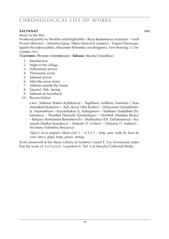## **saltanat 1955**

Music to the film

Produced jointly by Mosfilm and Kirghizfilm – Roza Budantseva (scenario) – Vasili Pronin (director) – Antonina Egina, Viktor Masevich (camera) – Evgeni Chernyaev, Ippolit Novoderyozhkin, Alexander Klimenko (set designers). First showing: 21 December 1955

[**Салтанат.** Музыка к кинофильму **· Saltanat.** Muzyka k kinofilmu]

- *1*. Introduction
- *2*. Night in the village
- *3*. Dzhoomart arrives
- *4*. Threesome scene
- *5*. Saltanat arrives
- *6*. After the snow storm
- *7*. Saltanta outside the house
- *8*. Quarrel. Tale. Spring
- *9*. Saltanat on horseback
- *10*. Reconciliation

**c a s t** : Saltanat (Baken Kydykeeva) – Tugelbaev, kolkhoz chairman / Asan (Muratbek Ryskulov) – Aali, driver (Alty Karliev) – Dzhoomart (Seidakhmetly Nurmukhan) – Karymshakov (L. Kabegenov) – Tashbaev (Sadykbek Dzhamanov) – Shambet (Shamshi Tyumenbaev) – Oronbek (Marklen Ibraev) – Belyaev (Konstantin Bartashevich) – Shaibyubyu (Ch. Dzhamanova) – Kumyush (Darkul Kuyukova) – Mukash (T. Uraliev) – Dzhuma (T. Saskeev) – Secretary (Valentina Belyaeva)

 $3(picc).3(cor anglais).3(bass clar).1 - 4.3.3.1 - timp. perc (side dr, bass dr,$ cym, tam-t, glsp). harp. piano. strings

Score preserved at the Music Library of Goskino. Laurel E. Fay erroneously states that the score of S a I t a n a t is printed in Vol. 5 of Muzyka Collected Works.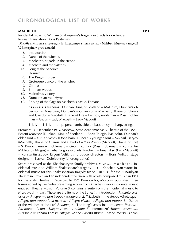### **MACBETH** 1955

Incidental music to William Shakespeare's tragedy in 5 acts for orchestra Russian translation: Boris Pasternak

[**Макбет.** Музыка к трагедии В. Шекспира в пяти актах **· Makbet.** Muzyka k tragedii

V. Shekspira v pyati aktakh]

- *1*. Introduction
- *2*. Dance of the witches
- *3*. Macbeth's brigade in the steppe
- *4*. Macbeth and the witches
- *4a*. Song at the banquet
- *5*. Flourish
- *6*. The King's murder
- *7*. Grotesque dance of the witches
- *8*. Chimes
- *9*. Birnham woods
- *10*. Malcolm's victory
- *11*. Duncan's arrival. Hymn
- *12*. Raising of the flags on Macbeth's castle. Fanfare

**DRAMATIS PERSONAE: Duncan, King of Scotland – Malcolm, Duncan's el**der son – Donalbain, Duncan's younger son – Macbeth, Thane of Glamis and Cawdor – Macduff, Thane of Fife – Lennox, nobleman – Ross, nobleman – Angus – Lady Macbeth – Lady Macduff

 $1.1.1.1 - 1.1.1.1 -$  timp. perc (tamb, side dr, bass dr, cym). harp. strings

Première: 30 December 1955, Moscow, State Academic Maly Theatre of the USSR Evgeni Matveev (Dunkan, King of Scotland) – Boris Telegin (Malcolm, Duncan's elder son) – Yuri Kolychev (Donalbain, Duncan's younger son) – Mikhail Tsaryov (Macbeth, Thane of Glamis and Cawdor) – Yuri Averin (Macduff, Thane of Fife) – S. Konov (Lennox, nobleman) – Georgi Kulikov (Ross, nobleman) – Konstantin Mikhitarov (Angus) – Eleha Gogoleva (Lady Macbeth) – Irina Likso (Lady Macduff) – Konstantin Zubov, Evgeni Velikhov (producer-directors) – Boris Volkov (stage designer) – Kasyan Goleizovsky (choreographer)

Score preserved at the Khachaturyan family archives. ► *see also:* M a c b e t h . Incidental music to William Shakespeare's tragedy (1933). Khachaturyan wrote incidental music for this Shakespearian tragedy twice – in 1933 for the Sundukyan Theatre in Erevan and an independent version with newly composed music in 1955 for the Maly Theatre in Moscow. In 2003 Kompozitor, Moscow, published three tomes edited by Lev Solin presenting scores from Khachaturyan's incidental music entitled 'Theatre Music'. Volume 3 contains a Suite from the incidental music to M a c b e t h (1955). These are the items of the Suite: *1*. 'Introduction' *Andante. Maestoso* **·** *Allegro ma non troppo* **·** *Moderato*, *2*. 'Macbeth in the steppe (Grotesque)' *Allegro non troppo [alla marcia]* **·** *Allegro vivace* **·** *Allegro non troppo*, *3*. 'Dance of the witches at the fire' *Andante*, *4*. 'The King's assassination' *Lento. Pesante* **·** *Più mosso* **·** *Lento* **·** *Allegro vivace* **·** *Andante*, *5*. 'Intermezzo' *Andante sostenuto*, *6*. 'Finale (Birnham Forest)' *Allegro vivace* **·** *Meno mosso* **·** *Meno mosso* **·** *Lento*.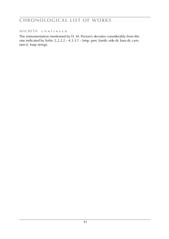### **macbeth** c o n t i n u e d

The instrumentation mentioned by D. M. Person's deviates considerably from the one indicated by Solin:  $2.2.2.2 - 4.3.3.1 -$  timp. perc (tamb, side dr, bass dr, cym, tam-t). harp strings.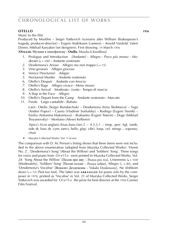## **otello 1956**

Music to the film

Produced by Mosfilm – Sergei Yutkevich (scenario after William Shakespeare's tragedy, producer-director) – Evgeni Andrikanis (camera) – Arnold Vaisfeld, Valeri Dorrer, Mikhail Karyakin (set designers). First showing: 19 March 1956 [**Отелло.** Музыка к кинофильму **· Otello.** Muzyka k kinofilmu]

- *1*. Prologue and Introduction *[Andante]* **·** *Allegro* **·** *Poco più mosso* **·** *Mo derato* ( $J = 100$ ) **·** *Andante sostenuto* 2. Desdemona's Arioso *Allegro ma n*
- *Desdemona's Arioso Allegro ma non troppo* ( $\sqrt{2}$  = 72)
- *3*. Vine-growers *Allegro giocoso*
- *4*. Venice (Nocturne) *Adagio*
- *5*. Nocturnal Murder *Andante sostenuto*
- *6*. Otello's Despair *Andante con ferocia*
- *7*. Otello's Rage *Allegro vivace* **·** *Meno mosso*
- *8*. Otello's Arrival *Moderato* **·** *Lento* **·** *Tempo di marcia*
- *9*. A Slap in the Face *Allegro*
- *10*. Otello's Depart from the Camp *Andante sostenuto* **·** *Marcato*
- *11*. Finale *Largo cantabile* **·** *Rubato*

**c a s t** : Otello (Sergei Bondarchuk) – Desdemona (Irina Skobtseva) – Yago (Andrei Popov) – Cassio (Vladimir Soshalsky) – Rodrigo (Evgeni Vesnik) – Emilia (Antonina Maksimova) – Brabantio (Evgeni Teterin) – Doge (Mikhail Troyanovsky) – Montano (Alexei Kelberer)

 $3(pice).3(cor \text{anglais}).4(sax, bass clar).2 - 4.3.3.1 - timp. perc (tgl, tamb.)$ side dr, bass dr, cym, tam-t, bells, glsp, vibr). harp. cel. strings – soprano, choir

► Muzyka Collected Works: Vol. 5 (score)

The comparison with D. M. Person's listing shows that three items were not included in the above enumeration (adopted from Muzyka Collected Works): 'Hymn No. 2', 'Desdemona's Song' (About the Willow) and 'Soldiers' Song'. Three songs for voice and piano from Otello were printed in Muzyka Collected Works, Vol. 24: 'Song About the Willow' [Песня про иву – Pesnya pro ivul, Umerenno  $\left(\frac{1}{2} = 104\right)$ [Moderately], 'Soldiers' Song' [Песня солдат – Pesnya soldat], Allegro ( $\ell = 80$ ), and 'Desdemona's Vocalise' [Вокализ Дездемоны – Vokaliz Dezdemony], Ne slishkom skoro  $(\sqrt{a} = 72)$  [Not too fast]. The latter was **ARRANGED** for piano solo by the composer in 1978, printed as 'Vocalise' in Vol. 21 of Muzyka Collected Works. Sergei Yutkevich was awarded for Otello the prize for best director at the 1956 Cannes Film Festival.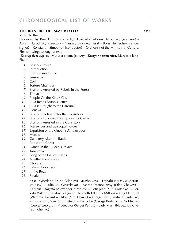## **the bonfire of immortality WS 1956**

Music to the film

Produced by Kiev Film Studio – Igor Lukovsky, Abram Naroditsky (scenario) – Abram Naroditsky (director) – Naum Slutsky (camera) – Boris Nemechek (set designer) – Konstantin Simeonov (conductor) – Orchestra of the Ministry of Culture. First showing: 22 August 1956

[**Костёр бессмертия.** Музыка к кинофильму **· Kostyor bessmertiya.** Muzyka k kinofilmu]

- . Bruno's Return
- . Introduction
- . Urbis Kisses Bruno
- . Serenade
- . Coffin
- . Torture Chamber
- . Bruno is Arrested by Rebels in the Forest
- . Threat
- . People Go the King's Castle
- . Julia Reads Bruno's Letter
- . Julia is Brought to the Cardinal
- . Geneva
- . Bruno Kneeling Befor the Consistory
- . Bruno is Followed by a Spy in the Castle
- . Bruno is Arrested in the Consistory
- . Messenger and Episcopal Forces
- . Expulsion of the Queen's Ambassador
- . Horses
- . Cemetery After the Battle
- . Battle and Christ
- . Dance in the Queen's Palace
- . Tarantella
- . Song of the Galley Slaves
- . A Letter from Bruno
- . Chorale
- . Italy Happiness
- . In the Boat
- . Finale

**c a s t** : Giordano Bruno (Vladimir Druzhnikov) – Dzhabius (David Meriin-Volosov) – Julia (A. Girutskaya) – Martin Yasnoglazny (Oleg Zhakov) – Captain Pifagetta (Alexander Mrebrov) – Petit Jean (Yuri Krotenko) – Perkalo (Viktor Khalatov) – Queen Elizabeth I (Emilia Milton) – King Henry III (Vladimir Taskin) – Urbis (Yuri Lavrov) – Clergyman (Dmitri Milyutenko) – Inquisitor (Pavel Shpringfeld) – De la Fé (Georgi Budarov) – Nobleman (Georgi Georgiu) – Prosecutor (Sergei Petrov) – Lady Marfi (Nadezhda Cherednichenko)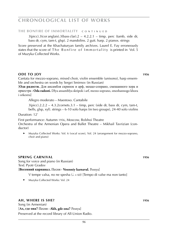**the bonfire of immortality** c o n t i n u e d

 $3(pice).3(cor \text{ anglais}).3(bass \text{ clar}).2 - 4.2.2.1 - \text{timp. perc (tamb, side dr,}$ bass dr, cym, tam-t, glsp). 2 mandolins. 2 guit. harp. 2 pianos. strings

Score preserved at the Khachaturyan family archives. Laurel E. Fay erroneously states that the score of The Bonfire of Immortality is printed in Vol. 5 of Muzyka Collected Works.

### **ODE TO JOY 1956**

Cantata for mezzo-soprano, mixed choir, violin ensemble (unisono), harp ensemble and orchestra on words by Sergei Smirnov (in Russian)

[**Ода радости.** Для ансамбля скрипок и арф, меццо-сопрано, смешанного хора и оркестра **· Oda radosti.** Dlya ansamblya skripok i arf, mezzo-soprano, smeshannogo khora i orkestra]

Allegro moderato – Maestoso. Cantabile

 $3(picc).2.2.2 - 4.3.2$ cornets. $3.1 - timp$ , perc (side dr, bass dr, cym, tam-t, bells, glsp, xyl). strings – 6-10 solo harps (in two groups), 24-40 solo violins

Duration: 12'

First performance: Autumn 1956, Moscow, Bolshoi Theatre Orchestra of the Armenian Opera and Ballet Theatre – Mikhail Tavrizian (conductor)

► Muzyka Collected Works: Vol. 6 (vocal score), Vol. 24 (arrangement for mezzo-soprano, choir and piano)

#### **spring carnival 1956 1956**

Song for voice and piano (in Russian) Text: Pyotr Gradov

#### [**Весенний карнавал.** Песня **· Vesenniy karnaval.** Pesnya]

- V tempe valsa, no ne spesha ( $d = 60$ ) [Tempo di valse ma non tanto]
- ► Muzyka Collected Works: Vol. 24

### **ah, where is she? WS 1010286 1956**

Song (in Armenian) [**Ах, где она?** Песня **· Akh, gde ona?** Pesnya] Preserved at the record library of All-Union Radio.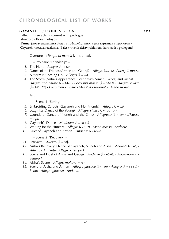### **GAYANEH** [SECOND VERSION] **1957**

Ballet in three acts (7 scenes) with prologue Libretto by Boris Pletnyov

[**Гаянэ.** (новая редакция) Балет в трёх действиях, семи картинах с прологом **· Gayaneh.** (novaya redaktsiya) Balet v tryokh deistviyakh, semi kartinakh s prologom]

Overture *(Tempo di marcia* [q = 132-138]*)*

– Prologue 'Friendship' –

- *1*. The Hunt *Allegro*  $(d = 132)$
- *2.* Dance of the Friends (Armen and Georgi) *Allegro* ( $\overline{d} = 76$ ) **·** *Poco più mosso*
- *3.* A Storm is Coming Up *Allegro* ( $\sqrt{a} = 76$ )
- *4*. The Storm (Aisha's Appearance, Scene with Armen, Georgi and Aisha) *Allegro con calore* ( $I = 144$ )  $\cdot$  *Poco più mosso* ( $I = 88-92$ )  $\cdot$  *Allegro vivace* (q = 162-176) **·** *Poco meno mosso* **·** *Maestoso sostenuto* **·** *Meno mosso*

Act I

– Scene 1 'Spring' –

- *5.* Embroiding Carpets (Gavaneh and Her Friends) *Allegro* ( $= 92$ )
- 6. Lezginka (Dance of the Young) *Allegro vivace* ( $J = 100-104$ )
- *7.* Uzundara (Dance of Nuneh and the Girls) *Allegretto* ( $\ell = 69$ ) **·** *L'istesso tempo*
- *8.* Gayaneh's Dance *Moderato* ( $\sqrt{.}$  = 58-60)
- *9.* Waiting for the Hunters *Allegro* ( $J = 152$ )  $\cdot$  *Meno mosso*  $\cdot$  *Andante*
- *10.* Duet of Gayaneh and Armen *Andante* ( $J = 66-69$ )

– Scene 2 'Recovery' –

- *11.* Entr'acte *Allegro*  $\left[ \frac{1}{2} \right] = 60$
- 12. Aisha's Recovery. Dance of Gayaneh, Nuneh and Aisha *Andante* ( $J = 66$ ) **·** *Allegro* **·** *Andante* **·** *Allegro* **·** *Tempo I*
- *13.* Scene and Duet of Aisha and Georgi *Andante* ( $J = 60-63$ ) **·** *Appassionato* ·  *Tempo I*
- *14.* Aisha's Scene *Allegro molto* ( $d = 76$ )
- *15.* Scene of Aisha and Armen *Allegro giocoso* ( $J = 160$ ) **·** *Allegro* ( $J = 58-60$ ) **·**  *Lento* **·** *Allegro giocoso* **·** *Andante*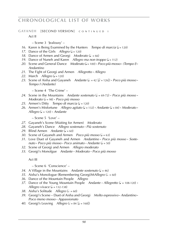GAYANEH **[SECOND VERSION]** c o n t i n u f d i

Act II

– Scene 3 'Jealousy' –

- *16.* Karen is Being Examined by the Hunters *Tempo di marcia* ( $J = 120$ )
- 17. Dance of the Girls *Allegro*  $(l = 120)$
- *18.* Dance of Armen and Georgi *Moderato* ( $\sqrt{a} = 66$ )
- *19.* Dance of Nuneh and Karen *Allegro ma non troppo* ( $J = 112$ )
- *20.* Scene and General Dance *Moderato* ( $l = 100$ )  $\cdot$  *Poco più mosso*  $\cdot$  *(Tempo I)*  $\cdot$  *Andantino*
- *21*. The Fight of Georgi and Armen *Allegretto* **·** *Allegro*
- 22. March *Allegro* ( $\sqrt{ }$  = 120)
- 23. Scene of Aisha and Gayaneh *Andante* ( $\downarrow$  = 42 [ $\downarrow$  = 126]) **·** *Poco più mosso* **·**  *Tempo I (Andante)*

– Scene 4 'The Crime' –

- 24. Scene in the Mountains *Andante sostenuto*  $(J = 69-72)$  **·** *Poco più mosso* **·**  *Moderato* (h = 98) **·** *Poco più mosso*
- *25.* Armen's Ditty *Tempo di marcia* ( $J = 120$ )
- 26. Armen's Misfortune *Allegro agitato* ( $J = 132$ ) **·** Andante ( $J = 84$ ) · Moderato ·  $\Delta$  *Allegro* ( $\angle$  = 120) **·** *Andante*

– Scene 5 'Love' –

- *27*. Gayaneh's Scene (Waiting for Armen) *Moderato*
- *28*. Gayaneh's Dance *Allegro sostenuto* **·** *Più sostenuto*
- 29. Blind Armen *Andante* ( $J = 60$ )
- *30.* Scene of Gayaneh and Armen *Poco più mosso* ( $\sqrt{ } = 63$ )
- *31*. Love Duet of Gayaneh and Armen *Andantino* **·** *Poco più mosso* **·** *Soste nuto* **·** *Poco più mosso* **·** *Poco animato* **·** *Andante* (q = 50)
- *32*. Scene of Georgi and Armen *Allegro moderato*
- *33*. Georgi's Monolgue *Andante* **·** *Moderato* **·** *Poco più mosso*

Act III

– Scene 6 'Conscience' –

- 34. A Village in the Mountains *Andante sostenuto*  $(1) = 46$
- 35. Aisha's Monologue (Remembering Georgi) MAllegro ( $d = 60$ )
- *36*. Dance of the Mountain People *Allegro*
- *37.* Dance of the Young Mountain People *Andante Allegretto* ( $J = 108-120$ ) **·** *Allegro vivace* ( $= 132-138$ )
- *38.* Aisha's Solitude *Allegro* ( $\ell = 60$ )
- *39*. Georgi's Scene Duet of Aisha and Georgi *Molto espressivo* **·** *Andantino* **·**  *Poco meno mosso* **·** *Appassionato*
- *40.* Georgi's Leaving *Allegro* ( $\epsilon = 84$  [ $\epsilon = 168$ ])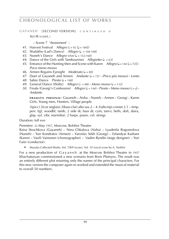### **GAYANEH [SECOND VERSION] CONTINUED II**

Act III (cont.)

– Scene 7 'Atonement' –

- 41. Harvest Festival *Allegro* ( $\epsilon$  = 92 [ $\epsilon$  = 184])
- *42.* Shalakho (Lad's Dance) *Allegro* ( $\downarrow$  = 104-108)
- 43. Nuneh's Dance *Allegro vivo*  $\overline{L}$  = 152-160)
- 44. Dance of the Girls with Tambourines *Allegretto*  $(l = 63)$
- *45.* Entrance of the Hunting Men and Scene with Karen *Allegro* ( $J = 144$  [ $J = 72$ ]) **·**  *Poco meno mosso*
- 46. Armen Regains Eyesight *Moderato* ( $= 80$ )
- *47*. Duet of Gayaneh and Armen *Andante* (q = 72) **·** *(Poco più mosso)* **·** *Lento*
- 48. Sabre Dance *Presto* ( $J = 148$ )
- *49.* General Dance (Waltz) *Allegro* ( $\sqrt{a} = 88$ ) **·** *Meno mosso* ( $\sqrt{a} = 132$ )
- *50.* Finale (Georgi's Confession) *Allegro* ( $\downarrow$  = 144) **·** *Presto* · *Meno mosso* ( $\downarrow$  =  $\downarrow$ ) ·  *Andante*

**d r a m at i s p e r s o n a e** : Gayaneh – Aisha – Nuneh – Armen – Georgi – Karen Girls, Young men, Hunters, Village people

3(picc).3(cor anglais).3(bass clar).alto sax.2 – 4.3(alto trp).cornet.3.1 – timp. perc (tgl, woodbl, tamb, 2 side dr, bass dr, cym, tam-t, bells, doli, daira, glsp, xyl, vibr, marimba). 2 harps. piano. cel. strings

Duration: full eve

Première: 22 May 1957, Moscow, Bolshoi Theatre

Raisa Struchkova (Gayaneh) – Nina Chkalova (Aisha) – Lyudmila Bogomolova (Nuneh) – Yuri Kondratov (Armen) – Yaroslav Sekh (Georgi) – Esfandyar Kashani (Karen) – Vasili Vainonen (choreographer) – Vadim Ryndin (stage designer) – Yuri Faier (conductor)

► Muzyka Collected Works: Vol. 7/8/9 (score), Vol. 10 (vocal score by A. Tseitlin)

For a new production of G a y a n e h at the Moscow Bolshoi Theatre in 1957 Khachaturyan commissioned a new scenario from Boris Pletnyov. The result was an entirely different plot retaining only the names of the principal characters. For this new version the composer again re-worked and extended the musical material to overall 50 numbers.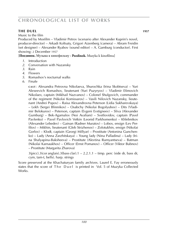## **the duell 1957 1957**

Music to the film

Produced by Mosfilm – Vladimir Petrov (scenario after Alexander Kuprin's novel, producer-director) – Arkadi Koltsaty, Grigori Aizenberg (camera) – Abram Freidin (set designer) – Alexander Ryabov (sound editor) – A. Gamburg (conductor). First showing: 2 December 1957

[**Поединок.** Музыка к кинофильму **· Poedinok.** Muzyka k kinofilmu]

- *1*. Introduction
- *2*. Conversation with Nazansky
- *3*. Rain
- *4*. Flowers
- *5*. Romashov's nocturnal walks
- *6*. Finale

**c a s t** : Alexandra Petrovna Nikolaeva, Shurochka (Irina Skobtseva) – Yuri Alexeevich Romashov, lieutenant (Yuri Puzyryov) – Vladimir Efimovich Nikolaev, captain (Mikhail Nazvanov) – Colonel Shulgovich, commander of the regiment (Nikolai Komissarov) – Vasili Nilovich Nazansky, lieutenant (Andrei Popov) – Raisa Alexandrovna Peterson (Lidia Sukharevskaya) – Lekh (Sergei Blinnikov) – Osabchy (Nikolai Bogolyubov) – Dits (Vladimir Belokurov) – Peterson, captain (Evgeni Evstigneev) – Sliva (Alexander Gumburg) – Bek-Agamalov (Noi Avaliani) – Svetlovidov, captain (Pavel Pavlenko) – Pavel Pavlovich Vetkin (Leonid Parkhomenko) – Khlebnikov (Alexander Lebedev) – Gainan (Radner Muratov) – Lobov, ensign (Lev Perfilov) – Mikhin, lieutenant (Gleb Strizhenov) – Zolotukhin, ensign (Nikolai Gorlov) – Klodt, captain (Georgi Millyar) – Prostitute (Antonina Gunchenko) – Lady (Anna Zarzhitskaya) – Young lady (Nina Palladina) – Lady (Irina Shalyapina-Baksheeva) – Prostitute (Alevtina Rumyantseva) – Batman (Nikolai Karnaukhov) – Officer (Ernst Pomanov) – Officer (Viktor Bubnov) – Prostitute (Margarita Zharova)

 $3(pice).3(cor \text{ anglais}).3(bass \text{ clar}).1 - 2.2.1.1 - \text{timp. } perc \text{ (side dr, bass dr, }$ cym, tam-t, bells). harp. strings

Score preserved at the Khachaturyan family archives. Laurel E. Fay erroneously states that the score of The Duel is printed in Vol. 5 of Muzyka Collected Works.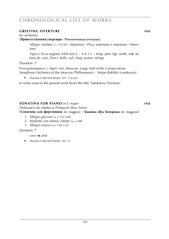## **GREETING OVERTURE WAS 1958**

### for orchestra

### [**Приветственная увертюра · Privetstvennaya uvertyura**]

Allegro risoluto (h = 92-96) **·** Maestoso **·** Poco sostenuto e maestoso **·** Maestoso

3(picc).3(cor anglais).3(*Eb* clar).2 – 4.4.3.1 – timp, perc (tgl, tamb, side dr, bass dr, cym, Tam-t, bells, xyl). harp. piano. strings

Duration: 5'

First performance: 3 April 1960, Moscow, Large Hall of the Conservatoire Symphony Orchestra of the Moscow Philharmonic – Natan Rakhlin (conductor)

► Muzyka Collected Works: Vol. 3 (score)

In some sources the present work bears the title 'Salutatory Overture'.

## **sONATINA FOR PIANO** in C major **WAS 1002870 1002870 1002870 1002870 1002870 1002870**

*Dedicated to the children at Prokopevsk Music School*

[**Сонатина для фортепиано** do maggiore **· Sonatina dlya fortepiano** do maggiore]

- *1*. Allegro giocoso ( $\sqrt{ }$  = 152-160)
- 2. Andante con anima, rubato  $\mathcal{L} = 108$
- 3. Allegro mosso  $\mathcal{L} = 144-152$

Duration: 7'

*score:* **sik 2153**

► Muzyka Collected Works: Vol. 21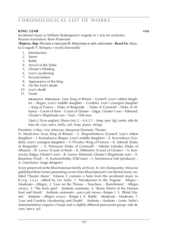## **king learn 1958 MS**

Incidental music to William Shakespeare's tragedy in 3 acts for orchestra Russian translation: Boris Pasternak

[**Король Лир.** Музыка к трагедии В. Шекспира в трёх действиях **· Korol Lir.** Muzyka k tragedii V. Shekspira v tryokh deistviyakh]

- *1*. Introduction
- *2*. Storm
- *3*. Battle
- *4*. Arrival of the Duke
- *5*. Gloster's blinding
- *6*. Lear's awakening
- *7*. Second fanfare
- *8*. Appearance of the King
- *9*. On the Fool's death
- *10*. Lear's death
- *11*. Finale

**DRAMATIS PERSONAE:** Lear, King of Britain – Goneril, Lear's oldest daughter – Regan, Lear's middle daughter – Cordelia, Lear's youngest daughter – King of France – Duke of Burgundy – Duke of Cornwall – Duke of Albania – Count of Kent – Count of Gloster – Edgar, Gloster's son – Edmund, Gloster's illegitimate son – Fool – Old man

 $3(pice).3(cor \text{ anglais}).3(bass \text{ clar}).2 - 4.4.3.1 - \text{timp. perc (tgl, tamb, side dr,}$ bass dr, cym, tam-t, bells, xyl). harp. piano. strings

Première: 8 May 1958, Moscow, Mossovet Dramatic Theatre

N. Mordvinov (Lear, King of Britain) – L. Shaposhnikova (Goneril, Lear's oldest daughter) – I. Kartashyova (Regan, Lear's middle daughter) – E. Kovenskaya (Cordelia, Lear's youngest daughter) – V. Privalov (King of France) – K. Sidoruk (Duke of Burgundy) – A. Petrosyan (Duke of Cornwall) – Nikolai Lebedev (Duke of Albania) – B. Lavrov (Count of Kent) – K. Mikhailov (Count of Gloster) – A. Konsovsky (Edgar, Gloster's son) – B. Ivanov (Edmund, Gloster's illegitimate son) – A. Barantsev (Fool) – A. Kostomolotsky (Old man) – I. Annisimova-Vulf (producer) – A. Goncharov (stage designer)

Score preserved at the Khachaturyan family archives. In 2003 Kompozitor, Moscow published three tomes presenting scores from Khachaturyan's incidental music entitled 'Theatre Music'. Volume 2 contains a Suite from the incidental music to King Lear edited by Lev Solin: 1. 'Introduction to the Tragedy' Allegro · *Moderato* **·** *Allegro*, *2*. 'Lear on the Throne – Treachery – Banishment' *Allegro vivace*, *3*. 'The fools grief' *Andante sostenuto*, *4*. 'Storm (Storm of the Human Soul and Heart)' *Andante sostenuto* **·** *poco più mosso* **·***Tempo I*, *5*. 'Blind Gloster' *Andante* **·** *Allegro vivace* **·** *Tempo I*, *6*. 'Battle' *Moderato* **·** *Moderato*, *7*. 'Lear and Cordelia (Awakening and Death)' *Andante* **·** *Andante* **·** *Lento*. Solin's instrumentation requires 2 harps and a slightly different percussion group: side dr, cym, tam-t, xyl.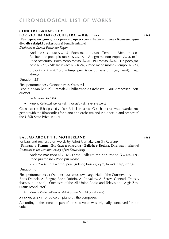### **concerto-rhapsody**

#### **fOR VIOLIN AND ORCHESTRA** in B flat minor **1961**

[**Концерт-рапсодия для скрипки с оркестром** si bemolle minore **· Kontsert-rapsodiya dlya skripki c orkestrom** si bemolle minore]

*Dedicated to Leonid Borisovich Kogan*

Andante sostenuto (q = 56) **·** Poco meno mosso **·** Tempo I **·** Meno mosso **·** Recitando e poco più mosso ( $J = 60-72$ ) **·** Allegro ma non troppo ( $J = 96-100$ ) **·**  $Poco$  sostenuto  $\cdot$  Poco meno mosso ( $J = 60$ )  $\cdot$  Più mosso ( $J = 84$ )  $\cdot$  Un poco gio- $\cos \left( \phi \right) = 56$  **·** Allegro vivace  $(\phi = 88.92)$  **·** Poco meno mosso · Tempo I  $(\phi = 92)$  $3(pice)$ .2.2.2 – 4.2.0.0 – timp, perc (side dr, bass dr, cym, tam-t). harp.

Duration: 23'

strings

First performance: 7 October 1962, Yaroslavl Leonid Kogan (violin) – Yaroslavl Philharmonic Orchestra – Yuri Aranovich (conductor)

*pocket score:* **sik 2336**

► Muzyka Collected Works: Vol. 17 (score), Vol. 18 (piano score)

Concerto-Rhapsody for Violin and Orchestra was awarded (together with the Rhapsodies for piano and orchestra and violoncello and orchestra) the USSR State Prize in 1971.

### **ballad about the motherland WS 1961**

for bass and orchestra on words by Ashot Garnakeryan (in Russian) [**Баллада о Родине.** Для баса и оркестра **· Ballada o Rodine.** Dlya basa i orkestra] *Dedicated to the* 40*th anniversary of the Soviet Army*

Andante maestoso ( $\sqrt{ }$  = 66)  $\cdot$  Lento  $\cdot$  Allegro ma non troppo ( $\sqrt{ }$  = 108-112)  $\cdot$ Poco più mosso **·** Poco più mosso

 $2.2.2.2 - 4.3.3.1 - \text{time}$ , perc (side dr, bass dr, cym, tam-t), harp, strings

Duration: 8'

First performance: 24 October 1961, Moscow, Large Hall of the Conservatory Boris Deinek, A. Blagov, Boris Dobrin, A. Polyakov, A. Serov, Gennadi Troitsky (basses in unison) – Orchestra of the All-Union Radio and Television – Algis Zhyuraitis (conductor)

► Muzyka Collected Works: Vol. 6 (score), Vol. 24 (vocal score)

**ARRANGEMENT** for voice an piano by the composer.

According to the score the part of the solo voice was originally conceived for one voice.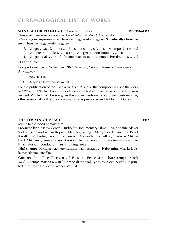## **sONATA FOR PIANO** in E flat major / C major **1961/1976-1978 1978**

*Dedicated to the memory of my teacher Nikolai Yakovlevich Myaskovsky* [**Соната для фортепиано** mi bemolle maggiore /do maggiore **· Sonatina dlya fortepia-**

**no** mi bemolle maggiore /do maggiore]

- 1. Allegro vivace  $\left( \frac{1}{2} \right)$  = 144-152) **·** Poco meno mosso  $\left( \frac{1}{2} \right)$  = 132) **·** A tempo  $\left( \frac{1}{2} \right)$  = 144-152)
- 2. Andante tranquillo ( $\sqrt{ }$  = 168-176) **·** Allegro ma non troppo ( $\sqrt{ }$  = 104)
- 3. Allegro assai ( $J = 88-92$ ) **·** Pesante maestoso, ma a tempo · Prestissimo ( $J = 176$ )

### Duration: 25'

First performance: 9 November 1962, Moscow, Central House of Composers A. Kazakov

### *score:* **sik 2325**

► Muzyka Collected Works: Vol. 21

For the publication of the Sonata for Piano the composer revised the work in 1976 and 1978. Two bars were deleted in the first and twelve bars in the final movement. While D. M. Person gives the above mentioned data of first performance, other sources state that the composition was premiered in 1961 by Emil Gilels.

## **the tocsin of peace and the set of peace is a set of the set of the set of the set of the set of the set of the set of the set of the set of the set of the set of the set of the set of the set of the set of the set of the**

Music to the documentary film

Produced by Moscow Central Studio for Documentary Films – Ilya Kopalin, Alexei Surkov (scenario) – Ilya Kopalin (director) – Segei Medynsky, I. Grachev, Pavel Kasatkin, V. Kisilev, Leonid Kotlyarenko, Alexander Kochetkov, Vladislav Mikosha, I. Mikheev (camera) – Yuri Karavkin (text) – Leonid Khmara (narrator) – Emin Khachaturyan (conductor). First showing: 1962

[**Набат мира.** Музыка к документальному кинофильму **· Nabat mira.** Muzyka k dokumentalnomu kinofilmu]

One song from The Tocsin of Peace, 'Peace March' [Марш мира – Marsh mira], V tempe marsha ( $J = 108$ ) [Tempo di marcia], lyrics by Alexei Surkov, is printed in Muzyka Collected Works, Vol. 24.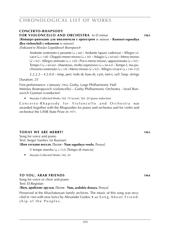### **concerto-rhapsody fOR VIOLONCELLO AND ORCHESTRA** in D minor **1963** [**Концерт-рапсодия для виолончели с оркестром** re minore **· Kontsert-rapsodiya**

**dlya violoncheli c orkestrom** re minore] *Dedicated to Mstislav Leopoldovich Rostropovich*

> Andante sostenuto e pesante (q = 66) **·** Andante (quasi cadenza) **·** Allegro vi- $\text{vae}$  ( $\downarrow$  = 138) **•** Doppio meno mosso ( $\downarrow$  = 50) **•** Adagio ( $\downarrow$  = 60-66) **•** Meno mosso  $(\Box = 92) \cdot$  Allegro animato ( $\Box = 120$ )  $\cdot$  Poco meno mosso, appassionato ( $\Box = 92$ )  $\cdot$ Tempo I ( $\sqrt{ }$  = 60-66) **·** Maestoso, molto espressivo ( $\sqrt{ }$  = 60-63) **·** Tempo I, ma pochissimo sostenuto ( $\sqrt{ } = 54$ ) **·** Meno mosso ( $\sqrt{ } = 92$ ) **·** Allegro vivace ( $\sqrt{ } = 144-152$ )

> $2.2.2.2 - 4.2.0.0 - \text{time}$ , perc (side dr, bass dr, cym, tam-t, xyl). harp. strings

Duration: 25'

First performance: 4 January 1964, Gorky, Large Philharmonic Hall Mstislav Rostropovich (violoncello) – Gorky Philharmonic Orchestra – Izrail Borisovich Gusman (conductor)

Muzyka Collected Works: Vol. 19 (score), Vol. 20 (piano reduction)

Concerto-Rhapsody for Violoncello and Orchestra was awarded (together with the Rhapsodies for piano and orchestra and for violin and orchestra) the USSR State Prize in 1971.

## **today we are merry! 1963 1963**

Song for voice and piano Text: Sergei Vasiliev (in Russian) [**Нам сегодня весело.** Песня **· Nam segodnya veselo.** Pesnya]

V tempe marsha  $(J = 112)$  [Tempo di marcia]

► Muzyka Collected Works: Vol. 24

## **to you, arab friends WS 1010286 1964**

Song for voice or choir and piano Text: El-Registan

[**Вам, арабские друзья.** Песня · **Vam, arabskie druzya.** Pesnya]

Preserved at the Khachaturyan family archives. The music of this song was recycled in 1968 with new lyrics by Alexander Godov. ► *see:* S o n g A b o u t F r i e n d ship of the Peoples.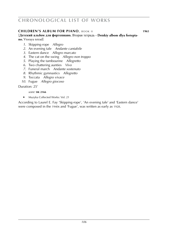### **children's album for piano**, book ii **1965 1965**

[**Детский альбом для фортепиано.** Вторая тетрадь **· Detskiy albom dlya fortepiano.** Vtoraya tetrad]

- *1*. Skipping-rope *Allegro*
- *2.* An evening tale *Andante cantabile*
- *3.* Eastern dance *Allegro marcato*
- *4*. The cat on the swing *Allegro non troppo*
- *5*. Playing the tambourine *Allegretto*
- *6*. Two chattering aunties *Vivo*
- *7*. Funeral march *Andante sostenuto*
- *8*. Rhythmic gymnastics *Allegretto*
- *9*. Toccata *Allegro vivace*
- *10*. Fugue *Allegro giocoso*

Duration: 25'

### *score:* **sik 2166**

► Muzyka Collected Works: Vol. 21

According to Laurel E. Fay 'Skipping-rope', 'An evening tale' and 'Eastern dance' were composed in the 1940s and 'Fugue', was written as early as 1928.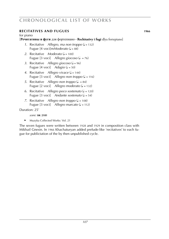## **RECITATIVES AND FUGUES 1966**

### for piano

## [**Речитативы и фуги** для фортепиано **· Rechitativy i fugi** dlya fortepiano]

- *1*. Recitative *Allegro, ma non troppo*  $\left( \right) = 132$ Fugue [4 voci]m*Moderato* ( $= 88$ )
- *2.* Recitative *Moderato* ( $\sqrt{ }$  = 100) Fugue  $[3 \text{ voci}]$  *Allegro giocoso*  $(4. = 76)$
- *3*. Recitative *Allegro giocoso* ( $\sqrt{ }$  = 96) Fugue  $[4 \text{ voci}]$  *Adagio* ( $= 50$ )
- *4.* Recitative *Allegro vivace* ( $J = 144$ ) Fugue  $\begin{bmatrix} 3 \ \text{voci} \end{bmatrix}$  *Allegro non troppo* ( $J = 116$ )
- *5*. Recitative *Allegro non troppo*  $(l = 84)$ Fugue  $[2 \text{ voci}]$  *Allegro moderato*  $(2 = 132)$
- *6.* Recitative *Allegro poco sostenuto* ( $\sqrt{ }$  = 120) Fugue  $[3 \text{ voci}]$  *Andante sostenuto*  $(2 = 54)$
- *7.* Recitative *Allegro non troppo* ( $\sqrt{ }$  = 108) Fugue  $[3 \text{ voci}]$  *Allegro marcato*  $(4 = 112)$

### Duration: 25'

### *score:* **sik 2181**

► Muzyka Collected Works: Vol. 21

The seven fugues were written between 1928 and 1929 in composition class with Mikhail Gnesin. In 1966 Khachaturyan added prelude-like 'recitatives' to each fugue for publictation of the by then unpublished cycle.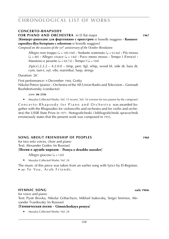### **concerto-rhapsody**

#### **for PIANO AND ORCHESTRA** in D flat major **1967**

[**Концерт-рапсодия для фортепиано с оркестром** re bemolle maggiore **· Kontsertrapsodiya dlya fortepiano c orkestrom** re bemolle maggiore]

*Composed on the occasion of the* 50*th anniversary of the October Revolution*

Allegro non troppo ( $\sqrt{ }$  = 100-104) **·** Andante sostenuto ( $\sqrt{ }$  = 63-66) **·** Più mosso  $(J = 80)$  **·** Allegro vivace  $(J = 144)$  · Poco meno mosso · Tempo I (Feroce) · Maestoso e pesante ( $\sqrt{ }$  = 69-72) **·** Tempo I ( $\sqrt{ }$  = 104)

 $2(picc).2.2.2 - 4.2.0.0 - timp, perc (tgl, whip, wood bl, side dr, bass dr,$ cym, tam-t, xyl, vibr, marimba). harp. strings

Duration: 26'

First performance: 9 December 1968, Gorky Nikolai Petrov (piano) – Orchestra of the All-Union Radio and Television – Gennadi Rozhdestvensky (conductor)

*score:* **sik 2336**

► Muzyka Collected Works: Vol. 15 (score), Vol. 16 (version for two pianos by the composer)

Concerto-Rhapsody for Piano and Orchestra was awarded (together with the Rhapsodies for violoncello and orchestra and for violin and orchestra) the USSR State Prize in 1971. Notograficheski i bibliograficheski spravochnik erroneously states that the present work was composed in 1955.

### **song about friendship of peoples WS 1968**

for two solo voices, choir and piano Text: Alexander Godov (in Russian)

#### [**Песня о дружбе народов** – **Pesnya o druzhbe narodov**]

Allegro giocoso ( $J = 120$ )

► Muzyka Collected Works: Vol. 24

The music of this piece was taken from an earlier song with lyrics by El-Registan. ► see: To You, Arab Friends,

### **HYMNIC SONG early 1960s**

for voice and piano Text: Pyotr Brovka, Nikolai Gribachyov, Mikhail Isakovsky, Sergei Smirnov, Alexander Tvardovsky (in Russian)

#### [**Гимническая песня** – **Gimnicheskaya pesnya**]

► Muzyka Collected Works: Vol. 24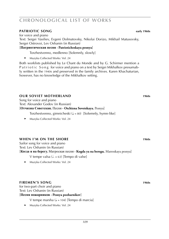### **patriotic song WS 10102868 early 1960s**

for voice and piano

Text: Sergei Vasiliev, Evgeni Dolmatovsky, Nikolai Dorizo, Mikhail Matusovsky, Sergei Ostrovoi, Lev Oshanin (in Russian)

### [**Патриотическая песня · Patrioticheskaya pesnya**]

Torzhestvenno, medlenno [Solemnly, slowly]

► Muzyka Collected Works: Vol. 24

Both worklists published by Le Chant du Monde and by G. Schirmer mention a P a t r i o t i c S o n g for voice and piano on a text by Sergei Mikhalkov presumably written in the 1940s and preserved in the family archives. Karen Khachaturian, however, has no knowledge of the Mikhalkov setting.

### **OUR SOVIET MOTHERLAND 1960s**

Song for voice and piano Text: Alexander Godov (in Russian) [**Отчизна Советская.** Песня **· Otchizna Sovetskaya.** Pesnya]

Torzhestvenno, gimnicheski  $(J = 80)$  [Solemnly, hymn-like]

► Muzyka Collected Works: Vol. 24

## **WHEN I'M ON THE SHORE 1960s**

Sailor song for voice and piano Text: Lev Oshanin (in Russian)

## [**Когда я на берегу.** Матроская песня **· Kogda ya na beregu.** Matroskaya pesnya]

V tempe valsa ( $d = 63$ ) [Tempo di valse]

► Muzyka Collected Works: Vol. 24

## **firemen's song 1960s 1960s**

for two-part choir and piano Text: Lev Oshanin (in Russian) [**Песня пожарников · Pesnya pozharnikov**]

- V tempe marsha  $(J = 104)$  [Tempo di marcia]
- ► Muzyka Collected Works: Vol. 24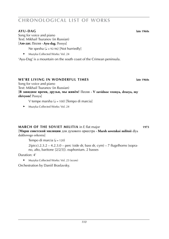## **chronological list of works**

#### **ayu-dag late 1960s**

Song for voice and piano Text: Mikhail Tsuranov (in Russian) [**Аю-даг.** Песня **· Ayu-dag.** Pesnya]

Ne spesha ( $d = 92-96$ ) [Not hurriedly]

► Muzyka Collected Works: Vol. 24

'Ayu-Dag' is a mountain on the south coast of the Crimean peninsula.

#### **WE'RE LIVING IN WONDERFUL TIMES 10608 late 1960s**

Song for voice and piano

Text: Mikhail Tsuranov (in Russian)

[**В завидное время, друзья, мы живём!** Песня **· V zavidnoe vremya, druzya, my zhivyom!** Pesnya]

V tempe marsha ( $J = 100$ ) [Tempo di marcia]

► Muzyka Collected Works: Vol. 24

#### **MARCH OF THE SOVIET MILITIA** in E flat major **WARCH OF THE SOVIET MILITIA** in E flat major

[**Марш советской милиции** для духового оркестра **· Marsh sovetskoi militsii** dlya dukhovogo orkestra]

Tempo di marcia  $(J = 120)$ 

 $2(\text{picc}).2.3.2 - 4.2.3.0 - \text{perc}$  (side dr, bass dr, cym) – 7 flugelhorns (soprano, alto, baritone [2/2/3]). euphonium. 2 basses

Duration: 4'

► Muzyka Collected Works: Vol. 23 (score)

Orchestration by Daniil Braslavsky.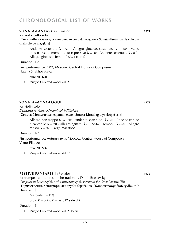## **chronological list of works**

#### **sONATA-FANTASY** in C major **WAS 1010146 1974**

for violoncello solo

[**Соната-Фантазия** для виолончели соло do maggiore **· Sonata-Fantasiya** dlya violoncheli solo do maggiore]

Andante sostenuto ( $\sqrt{ } = 69$ ) **·** Allegro giocoso, sostenuto ( $\sqrt{ } = 138$ ) · Meno  $mosso \cdot$  Meno mosso molto espressivo ( $d = 88$ )  $\cdot$  Andante sostenuto ( $d = 88$ )  $\cdot$ Allegro giocoso (Tempo I) ( $J = 138-144$ )

Duration: 15'

First performance: 1975, Moscow, Central House of Composers Natalia Shakhovskaya

*score:* **sik 2231**

► Muzyka Collected Works: Vol. 20

#### **sonata-monologue WS 1975**

for violin solo *Dedicated to Viktor Alexandrovich Pikaizen*

[**Соната-Монолог** для скрипки соло **· Sonata-Monolog** dlya skripki solo]

Allegro non troppo ( $\sqrt{ }$  = 120)  $\cdot$  Andante sostenuto ( $\sqrt{ }$  = 60)  $\cdot$  Poco sostenuto e cantabile  $(J = 69)$  **·** Allegro agitato  $(J = 132-144)$  · Tempo I  $(J = 60)$  · Allegro mosso ( $\sqrt{ }$  = 76) **·** Largo maestoso

Duration: 16'

First performance: Autumn 1975, Moscow, Central House of Composers Viktor Pikaizen

*score:* **sik 2232**

► Muzyka Collected Works: Vol. 18

#### **fESTIVE FANFARES** in F Major **WAS 1975**

for trumpets and drums (orchestration by Daniil Braslavsky) *Composed in honour of the* 30*th anniversary of the victory in the Great Patriotic War* [**Торжественные фанфары** для труб и барабанов **· Torzhestvennye fanfary** dlya trub

#### i barabanov]

Marciale  $(J = 118)$ 

 $0.0.0.0 - 0.7.0.0 -$  perc (2 side dr)

Duration: 4'

► Muzyka Collected Works: Vol. 23 (score)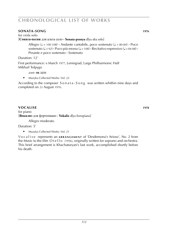# **chronological list of works**

#### **sonata-song 1976 1976**

for viola solo [**Соната-песня** для альта соло **· Sonata-pesnya** dlya alta solo]

> Allegro ( $\sqrt{ }$  = 100-108) **·** Andante cantabile, poco sostenuto ( $\sqrt{ }$  = 80-84) **·** Poco  $s$ ostenuto ( $\sqrt{ } = 92$ ) **·** Poco più mosso ( $\sqrt{ } = 108$ ) · Recitativo espressivo ( $\sqrt{ } = 84-88$ ) · Pesante e poco sostenuto **·** Sostenuto

Duration: 12'

First performance: 6 March 1977, Leningrad, Large Philharmonic Hall Mikhail Tolpygo

*score:* **sik 2233**

► Muzyka Collected Works: Vol. 22

According to the composer S o n a t a - S o n g was written whithin nine days and completed on 23 August 1976.

#### **vocalise WS 1004587 1978**

for piano [**Вокализ** для фортепиано **· Vokaliz** dlya fortepiano]

Allegro moderato

Duration: 5'

► Muzyka Collected Works: Vol. 21

Vo c a l i s e represents an **ARRANGEMENT** of 'Desdemona's Arioso', No. 2 from the Music to the film  $O$  t e l l o (1956), originally written for soprano and orchestra. This brief arrangement is Khachaturyan's last work, accomplished shortly before his death.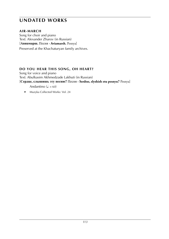# **undated works**

#### $AIR-MARCH$

Song for choir and piano Text: Alexander Zharov (in Russian) [**Авиамарш.** Песня **· Aviamarsh.** Pesnya] Preserved at the Khachaturyan family archives.

#### **DO YOU HEAR THIS SONG, OH HEART?**

Song for voice and piano Text: Abulkasim Akhmedzade Lakhuti (in Russian) [**Сердце, слышишь эту песню?** Песня **· Serdtse, slyshish etu pesnyu?** Pesnya]

Andantino  $(J = 60)$ 

► Muzyka Collected Works: Vol. 24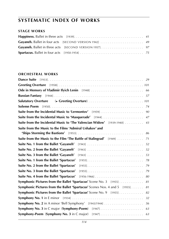#### **STAGE WORKS**

#### **ORCHESTRAL WORKS**

|                                                                             | 90 |
|-----------------------------------------------------------------------------|----|
|                                                                             |    |
| Suite from the Incidental Music to 'The Valencian Widow' [1939-1940] 43     |    |
| Suite from the Music to the Films 'Admiral Ushakov' and                     |    |
|                                                                             | 86 |
| Suite from the Music to the Film 'The Battle of Stalingrad' [1949]          | 71 |
| Suite No. 1 from the Ballet 'Gayaneh'                                       | 52 |
| Suite No. 2 from the Ballet 'Gayaneh'                                       | 52 |
| Suite No. 3 from the Ballet 'Gayaneh'<br>$[1943]$                           | 53 |
| Suite No. 1 from the Ballet 'Spartacus'                                     |    |
| Suite No. 2 from the Ballet 'Spartacus'                                     |    |
| Suite No. 3 from the Ballet 'Spartacus'                                     |    |
| Suite No. 4 from the Ballet 'Spartacus'                                     | 80 |
| <b>Symphonic Pictures from the Ballet 'Spartacus' Scene No. 3</b> [1955] 81 |    |
| Symphonic Pictures from the Ballet 'Spartacus' Scenes Nos. 4 and 5 [1955]   | 81 |
| <b>Symphonic Pictures from the Ballet 'Spartacus'</b> Scene No. 9 [1955]    | 82 |
|                                                                             |    |
|                                                                             |    |
|                                                                             |    |
|                                                                             | 63 |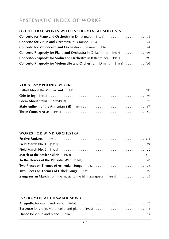#### **Orchestral Works with Instrumental Soloists**

| <b>Concerto-Rhapsody for Piano and Orchestra</b> in D flat minor [1967] 108  |
|------------------------------------------------------------------------------|
| <b>Concerto-Rhapsody for Violin and Orchestra</b> in B flat minor [1961] 103 |
| <b>Concerto-Rhapsody for Violoncello and Orchestra</b> in D minor [1963] 105 |

#### **vocal-symphonic works**

#### **works for wind orchestra**

#### **instrumental chamber music**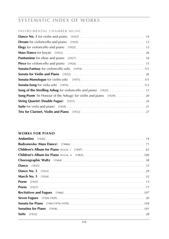#### **instrumental chamber music**

#### **works for piano**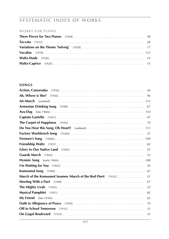#### **works for piano**

#### **songs**

| March of the Komsomol Seamen (March of the Red Fleet) [1933].<br>31 |
|---------------------------------------------------------------------|
|                                                                     |
|                                                                     |
|                                                                     |
|                                                                     |
|                                                                     |
|                                                                     |
|                                                                     |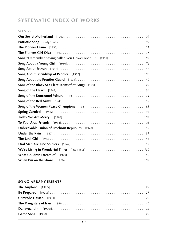#### **songs**

| Song "I remember having called you Flower once " [1952]. 83 |
|-------------------------------------------------------------|
|                                                             |
|                                                             |
|                                                             |
|                                                             |
|                                                             |
|                                                             |
|                                                             |
|                                                             |
|                                                             |
|                                                             |
|                                                             |
|                                                             |
|                                                             |
|                                                             |
|                                                             |
|                                                             |
|                                                             |
|                                                             |
|                                                             |

#### **song arrangements**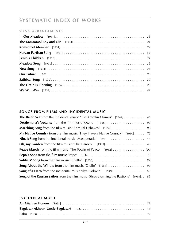#### **song arrangements**

#### **songs from films and incidental music**

| <b>The Baltic Sea</b> from the incidental music 'The Kremlin Chimes' $[1942] \ldots \ldots \ldots$ 48    |  |
|----------------------------------------------------------------------------------------------------------|--|
|                                                                                                          |  |
| <b>Marching Song</b> from the film music 'Admiral Ushakov' [1953]. 85                                    |  |
| <b>My Native Country</b> from the film music 'They Have a Native Country' [1950]. 72                     |  |
| Nina's Song from the incidental music 'Masquerade' [1941]  46                                            |  |
| <b>Oh, my Garden</b> from the film music 'The Garden' $[1939] \dots \dots \dots \dots \dots \dots \dots$ |  |
| <b>Peace March</b> from the film music 'The Tocsin of Peace' [1962] 104                                  |  |
|                                                                                                          |  |
|                                                                                                          |  |
|                                                                                                          |  |
|                                                                                                          |  |
| <b>Song of the Russian Sailors</b> from the film music 'Ships Storming the Bastions' [1953]. . 85        |  |

#### **incidental music**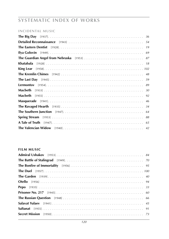# **SYSTEMATIC INDEX OF WORKS**

#### **INCIDENTAL MUSIC**

| 36            |
|---------------|
| 54            |
| 19            |
| 69            |
|               |
| Khatabala     |
|               |
| 48            |
|               |
|               |
| 30            |
| Macbeth<br>92 |
| 46            |
| 34            |
| 64            |
| 88            |
| 65            |
|               |

#### **FILM MUSIC**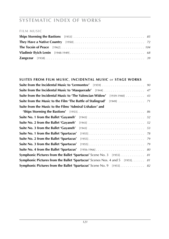#### **film music**

#### **suites from film music**, **incidental music** or **stage works**

|                                                                                      | 90 |
|--------------------------------------------------------------------------------------|----|
|                                                                                      |    |
| <b>Suite from the Incidental Music to 'The Valencian Widow'</b> [1939-1940] 43       |    |
| <b>Suite from the Music to the Film 'The Battle of Stalingrad'</b> [1949] 71         |    |
| Suite from the Music to the Films 'Admiral Ushakov' and                              |    |
|                                                                                      | 86 |
|                                                                                      |    |
| Suite No. 2 from the Ballet 'Gayaneh'                                                |    |
| Suite No. 3 from the Ballet 'Gayaneh'                                                |    |
| Suite No. 1 from the Ballet 'Spartacus'                                              |    |
| Suite No. 2 from the Ballet 'Spartacus'                                              |    |
| Suite No. 3 from the Ballet 'Spartacus'                                              |    |
|                                                                                      |    |
| Symphonic Pictures from the Ballet 'Spartacus' Scene No. 3 [1955] 81                 |    |
| <b>Symphonic Pictures from the Ballet 'Spartacus'</b> Scenes Nos. 4 and 5 [1955]. 81 |    |
| Symphonic Pictures from the Ballet 'Spartacus' Scene No. 9 [1955] 82                 |    |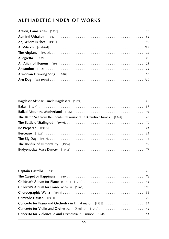| <b>The Baltic Sea</b> from the incidental music 'The Kremlin Chimes' [1942] 48 |  |
|--------------------------------------------------------------------------------|--|
|                                                                                |  |
|                                                                                |  |
|                                                                                |  |
|                                                                                |  |
|                                                                                |  |
|                                                                                |  |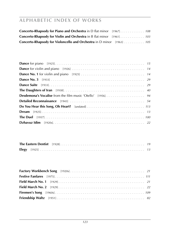| <b>Concerto-Rhapsody for Violin and Orchestra</b> in B flat minor [1961] 103 |  |
|------------------------------------------------------------------------------|--|
| <b>Concerto-Rhapsody for Violoncello and Orchestra</b> in D minor [1963] 105 |  |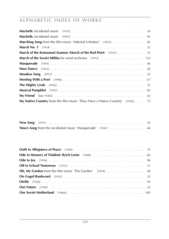| <b>My Native Country</b> from the film music 'They Have a Native Country' [1950]. 72 |  |
|--------------------------------------------------------------------------------------|--|

| Nina's Song from the incidental music 'Masquerade' [1941]  46 |  |
|---------------------------------------------------------------|--|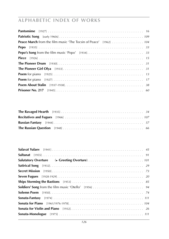| <b>Peace March</b> from the film music 'The Tocsin of Peace' [1962] 104 |
|-------------------------------------------------------------------------|
|                                                                         |
|                                                                         |
|                                                                         |
|                                                                         |
|                                                                         |
|                                                                         |
|                                                                         |
|                                                                         |
|                                                                         |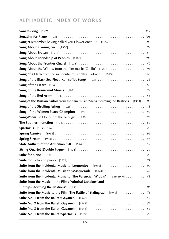|                                                                                      | 83 |
|--------------------------------------------------------------------------------------|----|
|                                                                                      |    |
|                                                                                      |    |
|                                                                                      |    |
|                                                                                      | 40 |
| Song About the Willow from the film music 'Otello' [1956]                            | 94 |
| <b>Song of a Hero</b> from the incidental music 'Ilya Golovin' [1949]                | 69 |
|                                                                                      |    |
|                                                                                      |    |
|                                                                                      | 24 |
|                                                                                      | 55 |
| Song of the Russian Sailors from the film music 'Ships Storming the Bastions' [1953] | 85 |
|                                                                                      | 13 |
|                                                                                      | 83 |
|                                                                                      | 20 |
|                                                                                      | 64 |
|                                                                                      | 75 |
|                                                                                      | 96 |
|                                                                                      | 88 |
|                                                                                      | 57 |
|                                                                                      | 24 |
|                                                                                      | 28 |
|                                                                                      | 21 |
|                                                                                      | 90 |
|                                                                                      | 47 |
| Suite from the Incidental Music to 'The Valencian Widow' [1939-1940]                 | 43 |
| Suite from the Music to the Films 'Admiral Ushakov' and                              |    |
|                                                                                      | 86 |
| Suite from the Music to the Film 'The Battle of Stalingrad' [1949]                   | 71 |
| Suite No. 1 from the Ballet 'Gayaneh'                                                |    |
| Suite No. 2 from the Ballet 'Gayaneh'                                                |    |
| Suite No. 3 from the Ballet 'Gayaneh'                                                |    |
| Suite No. 1 from the Ballet 'Spartacus'                                              | 78 |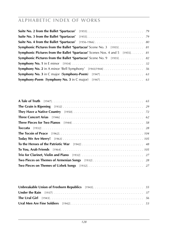| <b>Symphonic Pictures from the Ballet 'Spartacus' Scene No. 3</b> [1955] 81         |  |
|-------------------------------------------------------------------------------------|--|
| <b>Symphonic Pictures from the Ballet 'Spartacus'</b> Scenes Nos. 4 and 5 [1955] 81 |  |
| <b>Symphonic Pictures from the Ballet 'Spartacus'</b> Scene No. 9 [1955] 82         |  |
|                                                                                     |  |
|                                                                                     |  |
|                                                                                     |  |
|                                                                                     |  |

| Unbreakable Union of Freeborn Republics [1943] 55 |  |
|---------------------------------------------------|--|
|                                                   |  |
|                                                   |  |
|                                                   |  |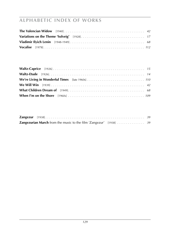| <b>Zangezurian March</b> from the music to the film 'Zangezur' [1938] 39 |  |
|--------------------------------------------------------------------------|--|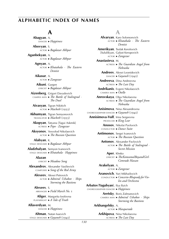### **A**

 **Abagyan**, A. dancer ►*Happiness*

 **Abovyan**, S. actor ►*Bagdazar Akhpar*

- **Aganbekyan**, A. actor ►*Bagdazar Akhpar*  **Agnyan**, A.
	- actor ►*Khatabala · The Eastern Dentist*

 **Aikasar**, A. actor ►*Zangezur*

 **Aikuni**, Gurgen lyricist ►*Bagdazar Akhpar*

 **Aizenberg**, Grigori Davydovich camera man ►*The Battle of Stalingrad · The Duel*

 **Aivasyan**, Tigran Nikitich actor ►*Macbeth* (1933)

 **Akhumyan**, Tigran Semyonovich translator ►*Macbeth* (1933)

 **Akopyan**, Tatyana [Tagui Askmik] actress ►*Pepo · Zangezur*

#### **Aksyonov**, Vesvolod Nikolaevich actor ►*The Russian Question*

 **Alabyan**, K. stage designer ►*Bagdazar Akhpar*

 **Aladzhalyan**, Semyon Ivanovich stage designer ►*Khatabala · Happiness*

#### **Alazan**,

lyricist ►*Meadow Song*

 **Alexandrov**, Alexander Vasilievich composer ►*Song of the Red Army*

> **Alexeev**, Alexei Petrovich actor ►*Admiral Ushakov · Ships Storming the Bastions*

#### **Alexeev**, S. arranger ►*Field March No.* 1

 **Aliger**, Margarita Iosifovna playwright ►*A Tale of Truth*

 **Allaverdyan**, M. dancer ►*Happiness*

 **Altman**, Natan Isaevich stage designer ►*Gayaneh* (1942)

### **A**

 **Alvaryan**, Karo Solomonvich actor ► *Khatabala · The Eastern Dentist*  **Amerikyan**, Tsolak Kerolovich [Sululikyan, Galust Keropovich actor ►*Zangezur*  **Anastasieva**, M. actress ►*The Guardian Angel from Nebraska*  **Andreev**, Alexei Leonidovich dancer ►*Gayaneh* (1942)  **Andreeva**, Dina Andreevna actress ►*The Last Day*  **Andrikanis**, Evgeni Nikolaevich camera man ►*Otello*  **Anrovskaya**, Olga Nikolaevna actress ►*The Guardian Angel from Nebraska*  **Anisimova**, Nina Alexandrovna choreographer·dancer ►*Gayaneh* (1942)  **Annisimova-Vulf**, Irina Sergeevna producer ►*King Lear*  **Anosov**, Nikolai Pavlovich conductor ►*Dance Suite*  **Antimonov**, Sergei Ivanovich actor ►*The Russian Question*  **Antonov**, Alexander Pavlovich actor ►*The Battle of Stalingrad · Secret Mission*  **Aper**, Khnko lyricist ►*The Komsomol Boy and Girl · Comrade Hassan*  **Arakelyan**, A. actor ►*Zangezur*  **Aranovich**, Yuri Mikhailovich conductor ►*Concerto-Rhapsody for Violin and Orchestra* **Arbatov**(**Yagubyan**), Ilya Ilyich choreographer·dancer ►*Happiness*  **Aretsky**, Boris Zalmanovich camera man ►*Admiral Ushakov · Ships Storming the Bastions*  **Arkhangelsky**, A.

actor ►*Masquerade*

 **Arkhipova**, Nina Nikolaevna actress ►*The Last Day*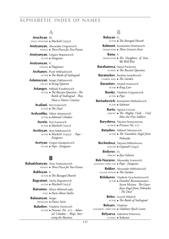#### **A**

 **Aruchyan**, M. stage designer ►*Macbeth* (1933)  **Arutyunyan**, Alexander Grigorevich pianist ►*Three Pieces for Two Pianos*  **Arutyunyan**, Gegam Stepanovich actor ►*Zangezur*  **Arutyunyan**, V. dancer ►*Happiness*  **Arzhanov**, Pyotr Mikhailovich actor ►*The Battle of Stalingrad*  **Aslamazyan**, Sergei Zakharovich cellist ►*String Quartet*  **Astangov**, Mikhail Fyodorovich actor ►*The Russian Question · The Battle of Stalingrad · They Have a Native Country*  **Avaliani**, Noi Ivanovich actor ►*The Duel*  **Avdyushko**, Viktor Antonovich actor ►*Admiral Ushakov*  **Averin**, Yuri Ivanovich actor ►*Macbeth* (1955)  **Avetisyan**, Avet Markosovich

actor ►*Macbeth* (1933) *· Pepo · Zangezur*

 **Avetyan**, Grigori Karapetovich actor ►*Pepo · Zangezur*

### **B**

**Babadzhanyan**, Arno Arutyunovich pianist ►*Three Pieces for Two Pianos* **Babloyan**, S. actor ►*The Ravaged Hearth* **Bagratuni**, Vache Bagratovich actor ►*Macbeth* (1933) **Bairamov**, Mirza Akhmed-ogly poet ►*Poem About Stalin* **Balasanyan**, Sergei arranger ►*Dance Suite* **Balashov**, Vladimir Pavlovich actor ►*Prisoner No.* 217 *· Admiral Ushakov · Ships Stor-*

*ming the Bastions*

#### **B**

**Balayan**, G. actor ►*The Ravaged Hearth* **Balmont**, Konstantin Dmitrievich translator ►*Three Concert Arias* **Banu**, T. translator ►*The Daughters of Iran · We Will Win* **Barabanova**, Maria Pavlovna actress ►*The Russian Question* **Baramykov**, Ibrahim Izetullovich camera man ►*The Garden* **Barantsev**, Anatoli Ivanovich actor ►*King Lear* **Barsky**, Vladimir Grigorievich actor ►*Pepo* **Bartashevich**, Konstantin Mikhailovich actor ►*Saltanat* **Barto**, Agniya Lvovna lyricist ►*The Mighty Urals · Ural Men Are Fine Soldiers* **Barysheva**, Tatyana Semyonovna actress ►*Prisoner No.* 217 **Batashov**, Mikhail Nikolaevich actor ►*The Guardian Angel from Nebraska* **Becheslova**, Tatyana Mikhailovna dancer ►*Gayaneh* (1942) **Bedyrov**, O. lyricist ►*Ilya Golovin* **Bek-Nazarov**, Alexander Ivanovich scenarist·director ►*Pepo · Zangezur* **Bekker**, Alexander Mikhailovich sound editor ►*The Garden* **Belokurov**, Vladimir Vyacheslavovich actor ►*Detailed Reconnaissance · Secret Mission · The Guardian Angel from Nebraska · The Duel* **Belov**, Gavriil Nikitich actor ►*The Battle of Stalingrad* **Belyaev**, Vladimir scenarist· director ►*Vladimir Ilyich Lenin*

> **Belyaeva**, Valentina Efimovna actress ►*Saltanat*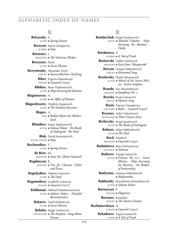#### **B**

**Belyavsky**, V. actor ►*Spring Stream* **Beroyan**, Maria Georgievna actress ►*Pepo* **Bersenev**, I. producer ►*The Valencian Widow* **Beryozov**, Pavel actor ►*Secret Mission* **Bezymensky**, Alexander Ilyich lyricist ►*Factory Machine-Tool Song* **Biber**, Evgenia Eduardovna dancer ►*Gayaneh* (1942) **Bibikov**, Boris Vladimirovich actor ►*Ships Storming the Bastions* **Blagonravov**, A. actor ►*An Affair of Honour* **Blagoobrazov**, Vladimir Sergeevich actor ►*The Southern Junction* **Blagov**, A. bass ►*Ballad About the Motherland* **Blinnikov**, Sergei Kapitonovich actor ►*Salavat Yulaev · The Battle of Stalingrad · The Duel* **Blok**, David Semyonovich sound editor ►*Pepo* **Bocharnikov**, T. actor ►*Spring Stream* **de Boer**, Ed arranger ►*Suite No. 2 from 'Gayaneh'* **Bogdanyan**, R. violinist ►*Trio for Clarinet, Violin and Piano* **Bogolyubov**, Nikolai Ivanovich actor ►*The Duel* **Bogomolova**, Lyudmila Ivanovna dancer ►*Gayaneh* (1957) **Bolduman**, Mikhail Panteleimonovich actor ►*Salavat Yulaev · Detailed Reconnaissance* **Bokarev**, Vasili Dmitrievich actor ►*Secret Mission* **Bolotin**, Sergei Vasilievich translator ►*The Airplane · Song About Erevan*

#### **B**

**Bondarchuk**, Sergei Fyodorovich actor ►*Admiral Ushakov · Ships Storming the Bastions · Otello* **Bordanova**, A. actress ►*A Tale of Truth* **Borisovski**, Vadim Vasilievich arranger ►*Suite from 'Masquerade'* **Boryan**, Gurgen Mikhailovich lyricist ►*Komsomol Song* **Braslavsky**, Daniil Abramovich actor ►*March of the Soviet Militia · Festive Fanfares* **Braudo**, Isai Alexandrovich organist ►*Symphony No.* 3 **Brovka**, Pyotr Ustinovich lyricist ►*Hymnic Song* **Bruni**, Tatyana Georgievna costumes ►*Baku · Gayaneh* (1942) **Bryusov**, Valeri Yakovlevich translator ►*Three Concert Arias* **Brzhevsky**, Sergei Ignatievich actor ►*The Battle of Stalingrad* **Bubnov**, Viktor Mikhailovich actor ►*The Duel* **Buck**, Friedrich arranger ►*Gayaneh* (1942) **Budantseva**, Roza Semyonovna scenarist ►*Saltanat* **Budarov**, Georgi Ivanovich actor ►*Prisoner No.* 217 *· Secret Mission · Ships Storming the Bastions · the Bonfire of Immortality* **Budyonny**, Semyon Mikhailovich ►*Budyonovka* **Bukharsky**, Khaziakhmet Girfanutdinovich actor ►*Salavat Yulaev* **Burnazyan**, P. dancer ►*Happiness* **Burunov**, Karadzha lyricist ►*The Eastern Dentist* **Buzhanovskaya**, N. dancer ►*Gayaneh* (1942) **Bykadorov**, Evgani Ivanovich actor ►*A Tale of Truth*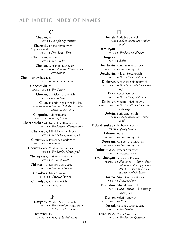## **C**

 **Chaban**, A. actor ►*An Affair of Honour*  **Charents**, Egishe Abramovich [Sogomonyan] lyricist ►*New Song · Pepo*  **Chargonin**, Alexander actor ►*The Garden*  **Cheban**, Alexander ivanovich actor ►*The Kremlin Chimes · Secret Mission*  **Chebotarievskaya**, K. lyricist ►*Poem About Stalin*  **Chechetkin**, V. sound editor ►*The Garden*  **Chekan**, Stanislav Yulianovich actor ►*Spring Stream*  **Chen**, Iolanda Evgenievna [Yu-lan] camera woman ►*Admiral Ushakov · Ships Storming the Bastions*  **Chepurin**, Yuli Petrovich playwright ►*Spring Stream*  **Cherednichenko**, Nadezhda Illarionovna actor ►*The Bonfire of Immortality*  **Cherkasov**, Nikolai Konstantinovich actor ►*The Battle of Stalingrad*  **Chernyaev**, Evgeni Alexandrovich set designer ►*Saltanat*  **Chernyavsky**, Vladimir Stepanovich actor ►*The Battle of Stalingrad*  **Chernyshev**, Yuri Konstantinovich actor ►*A Tale of Truth*  **Chistyakov**, Nikolai Vasilievich actor ►*Admiral Ushakov*  **Chkalova**, Nina Nikolaevna dancer ►*Gayaneh* (1957)  **Chuvelyov**, Ivan Pavlovich actor ►*Zangezur*

### **D**

 **Davydov**, Vladlen Semyonovich actor ►*The Guardian Angel from Nebraska · Lermontov*

 **Degeyter**, Pierre composer ►*Song of the Red Army*

**D Deinek**, Boris Stepanovich bass ►*Ballad About the Motherland*  **Demuryan**, T. actor ►*The Ravaged Hearth*  **Dergaev**, actor ►*Baku*  **Derzhavin**, Konstantin Nikolaevich librettist ►*Gayaneh* (1942)  **Derzhavin**, Mikhail Stepanovich actor ►*The Battle of Stalingrad*  **Dikhtyar**, Alexander Solomonovich set designer ►*They have a Native Country*  **Diky**, Aexei Denisovich actor ►*The Battle of Stalingrad*  **Dmitriev**, Vladimir Vladimirovich stage designer ►*The Kremlin Chimes · The Last Day*  **Dobrin**, Boris Lazarievich bass ►*Ballad About the Motherland*  **Dobrzhanskaya**, Lyubov Ivanovna actress ►*Spring Stream*  **Dörner**, Hans arranger ►*Gayaneh* (1942)  **Doersam**, Adalbert and Matthias arrangers ►*Gayaneh* (1942)  **Dolmatovsky**, Evgeni Aronovich lyricist ►*Patriotic Song*  **Dolukhanyan**, Alexander Pavlovich arranger ►*Happiness · Suite from 'Masquerade' · Symphony No.* 2 *· Concerto for Violoncello and Orchestra*  **Dorizo**, Nikolai Konstantinovich lyricist ►*Patriotic Song*  **Dorokhin**, Nikolai Ivanovich actor ►*Ilya Golovin · The Battel of Stalingrad*  **Dorrer**, Valeri Ivanovich set designer ►*Otello*  **Dostal**, Nikolai Vladimirovich DIRECTOR ► The Garden  **Dragunsky**, Viktor Yuzefovich actor ►*The Russian Question*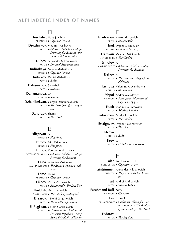### **D**

 **Drechsler**, Hans-Joachim arranger ►*Gayaneh* (1942)  **Druzhnikov**, Vladimir Vasilievich actor ►*Admiral Ushakov · Ships Storming the Bastions · the Bonfire of Immortality*  **Dubov**, Alexander Mikhailovich actor ►*Detailed Reconnaissance*  **Dudinskaya**, Natalia Mikhailovna dancer ►*Gayaneh* (1942)  **Dudnikov**, Dmitri Mikhailovich actor ►*Baku*  **Dzhamanov**, Sadykbek actor ►*Saltanat*  **Dzhamanova**, Ch. actress ►*Saltanat*  **Dzhanibekyan**, Gurgen Dzhanibekovich actor ►*Macbeth* (1933) *· Zangezur*  **Dzhuraev**, Shamsi actor ►*The Garden*

#### **E**

 **Edigaryan**, A. dancer ►*Happiness* **Efimov**, Efim Grigorievich dancer ►*Happiness*  **Efimov**, Konstantin Nikolaevich costume designer ►*Admiral Ushakov · Ships Storming the Bastions*  **Egina**, Antonina Vasilievna camera woman ►*The Russian Question · Saltanat*  **Ehme**, Heinz arranger ►*Gayaneh* (1942)  **Eikhov**, Viktor Viktorovich actor ►*Masquerade · The Last Day*  **Ekelchik**, Yuri Izraelevich camera man ►*The Battle of Stalingrad* **Elizarov**, Nikolai Grigorievich actor ►*The Southern Junction*  **El-Registan**, Garold Gabrielevich lyricist ►*Unbreakable Union of Freeborn Republics · Song About Friendship of Peoples*

#### **E**

 **Emelyanov**, Alexei Alexeevich actor ►*Masquerade*  **Enei**, Evgeni Evgenievich set designer ►*Prisoner No.* 217  **Eremyan**, Varsham Nikitovich set designer ►*The Garden*  **Ermolov**, A. make-up artist ►*Admiral Ushakov · Ships Storming the Bastions*  **Ershov**, V. actor ►*The Guardian Angel from Nebraska*  **Ershova**, Valentina Alexandrovna actress ►*Masquerade*  **Eshpai**, Andrei Yakovlevich arranger ►*Suite from 'Masquerade' · Gayaneh* (1942)

> **Etush**, Vladimir Abramovich actor ►*Admiral Ushakov*

 **Evdokimov**, Fyodor Ivanovich actor ►*The Garden*

 **Evstigneev**, Evgeni Alexandrovich actor ►*The Duel*

> **Evteeva**, actress ►*Baku*

> > **Ezov**, L. actor ►*Detailed Reconnaissance*

### **F**

 **Faier**, Yuri Fyodorovich conductor ►*Gayaneh* (1957)

 **Faintsimmer**, Alexander Mikhailovich director ►*They have a Native Country*

> **Fait**, Andrei Andreevich actor ►*Salavat Yulaev*

 **Farahmand Bafi**, Nima arranger ►*Gayaneh*

 **Fay**, Laurel E. musicologist ►*Children's Album for Piano · Saltanat · The Bonfire of Immortality · The Duel*

 **Fedotov**, I.

actor ►*The Big Day*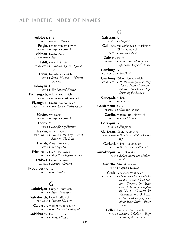### **F**

 **Fedotova**, Irina actor ►*Salavat Yulaev*  **Feigin**, Leonid Veniaminovich arranger ►*Gayaneh* (1942)  **Feldman**, Dmitri Moiseevich camera man ►*Pepo*  **Feldt**, Pavel Emilievich conductor ►*Gayaneh* (1942) *· Spartacus*  **Fenin**, Lev Alexandrovich actor ►*Secret Mission · Admiral Ushakov*  **Fidanyan**, L. actor ►*The Ravaged Hearth*  **Fikhtengolts**, Mikhail Izrailevich arranger ►*Suite from 'Masquerade'*  **Flyangolts**, Dmitri Solomonovich sound editor ►*They have a Native Country*  **Förster**, Wolfgang arranger ►*Gayaneh* (1942)  **Fotiev**, V. actor ►*An Affair of Honour*  **Freidin**, Abram Lvovich set designer ►*Prisoner No.* 217 *· Secret Mission · The Duel*  **Frelikh**, Oleg Nikolaevich actor ►*The Big Day*  **Frichinsky**, Lev Mikhailovich actor ►*Ships Storming the Bastions*  **Frolova**, Galina Ivanovna actress ►*Admiral Ushakov*  **Fyodorovsky**, Yu. actor ►*The Garden*

### **G**

 **Gabrielyan**, Gurgen Borisovich actor ►*Pepo · Zangezur*

 **Gabrilovich**, Evgeni Iosifovich scenarist ►*Prisoner No.* 217

 **Gaidarov**, Vladimir Georgievich actor ►*The Battle of Stalingrad*

 **Gaideburov**, Pavel Pavlovich actor ►*Secret Mission*

### $\mathbf{G}$

 **Galetyan**, P. dancer ►*Happiness*  **Galimov**, Vali Girfanovich [Valiakhmet Girfanutdinovich] actor ►*Salavat Yulaev*  **Galway**, James arranger ►*Suite from 'Masquerade' · Spartacus · Gayaneh* (1942)  **Gamburg**, A. conductor ►*The Duel*  **Gamburg**, Grigori Semyonovich conductor ►*The Russian Question · They Have a Native Country · Admiral Ushakov · Ships Storming the Bastions*  **Garagash**, Mikhail actor ►*Zangezur* **Gardemann**, Gregor arranger ►*Gayaneh* (1942)  **Gardin**, Vladimir Rostislavovich actor ►*Secret Mission*  **Garibyan**, A. dancer ►*Happiness*  **Garibyan**, Georgi Aramovich camera man ►*They have a Native Country*  **Garkavi**, Mikhail Naumovich actor ►*The Battle of Stalingrad*  **Garnakeryan**, Ashot Georgievich poet ►*Ballad About the Motherland*  **Gastello**, Nikolai Frantsevich pilot ►*Captain Gastello*  **Gauk**, Alexander Vasilievich conductor ►*Concerto for Piano and Orchestra · Poem About Stalin · Concerto for Violin and Orchestra · Symphony No.* 2 *· Concerto for Violoncello and Orchestra · Ode in Memory of Vladimir Ilyich Lenin · Festiv Poem*  **Geller**, Emmanuil Savelievich

actor ►*Admiral Ushakov · Ships Storming the Bastions*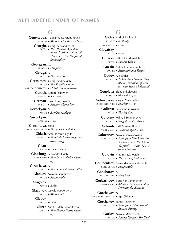### **G**

 **Generalova**, Nadezhda Konstantinovna actress ►*Masquerade · The Last Day*  **Georgiu**, Georgi Alexandrovich actor ►*The Russian Question · Secret Mission · Admiral Ushakov · The Bonfire of Immortality*  **Georgyan**, G. dancer ►*Happiness*  **Geraga**, P. actor ►*The Big Day*  **Gerasimov**, Georgi Andreevich actor ►*The Kremlin Chimes* assistant director ►*Detailed Reconnaissance*  **Gerbek**, Robert Iosifovich dancer ►*Spartacus*  **German**, Pavel Davydovich lyricist ►*Meeting With a Poet*  **Gevorkyan**, M. actor ►*Bagdazar Akhpar*  **Gevorkyan**, N. actress ►*Pepo*  **Giatsintova**, Sofia director·actress ►*The Valencian Widow*  **Gidash**, Antal [Szántó Gyula] lyricist ►*The Grain is Ripening · Satirical Song*  **Gilan**, dedicatee ►*Poem* (1925)  **Gintsburg**, Alexander Ilyich camera man ►*They have a Native Country*  **Girutskaya**, A. actress ►*The Bonfire of Immortality*  **Gladkov**, Nikolai Georgievich actor ►*Masquerade*  **Glagolev**, actor ►*Baku*  **Glazunov**, Osvald Fyodorovich actor ►*Masquerade*  **Glebov**, actor ►*Baku*  **Glizer**, Yudif [Judith] Samoilovna actress ►*They Have a Native Country*

#### **G**

 **Globa**, Andrei Pavlovich lyricist ►*Be Ready* translator ►*Pepo*  **Glovatsky**, actor ►*Baku*  **Gluzsky**, Mikhail Andreevich actor ►*Salavat Yulaev*  **Gnesin**, Mikhail Fabianovich teacher ►*Recitatives and Fugues*  **Godov**, Alexander lyricist ►*To You, Arab Friends · Song About Friendship of Peoples · Our Soviet Motherland*  **Gogoleva**, Elena Nikolaevna actress ►*Macbeth* (1955)  **Goleizovsky**, Kasyan Yaroslavich choreographer ►*Macbeth* (1955)  **Golitsyn**, Ivan Vladimirovich actor ►*The Big Day*  **Golodny**, Mikhail Semyonovich lyricist ►*Song of the Red Army*  **Golomb**, Iosif Emmanuilovich camera man ►*Vladimir Ilyich Lenin*  **Golovanov**, Nikolai Semyonovich conductor ►*Suite from 'The Valencian Widow' · Suite No. 1 from 'Gayaneh' · Suite No. 2 from 'Gayaneh'*  **Golovin**, Vladimir Ivanovich actor ►*The Battle of Stalingrad*  **Golubentsev**, Alexander Alexandrovich conductor ►*Masquerade*  **Goncharov**, A. stage designer ►*King Lear*  **Gorbachyov**, Boris Konstantinovich camera man ►*Admiral Ushakov · Ships Storming the Bastions*  **Gorchakov**, N. producer·director ►*Ilya Golovin*  **Gorchakov**, Sergei Petrovich conductor ►*Suite from 'Masquerade' · Russian Fantasy*  **Gorlov**, Nikolai Matveevich

actor ►*Salavat Yulaev · The Duel*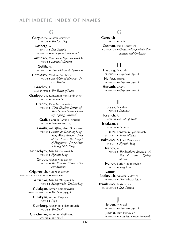#### $\mathbb{C}$

 **Goryunov**, Anatoli Iosifovich actor ►*The Last Day*  **Gosberg**, A. pianist ►*Ilya Golovin* arranger ►*Suite from 'Lermontov'*  **Gostinsky**, Vyacheslav Vyacheslavovich actor ►*Admiral Ushakov*  **Gotlib**, A. arranger ►*Gayaneh* (1942) *· Spartacus*  **Gotovtsev**, Vladimir Vasilievich actor ►*An Affair of Honour · Secret Mission*  **Grachev**, I. camera man ►*The Tocsin of Peace*  **Gradopolov**, Konstantin Konstantinovich actor ►*Lermontov*  **Gradov**, Pyotr Mikhailovich lyricist ►*What Children Dream of · They Have a Native Country · Spring Carnival*  **Graif**, Genrikh [Greif, Heinrich] actor ►*Prisoner No.* 217  **Grashi**, Ashot [Baghdasar Grigoryan] lyricist ►*Armenian Drinking Song · Song About Erevan · Song of the Heart · The Carpet of Happiness · Song About* 

- **Gribachyov**, Nikolai Matveevich lyricist ►*Hymnic Song*
	- **Gribov**, Alexei Nikolaevich actor ►*The Kremlin Chimes · Secret Mission*

*a Young Girl · Song*

 **Grigorovich**, Yuri Nikolaevich dancer·choreographer ►*Spartacus*

 **Gritsenko**, Nikolai Olimpievich

actor ►*Masquerade · The Last Day*

 **Gulakyan**, Armen Karapetovich compiler·director ►*Macbeth* (1933)

> **Gulakyan**, Armen Karpovich actor ►*Pepo*

 **Gumburg**, Alexander Nikanorovich actor ►*The Duel*

 **Gunchenko**, Antonina Vasilievna actress ►*The Duel*

### $G$

 **Gurevich**, actor ►*Baku*

 **Gusman**, Izrail Borisovich conductor ►*Concerto-Rhapsody for Violoncello and Orchestra*

# **H**

 **Harding**, Miranda arranger ►*Gayaneh* (1942)

 **Heifetz**, Jascha arranger ►*Gayaneh* (1942)

 **Horvath**, Charly arranger ►*Gayaneh* (1942)

# **I**

 **Ibraev**, Marklen actor ►*Saltanat*  **Iosefich**, P. actress ►*A Tale of Truth*  **Isaakyan**, B. actress ►*Zangezur*  **Isaev**, Konstantin Fyodorovich scenarist ►*Secret Mission*  **Isakovsky**, Mikhail Vasilievich lyricist ►*Hymnic Song*  **Ivanov**, A. actor ►*The Southern Junction · A Tale of Truth · Spring Stream*  **Ivanov**, Boris Vladimirovich actor ►*King Lear*  **Ivanov- Radkevich**, Nikolai Pavlovich arranger ►*Field March No.* 1  **Izrailevsky**, Boris Lvovich conductor ►*Ilya Golovin*

### **J**

 **Jelden**, Michael arranger ►*Gayaneh* (1942)  **Jourist**, Efim Efimovich arranger ►*Suite No.* 1 *from 'Gayaneh'*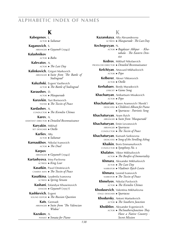### **K**

 **Kabegenov**, L. actor ►*Saltanat* **Kaganovich**, S. arranger ►*Gayaneh* (1942)  **Kalashnikov**, actor ►*Baku*  **Kalevatov**, A. actor ►*The Last Day*  **Kalinkovich**, Grigori Markovich arranger ►*Suite from 'The Battle of Stalingrad'*  **Kaluzhski**, Evgeni Vasilievich actor ►*The Battle of Stalingrad*  **Karaushev**, D. actor ►*Masquerade*  **Karavkin**, Yuri Borisovich texter ►*The Tocsin of Peace*  **Kardashev**, A. conductor ►*The Kremlin Chimes*  **Karev**, A. assistant director ►*Detailed Reconnaissance*  **Karyakin**, Mikhail set designer ►*Otello*  **Karliev**, Alty actor ►*Saltanat*  **Karnaukhov**, Nikolai Ivanovich actor ►*The Duel*  **Karpov**, arranger ►*Gayaneh* (1942)  **Kartashyova**, Irina Pavlovna actress ►*King Lear*  **Kasatkin**, Pavel Dmitrievich camera man ►*The Tocsin of Peace*  **Kasatkina**, Lyudmila Ivanovna actress ►*Spring Stream*  **Kashani**, Esfandyar Khuseinovich dancer ►*Gayaneh* (1957)  **Kashkevich**, Evgeni sound editor ►*The Russian Question*  **Kats**, Gennadi arranger ►*Suite from 'The Valencian Widow'*

 **Kazakov**, A. pianist ►*Sonata for Piano*

#### **K**

 **Kazanskaya**, Alla Alexandrovna actress ►*Masquerade · The Last Day*  **Kechegezyan**, N. actor ►*Bagdazar Akhpar · Khatabala · The Eastern Dentist*  **Kedrov**, Mikhail Nikolaevich producer·director ►*Detailed Reconnaissance*  **Kefchiyan**, Artavazd Mikhailovich actor ►*Pepo*  **Kelberer**, Alexei Viktorovich actor ►*Otello*  **Kerbabaev**, Berdy Muradovich lyricist ►*Game Song*  **Khachanyan**, Ambartsum Misakovich actor ►*Pepo*  **Khachaturian**, Karen Aramovich ('Renik') dedicatee ►*Children's Album for Piano* ►*Spartacus · Patriotic Song*  **Khachaturyan**, Aram Ilyich arranger ►*Suite from 'Masquerade'*  **Khachaturyan**, Emin Levonovich arranger ►*Spartacus* conductor ►*The Tocsin of Peace*  **Khachaturyan**, Kumash Sarkisovna dedicatee ►*Song of the Strolling Ashug*  **Khaikin**, Boris Emmanuilovich conductor ►*Symphony No.* 2  **Khalatov**, Viktor Mikhailovich actor ►*The Bonfire of Immortality*  **Khmara**, Alexander Mikhailovich actor ►*The Last Day* narrator ►*Vladimir Ilyich Lenin*  **Khmara**, Leonid Ivanovich narrator ►*The Tocsin of Peace*  **Khmelyov**, Nikolai Pavlovich actor ►*The Kremlin Chimes*  **Khodasevich**, Valentina Mikhailovna stage designer ►*Spartacus*  **Khodursky**, Antoni Martselevich actor ►*The Southern Junction*  **Khokhlov**, Alexander Evgenievich actor ►*The Southern Junction · They Have a Native Country · Secret Mission*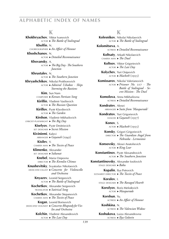#### **K**

 **Khokhryachov**, Viktor Ivanovich actor ►*The Battle of Stalingrad*  **Kholfin**, N. choreographer ►*An Affair of Honour*  **Khoshchanov**, N. actor ►*Detailed Reconnaissance*  **Khovansky**, A. actor ►*The Big Day · The Southern Junction*  **Khrustalev**, N. actor ►*The Southern Junction*  **Khryashchikov**, Nikolai Prokhorovich actor ►*Admiral Ushakov · Ships Storming the Bastions*  **Kim**, Sun Nam composer ►*Korean Partisan Song*  **Kirillin**, Vladimir Vasilievich actor ►*The Russian Question*  **Kirillov**, Pyotr Klavdievich actor ►*The Garden*  **Kirshon**, Vladimir Mikhailovich lyricist·playwright ►*The Big Day*  **Kiselyov**, Pyotr Dmitrievich set designer ►*Secret Mission*  **Kiviniemi**, Kalevi arranger ►*Gayaneh* (1942)  **Kisilev**, V. camera man ►*The Tocsin of Peace*  **Klimenko**, Alexander set designer ►*Saltanat*  **Knebel**, Maria Osipovna director ►*The Kremlin Chimes*  **Knushevitsky**, Svyatoslav Nikolaevich dedicatee·cellist ►*Concerto for Violoncello and Orchestra*  **Knyazev**, Leonid Sergeevich actor ►*The Battle of Stalingrad*  **Kochetkov**, Alexander Sergeevich translator ►*Satirical Song*  **Kochetkov**, Alexander Stepanovich camera man ►*The Tocsin of Peace*  **Kogan**, Leonid Borisovich dedicatee·violinist ►*Concerto-Rhapsody for Violin and Orchestra*  **Kolchin**, Vladimir Alexandrovich actor ►*The Last Day*

#### **K**

 **Kolesnikov**, Nikolai Nikolaevich actor ►*The Battle of Stalingrad*  **Kolomitseva**, A. actress ►*Detailed Reconnaissance*  **Koltsaty**, Arkadi Nikolaevich camera man ►*The Duel*  **Koltsov**, Viktor Grigorievich actor ►*The Last Day*  **Kolychev**, Yuri Osipovich actor ►*Macbeth* (1955)  **Komissarov**, Nikolai Valerianovich actor ►*Prisoner No.* 217 *· The Battle of Stalingrad · Secret Mission · The Duel*  **Komolova**, Anna Mikhailovna actress ►*Detailed Reconnaissance*  **Kondratev**, Alexei arranger ►*Suite from 'Masquerade'*  **Kondratov**, Yuri Grigorievich dancer ►*Gayaneh* (1957)  **Konov**, S. actor ►*Macbeth* (1955)  **Konsky**, Grigori Grigorievich director ►*The Guardian Angel from Nebraska · Lermontov*  **Konsovsky**, Alexei Anatolievich actor ►*King Lear*  **Konstantinov**, Pyotr Alexandrovich actor ►*The Southern Junction*  **Konstantinovsky**, Alexander Iosifovich stage designer ►*Baku*  **Kopalin**, Ilya Petrovich scenarist·director ►*The Tocsin of Peace*  **Koralov**, I. stage designer ►*The Ravaged Hearth*  **Korolyov**, Boris Mefodevich actor ►*Masquerade*  **Korshun**, Yu. actress ►*An Affair of Honour*  **Koshkina**, N. actress ►*The Valencian Widow*  **Koshukova**, Luiza Alexandrovna

actress ►*Ilya Golovin*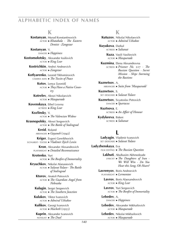#### **K**

 **Kostanyan**, Murad Konstantinovich actor ►*Khatabala · The Eastern Dentist · Zangezur*  **Kostanyan**, V. dancer ►*Happiness*  **Kostomolotsky**, Alexander Iosifovich actor ►*King Lear*  **Kostrichkin**, Andrei Andreevich actor ►*Zangezur*  **Kotlyarenko**, Leonid Tikhomirovich camera man ►*The Tocsin of Peace*  **Kotov**, Lenya [Leonid] actor ►*They Have a Native Country*  **Kotrelev**, Alexei Nikolaevich actor ►*Masquerade*  **Kovenskaya**, Ethel Lvovna actress ►*King Lear*  **Kozlinsky**, V. actor ►*The Valencian Widow*  **Krasnopolsky**, Alexei Sergeevich actor ►*The Battle of Stalingrad*  **Kreid**, Roland arranger ►*Gayaneh* (1942)  **Kriger**, Evgeni Genrikhovich scenarist· texter ►*Vladimir Ilyich Lenin*  **Kron**, Alexander Alexandrovich playwright ►*Detailed Reconnaissance*  **Krotenko**, Yuri actor ►*The Bonfire of Immortality*  **Kryuchkov**, Nikolai Afanasievich actor ►*Salavat Yulaev · The Battle of Stalingrad*  **Ktorov**, Anatoli Petrovich actor ►*The Guardian Angel from Nebraska*  **Kulagin**, Sergei Sergeevich actor ►*The Southern Junction*  **Kulakov**, Viktor Ivanovich actor ►*Admiral Ushakov*  **Kulikov**, Georgi Ivanovich actor ►*Macbeth* (1955)

> **Kuprin**, Alexander Ivanovich novelist ►*The Duel*

#### **K**

 **Kutuzov**, Nikolai Nikolaevich actor ►*Admiral Ushakov* 

 **Kuyukova**, Darkul actress ►*Saltanat*

> **Kuza**, Vasili Vasilievich actor ►*Masquerade*

 **Kuzmina**, Elena Alexandrovna actress ►*Prisoner No.* 217 *· The Russian Question · Secret Mission · Ships Storming the Bastions*

 **Kuznetsov**, A. arranger ►*Suite from 'Masquerade'*

 **Kuznetsov**, S. set designer ►*Salavat Yulaev*

 **Kuznetsov**, Svyatoslav Petrovich dancer ►*Spartacus*

 **Kuztsova**, E. actress ►*An Affair of Honour*

 **Kydykeeva**, Baken actress ►*Saltanat*

# **L**

 **Ladyagin**, Vladimir Ivanovich set designer ►*Salavat Yulaev*

 **Ladyzhenskaya**, Eva film editing ►*The Russian Question*

> **Lakhuti**, Abulkasim Akhmedzade lyricist ►*The Daughters of Iran · We Will Win · Do You Hear this Song, Oh Heart?*

 **Lavrenyov**, Boris Andreevich playwright ►*Lermontov*

> **Lavrov**, Boris Alaexandrovich actor ►*King Lear*

 **Lavrov**, Yuri Sergeevich actor ►*The Bonfire of Immortality*

 **Lebedev**, A. dancer ►*Happiness*

 **Lebedev**, Alexander Mikhailovich actor ►*Masquerade*

 **Lebedev**, Nikolai Mikhailovich actor ►*Masquerade*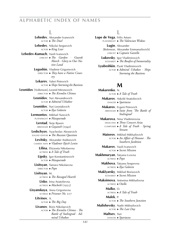### **L**

 **Lebedev**, Alexander Ivanovich actor ►*The Duel*  **Lebedev**, Nikolai Sergeevich actor ►*King Lear*  **Lebedev-Kumach**, Vasili Ivanovich lyricist ►*The Garden · Guards March · Glory to Our Native Land*  **Legoshin**, Vladimir Grigorievich director ►*They have a Native Country*  **Lekarev**, Valeri Petrovich actor ►*Ships Storming the Bastions* **Leonidov** [Volfenson], Leonid Mironovich director ►*The Kremlin Chimes*  **Leonidov**, Yuri Alexandrovich actor ►*Admiral Ushakov*  **Leonidov**, Yuri Leonidovich actor ►*Ilya Golovin*   **Lermontov**, Mikhail Yurevich playwright ►*Masquerade*  **Lerstad**, Terje Bjoern arranger ►*Gayaneh* (1942)  **Leshchyov**, Vyacheslav Alexeevich sound editor ►*The Russian Question*  **Levitsky**, Alexander Andreevich camera man ►*Vladimir Ilyich Lenin*  **Lilina**, Elizaveta Nikolaevna actress ►*A Tale of Truth*  **Lipsky**, Igor Konstantinovich actor ►*Masquerade*  **Lisitsyan**, Tamara Nikolaevna director ►*Pepo*  **Lisitsyan**, M. actress ►*The Ravaged Hearth*  **Lisko**, Irina Anatolievna actress ►*Macbeth* (1955)  **Lisyanskaya**, Anna Grigorievna actress ►*Prisoner No.* 217  **Litvinov**, A. actor ►*The Big Day*  **Livanov**, Boris Nikolaevich actor ►*The Kremlin Chimes · The Battle of Stalingrad · Admiral Ushakov*

### **L**

 **Lope de Vega**, Félix Arturo playwright ►*The Valencian Widow*  **Lugin**, Alexander

- [Belenson, Alexander Emmanuilovich] lyricist ►*Captain Gastello*
- **Lukovsky**, Igor Vladimirovich scenarist ►*The Bonfire of Immortality*

 **Lyubeshkin**, Pyotr Vladimirovich actor ►*Admiral Ushakov · Ships Storming the Bastions*

# **M**

 **Makarenko**, N. actor ►*A Tale of Truth*  **Makarov**, Askold Anatolievich dancer ►*Spartacus*  **Makarov**, Evgeni Petrovich arranger ►*Suite from 'The Battle of Stalingrad'*  **Makarova**, Nina Vladimirovna dedicatee ►*Three Concert Arias* composer ►*A Tale of Truth · Spring Stream*  **Maiorov**, Mikhail Mikhailovich actor ►*An Affair of Honour · The Southern Junktion*  **Makarov**, Vasili Ivanovich actor ►*Secret Mission*  **Makhmuryan**, Tatyana Lvovna actress ►*Pepo*  **Makhova**, Tatyana Sergeevna actress ►*Ilya Golovin*  **Maklyarsky**, Mikhail Borisovich scenarist ►*Secret Mission*  **Maksimova**, Antonina Mikhailovna actress ►*Otello*  **Malko**, O. actress ►*A Tale of Truth*  **Malek**, P. actor ►*The Southern Junction*  **Malishevsky**, Nadir Mikhailovich actor ►*The Last Day*  **Maltsev**, Yuri dancer ►*Spartacus*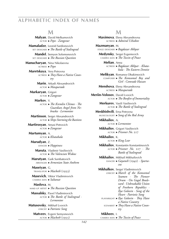### **M**

 **Malyan**, David Melkumovich actor ►*Pepo · Zangezur*  **Mamaladze**, Leonid Sardionovich set designer ►*The Battle of Stalingrad*  **Mandel**, Semyon Solomonovich set designer ►*The Russian Question*  **Manucharyan**, Nina Nikolaevna actress ►*Pepo*  **Maretskaya**, Vera Petrovna actress ►*They Have a Native Country*  **Marin**, Arkadi Alexandrovich actor ►*Masquerade*  **Markaryan**, Grigori actor ►*Zangezur*  **Markov**, V. actor ►*The Kremlin Chimes · The Guardian Angel from Nebraska · Lermontov*  **Martinson**, Sergei Alexandrovich actor ►*Ships Storming the Bastions*  **Martirosyan**, Amasi Petrovich actor ►*Zangezur*  **Martumyan**, A. actor ►*Khatabala*  **Marudyan**, Z. dancer ►*Happiness*  **Maruta**, Vladimir Vasilievich actor ►*The Valencian Widow*  **Marutyan**, Gaik Sumbatovich arranger ►*Armenian State Anthem*  **Maseiyan**, G. translator ►*Macbeth* (1933)  **Masevich**, Viktor Vladimirovich camera man ►*Saltanat*  **Maslova**, M. make-up artist ►*The Russian Question*  **Massalsky**, Pavel Vladimirovich actor ►*The Battle of Stalingrad · Lermontov*  **Matusovsky**, Mikhail Lvovich lyricist ►*Patriotic Song*  **Matveev**, Evgeni Semyonovich

actor ►*Macbeth* (1955)

### **M**

 **Maximova**, Elena Alexandrovna actress ►*Admiral Ushakov*  **Mazmanyan**, M. stage designer ►*Bagdazar Akhpar*  **Medynsky**, Sergei Evgenievich camera man ►*The Tocsin of Peace*  **Melian**, Anna actress ►*Bagdazar Akhpar · Khatabala · The Eastern Dentist*  **Melikyan**, Romanos Obakimovich composer ►*The Komsomol Boy and Girl · Comrade Hassan*  **Menshova**, Elena Alexandrovna actress ►*Masquerade*  **Meriin-Volosov**, David Lvovich actor ►*The Bonfire of Immortality*  **Merkurev**, Vasili Vasilievich actor ►*The Battle of Stalingrad*  **Meskhishvili**, Erna Petrovna musicologist ►*Song of the Red Army*  **Mikhailov**, A. actor ►*Lermontov*  **Mikhailov**, Grigori Vasilievich actor ►*Prisoner No.* 217  **Mikhailov**, K. actor ►*King Lear*  **Mikhailov**, Konstantin Konstantinovich actor ►*Prisoner No.* 217 *· The Battle of Stalingrad*  **Mikhailov**, Mikhail Mikhailovich dancer ►*Gayaneh* (1942) *· Spartacus*  **Mikhalkov**, Sergei Vladimirovich lyricist ►*March of the Komsomol Seamen · The Pioneer Drum · On Gogol Boulevard · Unbreakable Union of Freeborn Republics · Ilya Golovin · Song of the Heart · Patriotic Song* playwright ►*Ilya Golovin · They Have a Native Country* scenarist ►*They Have a Native Country*  **Mikheev**, I.

camera man ►*The Tocsin of Peace*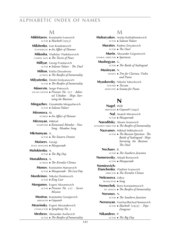### **M**

 **Mikhitarov**, Konstantin Ivanovich actor ►*Macbeth* (1955)  **Mikitenko**, Ivan Kondratevich playwright ►*An Affair of Honour*  **Mikosha**, Vladislav Vladislavovich camera man ►*The Tocsin of Peace*  **Millyar**, Georgi Frantsevich actor ►*Salavat Yulaev · The Duel*  **Milton**, Emilia Davydovna actress ►*The Bonfire of Immortality*  **Milyutenko**, Dmitri Emilyanovich actor ►*The Bonfire of Immortality*  **Minervin**, Sergei Petrovich sound editor ►*Prisoner No.* 217 *· Admiral Ushakov · Ships Storming the Bastions*  **Mingazhev**, Gimaletdin Mingazhevich actor ►*Salavat Yulaev*  **Mironova**, M. actress ►*An Affair of Honour*  **Mirzoyan**, Mikhail komposer ►*Komsomol Member · New Song · Meadow Song*  **Mkrtumyan**, A. actor ►*The Eastern Dentist*  **Moiseev**, Georgi stage designer ►*Masquerade*  **Molokienko**, A. actor ►*The Big Day*  **Monakhova**, A. actress ►*The Kremlin Chimes*  **Monov**, Konstantin Matveevich actor ►*Masquerade · The Last Day*  **Mordvinov**, Nikolai Dmitrievich actor ►*King Lear*  **Morgunov**, Evgeni Alexanrovich actor ►*Prisoner No.* 217 *· Secret Mission*  **Mostras**, Konstantin Georgievich arranger ►*Gayaneh*  **Mravinsky**, Evgeni Alexandrovich conductor ►*Symphony No.* 3  **Mrebrov**, Alexander Avelievich

### **M**

 **Mubaryakov**, Arslan Kotliakhmetovich actor ►*Salavat Yulaev*  **Muratov**, Radner Zinyatovich actor ►*The Duel*  **Murin**, Alexander Grigorievich choral director ►*Spartacus*  **Mushegyan**, G. actor ►*The Battle of Stalingrad*  **Musinyan**, N. pianist ►*Trio for Clarinet, Violin and Piano*  **Myaskovsky**, Nikolai Yakovlevich teacher ►*Toccata* dedicatee ►*Sonata for Piano* **N Nagel**, Willi arranger ►*Gayaneh* (1942)  **Nal**, Anatoli Mironovich actor ►*Masquerade*  **Naroditsky**, Abram Aronovich scenarist·director ►*The Bonfire of Immortality*  **Nazvanov**, Mikhail Mikhailovich actor ►*The Russian Question · The Battle of Stalingrad · Ships Storming the Bastions · The Duel*  **Nechaev**, B. actor ►*The Southern Junction*

 **Nemerovsky**, Arkadi Borisovich actor ►*Masquerade*

 **Nemirovich- Danchenko**, Vladimir Ivanovich director ►*The Kremlin Chimes*

 **Nekrasova**, Lidiya

translator ►*Song*

 **Nemechek**, Boris Konstantinovich set design ►*The Bonfire of Immortality*

 **Neronov**, N.

actor ►*The Southern Junction*

 **Nersesyan**, Grachya [Rachya] Nersesovich actor ►*Macbeth* (1933) *· Pepo · Zangezur*

 **Nikandrov**, P.

actor ►*The Big Day*

actor ►*The Bonfire of Immortality*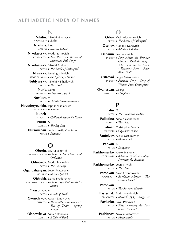### **N**

 **Nikitin**, Nikolai Nikolaevich playwright ►*Baku*  **Nikitina**, Inna actress ►*Salavat Yulaev*  **Nikolaevsky**, Fyodor Iosifovich conductor ►*Two Pieces on Themes of Armenian Folk Songs*  **Nikolaevsky**, Nikolai Pavlovich actor ►*The Battle of Stalingrad* **Nivinsky**, Ignati Ignatievich stage designer ►*An Affair of Honour*  **Noblyansky**, Nikolai Mikhailovich actor ►*The Garden*  **Noris**, Günter arranger ►*Gayaneh* (1942)  **Novikov**, V. actor ►*Detailed Reconnaissance* **Novodervozhkin**, Ippolit Nikolaevich set designer ►*Saltanat*  **Nuneh**, dedicatee ►*Children's Album for Piano*  **Nurm**, N. actress ►*The Big Day*  **Nurmukhan**, Seidakhmetly Zhanturin actor ►*Saltanat*

### **O**

 **Oborin**, Lev Nikolaevich soloist·dedicatee ►*Concerto for Piano and Orchestra*  **Odinokov**, Fyodor Ivanovich actor ►*The Last Day*  **Ogandzhanyan**, Levon Matveevich violinist ►*String Quartet*  **Oistrakh**, David Fyodorovich violinist·dedicate ►*Concerto for Violin and Orchestra*  **Okayomov**, A. actor ►*A Tale of Truth*  **Okunchikov**, Abram Zinovievich director ►*The Southern Junction · A Tale of Truth · Spring Stream*  **Olshevskaya**, Nina Antonovna

actress ►*A Tale of Truth*

### **O**

 **Orlov**, Vasili Alexandrovich actor ►*The Battle of Stalingrad*

 **Osenev**, Vladimir Ivanovich actor ►*Admiral Ushakov*

 **Oshanin**, Lev Ivanovich lyricist ►*Song About the Frontier Guard · Patriotic Song · When I'm on the Shore · Firemen's Song · Poem About Stalin*

 **Ostrovoi**, Sergei Grigorievich lyricist ►*Patriotic Song · Song of Women Piece Champions*

 **Ovanesyan**, Georgi librettist ►*Happiness*

### **P**

 **Palin**, G. actor ►*The Valencian Widow*  **Palladina**, Nina Alexandrovna actress ►*The Duel*  **Palmer**, Christopher Francis arranger ►*Gayaneh* (1942)

 **Panteleev**, Alexei Maximovich actor ►*Masquerade*

> **Papyan**, G. actor ►*Zangezur*

 **Parkhomenko**, Alexei Ivanovich set designer ►*Admiral Ushakov · Ships Storming the Bastions*

 **Parkhomenko**, Leonid Ilyich actor ►*The Duel*

> **Paronyan**, Akop Ovanesovich playwright ►*Bagdazar Akhpar · The Eastern Dentist*

 **Paronyan**, P. actor ►*The Ravaged Hearth*

 **Pasternak**, Boris Leonidovich translator ►*Macbeth* (1955) *· King Lear*

 **Pavlenko**, Pavel Pavlovich actor ►*Ships Storming the Bastions · The Duel*

 **Pazhitnov**, Nikolai Viktorovich actor ►*Masquerade*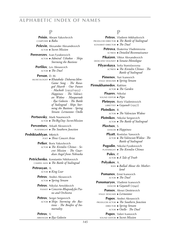#### **P**

 **Peisin**, Abram Yakovlevich composer ►*Baku*  **Pelevin**, Alexander Alexandrovich actor ►*Secret Mission*  **Pereverzev**, Ivan Fyodorovich actor ►*Admiral Ushakov · Ships Storming the Bastions*  **Perfilov**, Lev Alexeevich actor ►*The Duel*  **Person**, D. M. musicologist ►*Khatabala · Dzhavuz Idim · Game Song · The Ravaged Hearth · Our Future · Macbeth* (1933/1955) *· Happiness · The Valencian Widow · Masquerade · Ilya Golovin · The Battle of Stalingrad · Ships Storming the Bastions · Spring Stream · Lermontov · Otello*  **Pertsovsky**, Mark Naumovich actor ►*The Big Day · Secret Mission*  **Perventsev**, Arkadi Alexeevich playwright ►*The Southern Junction*  **Peshiktashlyan**, Mkrtich poet ►*Three Concert Arias*  **Petker**, Boris Yakovlevich actor ►*The Kremlin Chimes · Secret Mission · The Guardian Angel from Nebraska*  **Petrichenko**, Konstantin Nikiforovich camera man ►*The Battle of Stalingrad*  **Petrosyan**, A. actor ►*King Lear*  **Petrov**, Andrei Alexeevich actor ►*Spring Stream*  **Petrov**, Nikolai Arnoldovich pianist ►*Concerto-Rhapsody for Piano and Orchestra* Petrov, Sergei Sergeevich actor ►*Ships Storming the Bastions · The Bonfire of Immortality*  **Petrov**, V. arranger ►*Ilya Golovin*

#### **P**

 **Petrov**, Vladimir Mikhailovich producer·director ►*The Battle of Stalingrad* scenarist·director ►*The Duel*  **Petrova**, Ekaterina Vladimirovna actress ►*Detailed Reconnaissance*  **Pikaizen**, Viktor Alexandrovich dedicatee·violinist ►*Sonata-Monologue*  **Pilyavskaya**, Sofia Stanislavovna actress ►*The Kremlin Chimes · The Battle of Stalingrad*  **Pimenov**, Yuri Ivanovich stage designer ►*Spring Stream*  **Pirmukhamedov**, Rakhim actor ►*The Garden*  **Pisarev**, Nikolai sound editor ►*Pepo*  **Pletnyov**, Boris Vladimirovich librettist ►*Gayaneh* (1957)  **Plotnikov**, B. actor ►*The Valencian Widow*  **Plotnikov**, Nikolai Sergeevich actor ►*The Battle of Stalingrad*  **Plovtsov**, S. dancer ►*Happiness*  **Plyatt**, Rostislav Yanovich actor ►*The Valencian Widow · The Battle of Stalingrad*  **Pogodin**, Nikolai Fyodorovich playwright ►*The Kremlin Chimes*  **Polev**, P. actor ►*A Tale of Truth*  **Polyakov**, A. bass ►*Ballad About the Motherland*  **Pomanov**, Ernst Ivanovich actor ►*The Duel*  **Ponomaryov**, Vladimir Ivanovich dancer ►*Gayaneh* (1942)  **Ponsov**, Alexei Dmitrievich stage designer ►*Lermontov*  **Popov**, Andrei Alexeevich producer·actor ►*The Southern Junction* director ►*Spring Stream* actor ►*Otello · The Duel* Popov, Valeri Ivanovich sound editor ►*Secret Mission*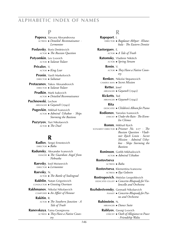#### **P**

 **Popova**, Varvara Alexandrovna actress ►*Detailed Reconnaissance · Lermontov*

 **Poslavsky**, Boris Dmitrievich actor ►*The Russian Question*

 **Potyomkin**, Lev Lvovich actor ►*Salavat Yulaev*

> **Privalov**, V. actor ►*King Lear*

 **Pronin**, Vasili Markelovich director ►*Saltanat*

 **Protazanov**, Yakov Alexandrovich director ►*Salavat Yulaev*

> **Prudkin**, Mark Isakovich actor ►*Detailed Reconnaissance*

 **Puchnowski**, Lechon arranger ►*Gayaneh* (1942)

- **Pugovkin**, Mikhail Ivanovich actor ►*Admiral Ushakov · Ships Storming the Bastions*
- **Puzyryov**, Yuri Nikolaevich actor ►*The Duel*

## **R**

 **Radlov**, Sergei Ernestovich director ►*Baku*

 **Radunsky**, Alexander Ivanovich DANCER ► The Guardian Angel from *Nebraska*

 **Raevsky**, Iosif Moiseevich director ►*Lermontov*

 **Raevsky**, N. actor ►*The Battle of Stalingrad*

- **Rakhlin**, Natan Grigorievich conductor ►*Greeting Overture*
- **Rakhmanov**, Nikolai Nikolaevich composer ►*An Affair of Honour*

 **Rakitin**, R. actor ►*The Southern Junction · A Tale of Truth*

 **Ranevskaya**, Faina Georgievna actress ►*They Have a Native Country*

#### **R**

 **Rapoport**, I. director ►*Bagdazar Akhpar · Khatabala · The Eastern Dentist*

 **Rastorguev**, E. actor ►*A Tale of Truth*  **Ratomsky**, Vladimir Nikitich

- actor ►*Spring Stream*
- **Renin**, V. actor ►*They Have a Native Country*

 **Renkov**, Nikolai Stepanovich camera man ►*Secret Mission*

 **Retter**, Josef arranger ►*Gayaneh* (1942)

**Ricketts**, Ted arranger ►*Gayaneh* (1942)

- **Rita**,
- dedicatee ►*Children's Album for Piano*
- **Rodionov**, Yaroslav Ivanovich
	- lyricist ►*Under the Rain · The Krem lin Chimes*

 **Romm**, Mikhail Ilyich

scenarist·director ►*Prisoner No.* 217 *· The Russian Question · Vladimir Ilyich Lenin · Secret Mission · Admiral Ushakov · Ships Storming the* 

*Bastions*

 **Roninson**, Gotlib Mikhailovich actor ►*Admiral Ushakov*

 **Rostovtseva**,

actress ►*Baku*

 **Rostovtseva**, Klementina Ivanovna actress ►*Ilya Golovin*

 **Rostropovich**, Mstislav Leopoldovich

- dedicatee·cellist ►*Concerto-Rhapsody for Violoncello and Orchestra*
- **Rozhdestvensky**, Gennadi Nikolaevich pianist ►*Concerto-Rhapsody for Piano and Orchestra*

 **Rubinstein**, N. arranger ►*Dance Suite*

> **Rublyov**, Georgi Lvovich lyricist ►*Oath of Allegiance to Peace · Friendship Waltz*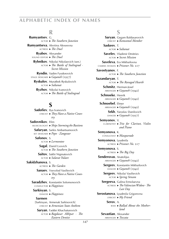#### **R**

 **Rumyantsev**, G. actor ►*The Southern Junction*  **Rumyantseva**, Alevtina Alexeevna actress ►*The Duel*  **Ryabov**, Alexander sound editor ►*The Duel*  **Rybnikov**, Nikolai Nikolaevich (sen.) actor ►*The Battle of Stalingrad · Secret Mission*  **Ryndin**, Vadim Fyodorovich stage designer ►*Gayaneh* (1957)  **Ryskulov**, Muratbek Ryskulovich actor ►*Saltanat*  **Ryzhov**, Nikolai Ivanovich actor ►*The Battle of Stalingrad*

### **S**

 **Sadofiev**, Ilya Ivanovich lyricist ►*They Have a Native Country*  **Sadovnikov**, Efim musicologist ►*Ships Storming the Bastions*  **Safaryan**, Sarkis Ambartsumovich set designer ►*Pepo · Zangezur*  **Safonov**, S. actor ►*Lermontov*  **Sagal**, Daniil Lvovich actor ►*The Southern Junction*  **Saitov**, Sakhi Nigmatovich actor ►*Salavat Yulaev*  **Sakidzhanova**, S. actress ►*The Garden*  **Sanaev**, Vsevolod Vasilievich actor ►*They Have a Native Country*  **Saradzhev**, Konstantin Solomonovich conductor ►*Happiness*  **Sarkisyan**, S. dancer ►*Happiness*  **Sarmen**, [Sarkisyan, Armenak Sarkisovich] lyricist ►*Armenian State Anthem*  **Saryan**, Faddei Khachaturovich actor ►*Bagdasar Akhpar · The Eastern Dentist*

#### **S**

 **Saryan**, Gegam Baldasarovich lyricist ►*Komsomol Member*  **Saskeev**, T. actor ►*Saltanat*  **Savelev**, Vladimir Dmitriev actor ►*Secret Mission*  **Saveleva**, Era Mikhailovna camera woman ►*Prisoner No.* 217  **Savostyanov**, F. actor ►*The Southern Junction*  **Sazandaryan**, T. actor ►*The Ravaged Hearth*  **Schmitz**, Herman-Josef arranger ►*Gayaneh* (1942)  **Schnoeke**, Henrik arranger ►*Gayaneh* (1942)  **Schnoebel**, Elmer arranger ►*Gayaneh* (1942)  **Sekh**, Yaroslav Danilovich dancer ►*Gayaneh* (1957)  **Semyonov**, V. clarinetist ►*Trio for Clarinet, Violin and Piano*  **Semyonova**, K. consultant ►*Masquerade*  **Semyonova**, Lyudmila actress ►*Prisoner No.* 217  **Semyonova**, S. actress ►*The Big Day*  **S**`´**enderovas**, Anatolijus arranger ►*Gayaneh* (1942)  **Sergeev**, Konstantin Mikhailovich dancer ►*Gayaneh* (1942)  **Sergeev**, Nikolai Vasilievich actor ►*Spring Stream*  **Sergeeva**, Galina Ermolaevna actress ►*The Valencian Widow · The Last Day*  **Serostanova**, Lyudmila Grigorevna lyricist ►*My Friend*  **Serov**, A. bass ►*Ballad About the Motherland*  **Sevastian**, Alexander arranger ►*Toccata*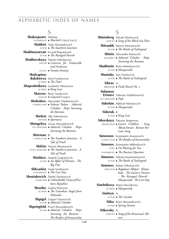# **S**

 **Shakespeare**, William playwright ►*Macbeth* (1933/1955)  **Shakhet**, Osip Alexandrovich actor ►*The Southern Junction*  **Shakhnazaryan**, Ervand Bagratovich actor ►*The Ravaged Hearth*  **Shakhovskaya**, Natalia Nikolaevna editor ►*Concerto for Violoncello and Orchestra* cellist ►*Sonata-Fantasy*  **Shalyapina-Baksheeva**, Irina Fyodorovna actress ►*The Duel*  **Shaposhnikova**, Lyudmila Viktorovna actress ►*King Lear*  **Shavrov**, Boris Vasilievich dancer ►*Gayaneh* (1942)  **Shelenkov**, Alexander Vladimirovich camera man ►*Salavat Yulaev · Admiral Ushakov · Ships Storming the Bastions*  **Shelest**, Alla Yakovlevna dancer ►*Spartacus*  **Shengeliya**, Levan Alexandrovich set designer ►*Admiral Ushakov · Ships Storming the Bastions*  **Sherman**, B. conductor ►*The Southern Junction · A Tale of Truth*  **Shifrin**, Nisson Abramovich stage designer ►*The Southern Junction · A Tale of Truth*  **Shishkov**, Anatoli Grigorievich actor ►*An Affair of Honour · The Big Day*  **Shkvarkin**, Vasili Vasilievich playwright ►*The Last Day*  **Shostakovich**, Dmitri Dmitrievich composer ►*Unbreakable Union of Freeborn Republics*  **Shostko**, Galina Petrovna actress ►*The Guardian Angel from Nebraska*  **Shpigel**, Grigori Oizerovich actor ►*Admiral Ushakov*  **Shpringfeld**, Pavel Alexandrovich actor ►*Admiral Ushakov · Ships Storming the Bastions ·* 

**S Shteinberg**, Arkadi Arkimovich lyricist ►*Song of the Black Sea Fleet*  **Shtraukh**, Maxim Maximovich actor ►*The Battle of Stalingrad*  **Shtein**, Alexander Petrovich scenarist ►*Admiral Ushakov · Ships Storming the Bastions*  **Shukhmin**, Boris Mitrofanovich actor ►*Masquerade*  **Shumsky**, Yuri Vasilievich actor ►*The Battle of Stalingrad*  **Sibrav**, A. arranger ►*Field March No.* 1  **Sidamon- Eristavi**, Valerian Vladimirovich set designer ►*Pepo*  **Sidorkin**, Mikhail Nikolaevich actor ►*Masquerade*  **Sidoruk**, K. actor ►*King Lear*  **Sikorskaya**, Tatyana Sergeevna translator ►*Lenin's Children · Song About Erevan · Korean Partisan Song*  **Simeonov**, Konstantin Arsenievich conductor ►*The Bonfire of Immortality*  **Simonov**, Konstantin Mikhailovich poet ►*I'm Waiting for You* playwright ►*The Russian Question*  **Simonov**, Nikolai Konstantinovich actor ►*The Battle of Stalingrad*  **Simonov**, Ruben Nikolaevich director ►*Bagdazar Akhpar · Khatabala · The Eastern Dentist · The Ravaged Hearth · Masquerade · The Last Day*  **Sinelnikova**, Maria Davydovna actress ►*Masquerade*  **Sinitsyn**, A. actor ►*The Garden*  **Sitko**, Boris Alexandrovich actor ►*Spring Stream*  **Sitkovsky**, A. lyricist ►*Song of the Komsomol Miners*

*The Bonfire of Immortality*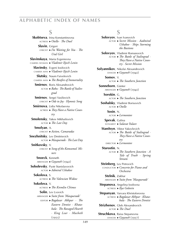#### **S**

 **Skobtseva**, Irina Konstantinovna actress ►*Otello · The Duel*  **Slavin**, Grigori lyricist ►*I'm Waiting for You · The Ural Girl*  **Slavinskaya**, Maria Evgenievna camera woman ►*Vladimir Ilyich Lenin*  **Slavinsky**, Evgeni Iosifovich camera man ►*Vladimir Ilyich Lenin*  **Slutsky**, Naum Faivelevich camera man ►*The Bonfire of Immortality* **Smirnov**, Boris Alexandrovich actor ►*Baku · The Battle of Stalingrad*  **Smirnov**, Sergei Vasilievich lyricist ►*Ode to Joy · Hymnic Song*  **Smirnova**, Lidia Nikolaevna actress ►*They Have a Native Coun try*  **Smolensky**, Yakov Mikhailovich actor ►*The Last Day*  **Smolyan**, A. lyricist ►*Action, Camaradas*  **Snezhnitsky**, Lev Dmitrievich actor ►*Masquerade · The Last Day*  **Snitkovsky**, V. lyricist ►*Song of the Komsomol Miners*  **Snoeck**, Kenneth arranger ►*Gayaneh* (1942)  **Sobolevsky**, Pyotr Stanislavovich actor ►*Admiral Ushakov*  **Sokolova**, S. actress ►*The Valencian Widow*  **Sokolova**, V. actress ►*The Kremlin Chimes*  **Solin**, Lev Lvovich arranger ►*Suite from 'Masquerade'* editor ►*Bagdasar Akhpar · The Eastern Dentist · Khatabala · The Ravaged Hearth · King Lear · Macbeth*  $(1955)$ 

#### **S**

 **Solovyov**, Ivan Ivanovich actor ►*Secret Mission · Aadmiral Ushakov · Ships Storming the Bastions*  **Solovyov**, Vladimir Romanovich actor ►*The Battle of Stalingrad · They Have a Native Country · Secret Mission*  **Solyannikov**, Nikolai Alexandrovich dancer ►*Gayaneh* (1942)  **Somov**, V. actor ►*The Southern Junction*  **Sonneborn**, Günter arranger ►*Gayaneh* (1942)  **Sorokin**, G. actor ►*The Southern Junction*  **Soshalsky**, Vladimir Borisovich actor ►*Otello*  **Sosin**, N. actor ►*Lermontov*  **Spevak**, Galina scenarist ►*Salavat Yulaev*  **Stanitsyn**, Viktor Yakovlevich actor ►*The Battle of Stalingrad · They Have a Native Country* director ►*Lermontov*  **Starostin**, N. actor ►*The Southern Junction · A Tale of Truth · Spring Stream*  **Steinberg**, Lev Petrovich conductor ►*Concerto for Piano and Orchestra*  **Stelnik**, Zakhar arranger ►*Suite from 'Masquerade'*  **Stepanova**, Angelina Iosifovna actress ►*Ilya Golovin*  **Stepanyan**, Varvara Khristoforovna actress ►*Bagdazar Akhpar · Khatabala · The Eastern Dentist*  **Strizhenov**, Gleb Alexandrovich actor ►*The Duel*  **Struchkova**, Raisa Stepanovna

dancer ►*Gayaneh* (1957)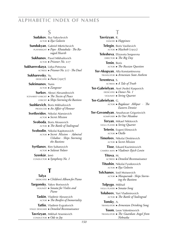#### **S**

 **Sudakov**, Ilya Yakovlevich actor ►*Ilya Golovin*  **Sundukyan**, Gabriel Mkrtichevich playwright ►*Pepo · Khatabala · The Ravaged Hearth*  **Sukhanov**, Pavel Mikhailovich actor ►*Prisoner No.* 217  **Sukharevskaya**, Lidya Petrovna actress ►*Prisoner No.* 217 *· The Duel*  **Sukharevsky**, Yu. dedicatee ►*Poem* (1927)  **Suleimanov**, Yunis actor ►*Zangezur*  **Surkov**, Alexei Alexandrovich scenarist·lyricist ►*The Tocsin of Peace* lyricist ►*Ships Storming the Bastions*  **Sushkevich**, Boris Mikhailovich producer ►*An Affair of Honour*  **Svetlovidov**, Nikolai Afansievich actor ►*Secret Mission*  **Svoboda**, Boris Alexeevich actor ►*The Battle of Stalingrad*  **Svobodin**, Nikolai Kapitonovich actor ►*Secret Mission · Admiral Ushakov · Ships Storming the Bastions*

 **Syrtlanov**, Rim Sultanovich actor ►*Salavat Yulaev*

 **Szenkár**, Jenö conductor ►*Symphony No. 1*

# **T**

 **Talya**, dedicatee ►*Children's Album for Piano*  **Targonsky**, Yakov Borisovich

violinist ►*Sonata for Violin and Piano*

 **Taskin**, Vladimir Alexeevich actor ►*The Bonfire of Immortality*

 **Tatlin**, Vladimir Evgrafovich stage designer ►*Detailed Reconnaissance*

 **Tavrizyan**, Mikhail Arsenievich conductor ►*Ode to Joy*

# **T**

 **Tavrizyan**, R. dancer ►*Happiness*  **Telegin**, Boris Vasilievich actor ►*Macbeth* (1955)  **Telesheva**, Elizaveta Sergeevna director ►*The Big Day*  **Tenin**, Boris actor ►*The Russian Question*  **Ter-Akopyan**, Alla Konstantinovna translator ►*Armenian State Anthem*  **Terenteva**, S.

actress ►*A Tale of Truth*  **Ter-Gabrielyan**, Avet (Avdei) Karpovich

dedicatee ►*Dance No. 1* violinist ►*String Quartet*

 **Ter-Gabrielyan**, G. actor ►*Bagdazar Akhpar · The Eastern Dentist*

 **Ter-Gevondyan**, Anushavan Grigorievich komposer ►*In Our Meadow*

> **Teryan**, Mikael Nikitovich viola player ►*String Quartet*

 **Teterin**, Evgeni Efimovich actor ►*Otello*

 **Timofeev**, Nikolai Dmitrievich actor ►*Secret Mission*

 **Tisse**, Eduard Kazimirovich camera man ►*Vladimir Ilyich Lenin*

 **Titova**, M. actress ►*Detailed Reconnaissance*

 **Titushin**, Nikolai Fyodorovich actor ►*Ilya Golovin*

 **Tolchanov**, Iosif Moiseevich actor ►*Masquerade · Ships Storming the Bastions*

 **Tolpygo**, Mikhail viola player ►*Sonata-Song*

 **Tolubeev**, Yuri Vladimirovich actor ►*The Battle of Stalingrad*

 **Tonsky**, A. translator ►*Armenian Drinking Song*

 **Toom**, Leon Valentinovich translator ►*The Guardian Angel from Nebraska*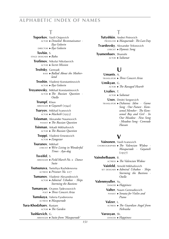# **T**

 **Toporkov**, Vasili Osipovich actor ►*Detailed Reconnaissance · Ilya Golovin* director ►*Ilya Golovin*  **Tovbin**, S. stage designer ►*Baku*  **Trofimov**, Nikolai Nikolaevich actor ►*Secret Mission*  **Troitsky**, Gennadi bass ►*Ballad About the Motherland*  **Troshin**, Vladimir Konstantinovich actor ►*Ilya Golovin*  **Troyanovsky**, Mikhail Konstantinovich actor ►*The Russian Question · Otello*  **Trumpf**, Klaus arranger ►*Gayaneh* (1942)  **Tsaryov**, Mikhail Ivanovich actor ►*Macbeth* (1955)  **Tsfasman**, Alexander Naumovich pianist ►*The Russian Question*  **Tsinman**, Arkadi Mikhailovich actor ►*The Russian Question*  **Tsoppi**, Vladimir Ernestovich actor ►*Zangezur*  **Tsuranov**, Mikhail lyricist ►*We're Living in Wonderful Times · Ayu-dag*  **Tsveifel**, S. arranger ►*Field March No.* 2 *· Dance Suite*  **Tsutsunava**, Tsetsiliya Razhdenovna actress ►*Prisoner No.* 217  **Tumanov**, Vladimir Alexandrovich actor ►*Admiral Ushakov · Ships Storming the Bastions*  **Tumanyan**, Ovanes Tadevosovich poet ►*Three Concert Arias*  **Tumskaya**, Valeria Fyodorovna actress ►*Masquerade*  **Tura-Khodzhaev**, Rustam actor ►*The Garden*  **Tushkevich**, G. arranger ►*Suite from 'Masquerade'*

# **T**

 **Tutyshkin**, Andrei Petrovich producer ►*Masquerade · The Last Day*  **Tvardovsky**, Alexander Trifonovich lyricist ►*Hymnic Song*

 **Tyumenbaev**, Shamshi actor ►*Saltanat*

## **U**

 **Umants**, A.

- translator ►*Three Concert Arias*
- **Umikyan**, G.
	- actor ►*The Ravaged Hearth*
	- **Uraliev**, T.
		- actor ►*Saltanat*

 **Usov**, Dmitri Sergeevich

translator ►*Dzhavuz Idim · Game Song · Our Future · Komsomol Member · The Komsomol Boy and Girl · In Our Meadow · New Song · Meadow Song · Comrade Hassan*

## **V**

- **Vainonen**, Vasili Ivanovich choreographer ►*The Valencian Widow · Masquerade · Gayaneh*   $(1957)$
- **Vainshelbaum**, B.
	- actress ►*The Valencian Widow*
	- **Vaisfeld**, Arnold Mikhailovich
	- set designer ►*Admiral Ushakov · Ships Storming the Bastions · Otello*
	- **Valenmyuller**, Yu.
		- dancer ►*Happiness*
		- **Valter**, Naum Gennadievich
			- pianist ►*Sonata for Violin and Piano*
		- **Valzer**, L.
		- actress ►*The Guardian Angel from Nebraska*

#### **Varosyan**, Sh.

dancer ►*Happiness*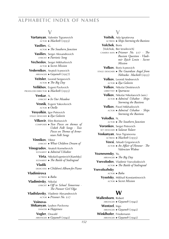# **V**

 **Vartanyan**, Valentin Tigranovich actor ►*Macbeth* (1933)  **Vasiliev**, G. actor ►*The Southern Junction*  **Vasiliev**, Sergei Alexandrovich lyricist ►*Patriotic Song*  **Vecheslov**, Sergei Mikhailovich actor ►*Secret Mission*  **Vedernikov**, Anatoli Ivanovich arranger ►*Gayaneh* (1957)  **Veitsler**, Leonid Sergeevich actor ►*The Big Day*  **Velikhov**, Evgeni Pavlovich producer·director ►*Macbeth* (1955)  **Venkar**, A. lyricist ►*In Our Meadow*  **Vesnik**, Evgeni Yakovlevich actor ►*Otello*  **Vesyolkin**, Igor Petrovich stage designer ►*Ilya Golovin*  **Vilkovir**, Efim Borisovich composer ►*Two Pieces on themes of Uzbek Folk Songs · Two Pieces on Themes of Armenian Folk Songs*  **Vinnikov**, Viktor lyricist ►*What Children Dream of*  **Vinogradov**, Anatoli Kornelievich scenarist ►*Admiral Ushakov*   **Virta**, Nikolai Evgenievich [Karelsky] scenarist ►*The Battle of Stalingrad*  **Vladik**, dedicatee ►*Children's Album for Piano*  **Vladimirova**, actress ►*Baku*  **Vladimirsky**, Nikolai lyricist ►*Off to School Tomorrow · The Pioneer Girl Olga*  **Vladislavsky**, Vladimir Alexandrovich actor ►*Prisoner No.* 217  **Voinova- Shikanyan**, Lyubov Pavlovna dancer ►*Happiness*  **Vogler**, Oswald arranger ►*Gayaneh* (1942)

#### **V**

 **Voitsik**, Ada Ignatievna actress ►*Ships Storming the Bastions*  **Volchek**, Boris [Volchok, Ber Izrailevich] camera man ►*Prisoner No.* 217 *· The Russian Question · Vladimir Ilyich Lenin · Secret Mission*  **Volkov**, Boris Ivanovich stage designer ►*The Guardian Angel from Nebraska · Macbeth* (1955)  **Volkov**, Leonid Andreevich actor ►*Ilya Golovin*  **Volkov**, Nikolai Dmitrievich librettist ►*Spartacus*  **Volkov**, Nikolai Nikolaevich (sen.) actor ►*Admiral Ushakov · Ships Storming the Bastions*  **Volkov**, Pavel Mikhailovich actor ►*Admiral Ushakov · Ships Storming the Bastions*  **Volodko**, N. actor ►*The Southern Junction*  **Voronkov**, Sergei Petrovich set designer ►*Salavat Yulaev*  **Voskanyan**, Arus Tigranovna actress ►*Macbeth* (1933)  **Vovsi**, Arkadi Grigorievich actor ►*An Affair of Honour · The Valencian Widow*  **Voznesensky**, Yu. arranger ►*The Big Day*  **Vsevolodov**, Vladimir Vsevolodovich actor ►*The Battle of Stalingrad*  **Vsevolozhsky**, actor ►*Baku*  **Vysotsky**, Mikhail Konstantinovich actor ►*Secret Mission*

# **W**

 **Wallenborn**, Robert arranger ►*Gayaneh* (1942)  **Wentzel**, Ingo arranger ►*Gayaneh* (1942)  **Winklhofer**, Friedemann arranger ►*Gayaneh* (1942)